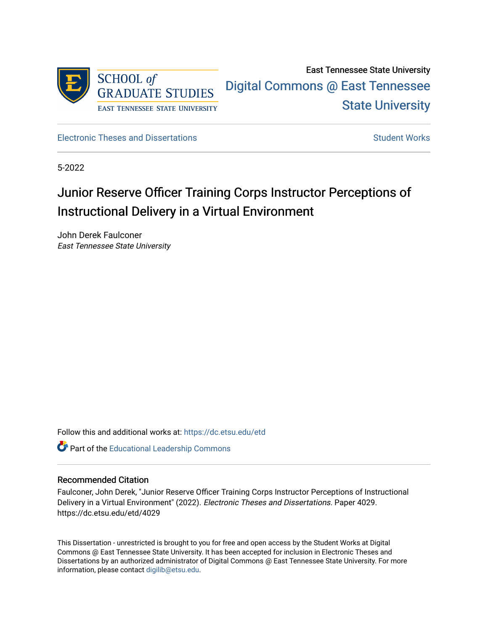

# East Tennessee State University [Digital Commons @ East Tennessee](https://dc.etsu.edu/)  [State University](https://dc.etsu.edu/)

[Electronic Theses and Dissertations](https://dc.etsu.edu/etd) [Student Works](https://dc.etsu.edu/student-works) Student Works

5-2022

# Junior Reserve Officer Training Corps Instructor Perceptions of Instructional Delivery in a Virtual Environment

John Derek Faulconer East Tennessee State University

Follow this and additional works at: [https://dc.etsu.edu/etd](https://dc.etsu.edu/etd?utm_source=dc.etsu.edu%2Fetd%2F4029&utm_medium=PDF&utm_campaign=PDFCoverPages)

Part of the [Educational Leadership Commons](http://network.bepress.com/hgg/discipline/1230?utm_source=dc.etsu.edu%2Fetd%2F4029&utm_medium=PDF&utm_campaign=PDFCoverPages) 

# Recommended Citation

Faulconer, John Derek, "Junior Reserve Officer Training Corps Instructor Perceptions of Instructional Delivery in a Virtual Environment" (2022). Electronic Theses and Dissertations. Paper 4029. https://dc.etsu.edu/etd/4029

This Dissertation - unrestricted is brought to you for free and open access by the Student Works at Digital Commons @ East Tennessee State University. It has been accepted for inclusion in Electronic Theses and Dissertations by an authorized administrator of Digital Commons @ East Tennessee State University. For more information, please contact [digilib@etsu.edu.](mailto:digilib@etsu.edu)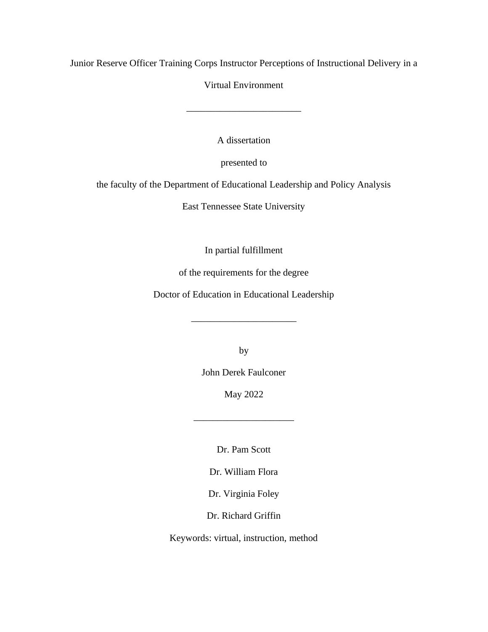Junior Reserve Officer Training Corps Instructor Perceptions of Instructional Delivery in a

Virtual Environment

\_\_\_\_\_\_\_\_\_\_\_\_\_\_\_\_\_\_\_\_\_\_\_\_

A dissertation

presented to

the faculty of the Department of Educational Leadership and Policy Analysis

East Tennessee State University

In partial fulfillment

of the requirements for the degree

Doctor of Education in Educational Leadership

\_\_\_\_\_\_\_\_\_\_\_\_\_\_\_\_\_\_\_\_\_\_

by

John Derek Faulconer

May 2022

\_\_\_\_\_\_\_\_\_\_\_\_\_\_\_\_\_\_\_\_\_

Dr. Pam Scott

Dr. William Flora

Dr. Virginia Foley

Dr. Richard Griffin

Keywords: virtual, instruction, method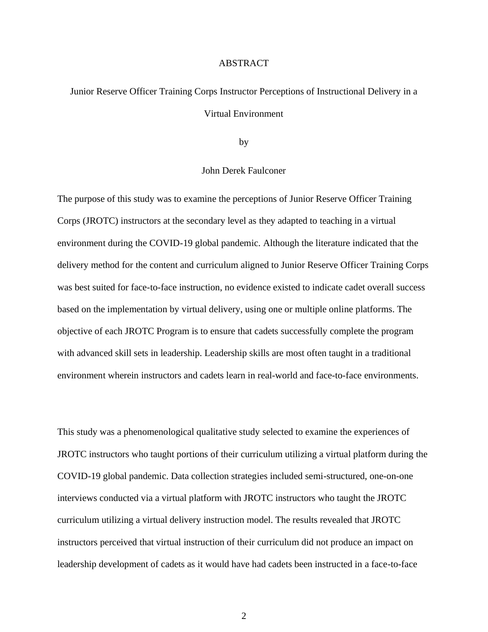## ABSTRACT

# Junior Reserve Officer Training Corps Instructor Perceptions of Instructional Delivery in a Virtual Environment

by

# John Derek Faulconer

The purpose of this study was to examine the perceptions of Junior Reserve Officer Training Corps (JROTC) instructors at the secondary level as they adapted to teaching in a virtual environment during the COVID-19 global pandemic. Although the literature indicated that the delivery method for the content and curriculum aligned to Junior Reserve Officer Training Corps was best suited for face-to-face instruction, no evidence existed to indicate cadet overall success based on the implementation by virtual delivery, using one or multiple online platforms. The objective of each JROTC Program is to ensure that cadets successfully complete the program with advanced skill sets in leadership. Leadership skills are most often taught in a traditional environment wherein instructors and cadets learn in real-world and face-to-face environments.

This study was a phenomenological qualitative study selected to examine the experiences of JROTC instructors who taught portions of their curriculum utilizing a virtual platform during the COVID-19 global pandemic. Data collection strategies included semi-structured, one-on-one interviews conducted via a virtual platform with JROTC instructors who taught the JROTC curriculum utilizing a virtual delivery instruction model. The results revealed that JROTC instructors perceived that virtual instruction of their curriculum did not produce an impact on leadership development of cadets as it would have had cadets been instructed in a face-to-face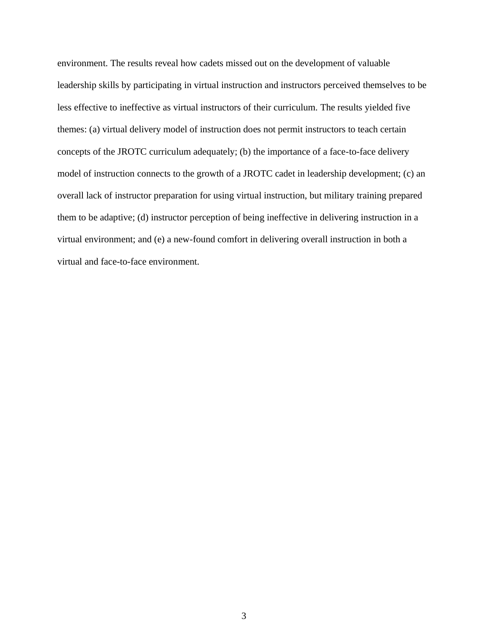environment. The results reveal how cadets missed out on the development of valuable leadership skills by participating in virtual instruction and instructors perceived themselves to be less effective to ineffective as virtual instructors of their curriculum. The results yielded five themes: (a) virtual delivery model of instruction does not permit instructors to teach certain concepts of the JROTC curriculum adequately; (b) the importance of a face-to-face delivery model of instruction connects to the growth of a JROTC cadet in leadership development; (c) an overall lack of instructor preparation for using virtual instruction, but military training prepared them to be adaptive; (d) instructor perception of being ineffective in delivering instruction in a virtual environment; and (e) a new-found comfort in delivering overall instruction in both a virtual and face-to-face environment.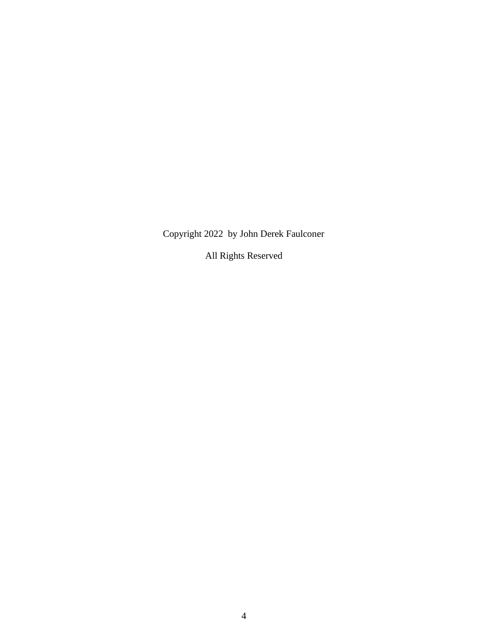Copyright 2022 by John Derek Faulconer

All Rights Reserved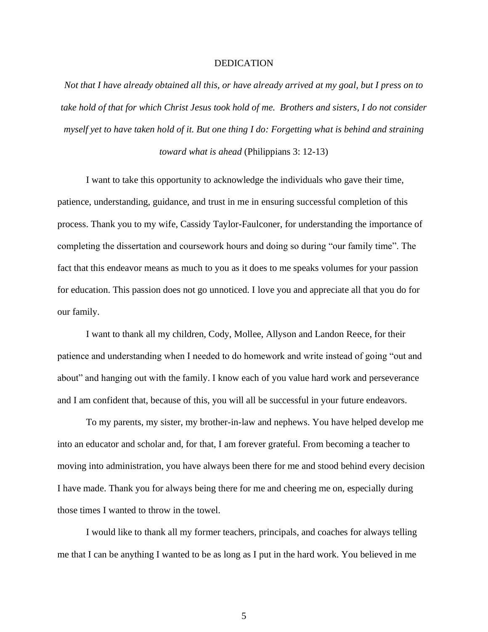# DEDICATION

*Not that I have already obtained all this, or have already arrived at my goal, but I press on to take hold of that for which Christ Jesus took hold of me. Brothers and sisters, I do not consider myself yet to have taken hold of it. But one thing I do: Forgetting what is behind and straining* 

# *toward what is ahead* (Philippians 3: 12-13)

I want to take this opportunity to acknowledge the individuals who gave their time, patience, understanding, guidance, and trust in me in ensuring successful completion of this process. Thank you to my wife, Cassidy Taylor-Faulconer, for understanding the importance of completing the dissertation and coursework hours and doing so during "our family time". The fact that this endeavor means as much to you as it does to me speaks volumes for your passion for education. This passion does not go unnoticed. I love you and appreciate all that you do for our family.

I want to thank all my children, Cody, Mollee, Allyson and Landon Reece, for their patience and understanding when I needed to do homework and write instead of going "out and about" and hanging out with the family. I know each of you value hard work and perseverance and I am confident that, because of this, you will all be successful in your future endeavors.

To my parents, my sister, my brother-in-law and nephews. You have helped develop me into an educator and scholar and, for that, I am forever grateful. From becoming a teacher to moving into administration, you have always been there for me and stood behind every decision I have made. Thank you for always being there for me and cheering me on, especially during those times I wanted to throw in the towel.

I would like to thank all my former teachers, principals, and coaches for always telling me that I can be anything I wanted to be as long as I put in the hard work. You believed in me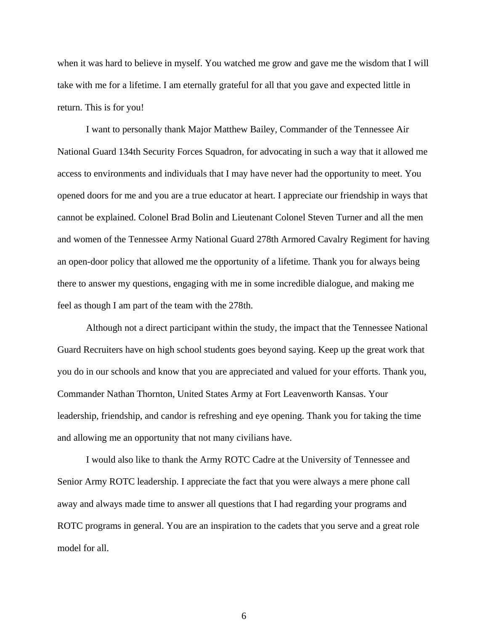when it was hard to believe in myself. You watched me grow and gave me the wisdom that I will take with me for a lifetime. I am eternally grateful for all that you gave and expected little in return. This is for you!

I want to personally thank Major Matthew Bailey, Commander of the Tennessee Air National Guard 134th Security Forces Squadron, for advocating in such a way that it allowed me access to environments and individuals that I may have never had the opportunity to meet. You opened doors for me and you are a true educator at heart. I appreciate our friendship in ways that cannot be explained. Colonel Brad Bolin and Lieutenant Colonel Steven Turner and all the men and women of the Tennessee Army National Guard 278th Armored Cavalry Regiment for having an open-door policy that allowed me the opportunity of a lifetime. Thank you for always being there to answer my questions, engaging with me in some incredible dialogue, and making me feel as though I am part of the team with the 278th.

Although not a direct participant within the study, the impact that the Tennessee National Guard Recruiters have on high school students goes beyond saying. Keep up the great work that you do in our schools and know that you are appreciated and valued for your efforts. Thank you, Commander Nathan Thornton, United States Army at Fort Leavenworth Kansas. Your leadership, friendship, and candor is refreshing and eye opening. Thank you for taking the time and allowing me an opportunity that not many civilians have.

I would also like to thank the Army ROTC Cadre at the University of Tennessee and Senior Army ROTC leadership. I appreciate the fact that you were always a mere phone call away and always made time to answer all questions that I had regarding your programs and ROTC programs in general. You are an inspiration to the cadets that you serve and a great role model for all.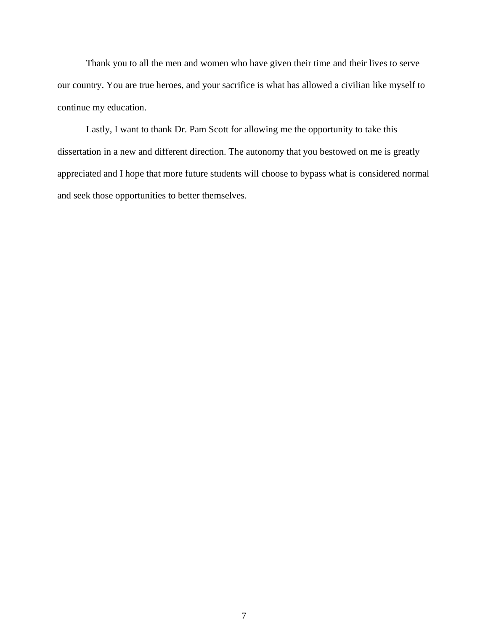Thank you to all the men and women who have given their time and their lives to serve our country. You are true heroes, and your sacrifice is what has allowed a civilian like myself to continue my education.

Lastly, I want to thank Dr. Pam Scott for allowing me the opportunity to take this dissertation in a new and different direction. The autonomy that you bestowed on me is greatly appreciated and I hope that more future students will choose to bypass what is considered normal and seek those opportunities to better themselves.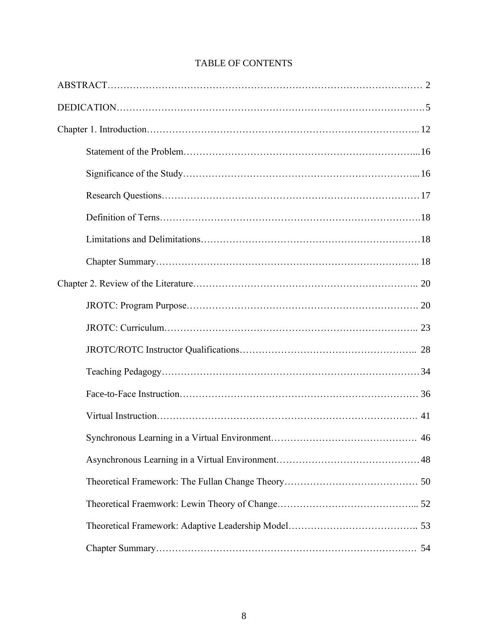# TABLE OF CONTENTS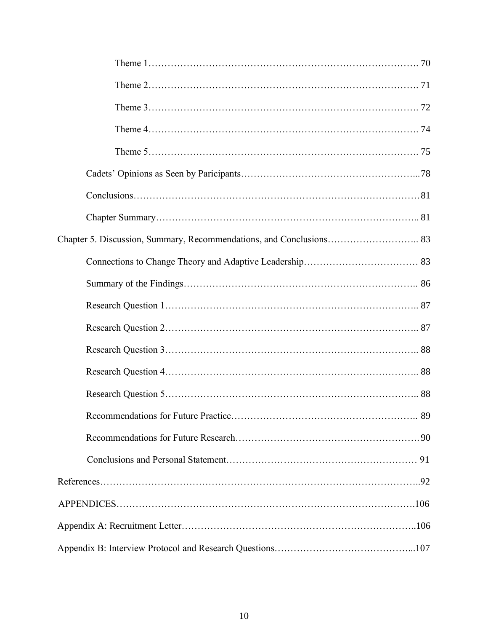| Chapter 5. Discussion, Summary, Recommendations, and Conclusions 83 |
|---------------------------------------------------------------------|
|                                                                     |
|                                                                     |
|                                                                     |
|                                                                     |
|                                                                     |
|                                                                     |
|                                                                     |
|                                                                     |
|                                                                     |
|                                                                     |
|                                                                     |
|                                                                     |
|                                                                     |
|                                                                     |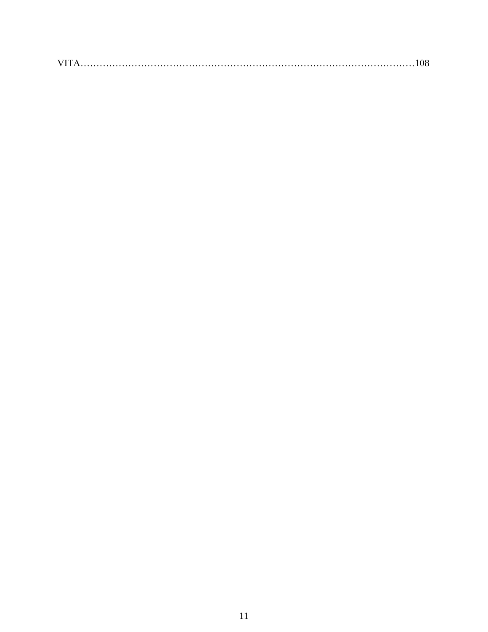|--|--|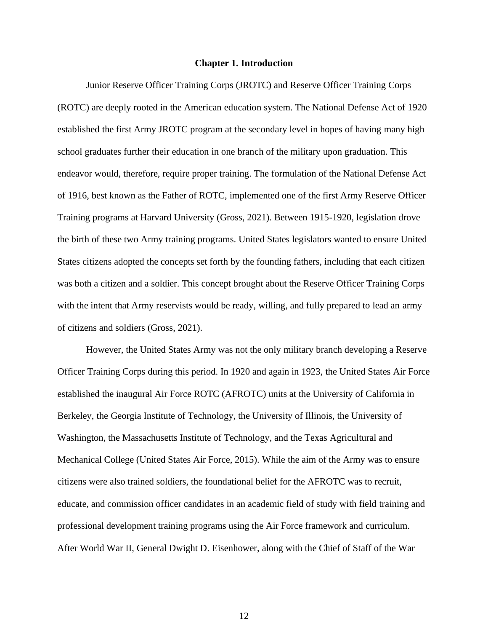#### **Chapter 1. Introduction**

Junior Reserve Officer Training Corps (JROTC) and Reserve Officer Training Corps (ROTC) are deeply rooted in the American education system. The National Defense Act of 1920 established the first Army JROTC program at the secondary level in hopes of having many high school graduates further their education in one branch of the military upon graduation. This endeavor would, therefore, require proper training. The formulation of the National Defense Act of 1916, best known as the Father of ROTC, implemented one of the first Army Reserve Officer Training programs at Harvard University (Gross, 2021). Between 1915-1920, legislation drove the birth of these two Army training programs. United States legislators wanted to ensure United States citizens adopted the concepts set forth by the founding fathers, including that each citizen was both a citizen and a soldier. This concept brought about the Reserve Officer Training Corps with the intent that Army reservists would be ready, willing, and fully prepared to lead an army of citizens and soldiers (Gross, 2021).

However, the United States Army was not the only military branch developing a Reserve Officer Training Corps during this period. In 1920 and again in 1923, the United States Air Force established the inaugural Air Force ROTC (AFROTC) units at the University of California in Berkeley, the Georgia Institute of Technology, the University of Illinois, the University of Washington, the Massachusetts Institute of Technology, and the Texas Agricultural and Mechanical College (United States Air Force, 2015). While the aim of the Army was to ensure citizens were also trained soldiers, the foundational belief for the AFROTC was to recruit, educate, and commission officer candidates in an academic field of study with field training and professional development training programs using the Air Force framework and curriculum. After World War II, General Dwight D. Eisenhower, along with the Chief of Staff of the War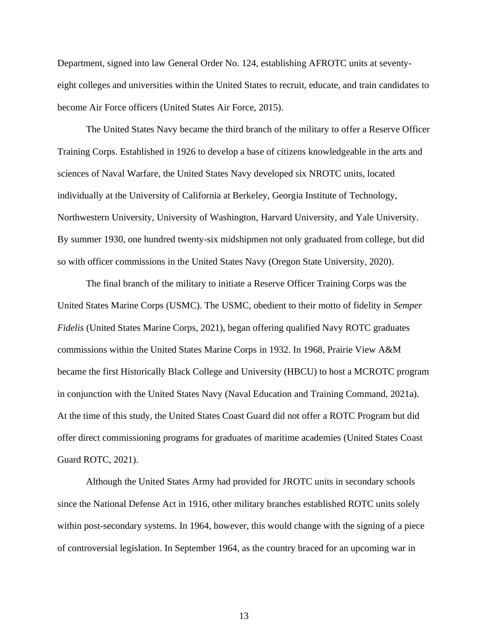Department, signed into law General Order No. 124, establishing AFROTC units at seventyeight colleges and universities within the United States to recruit, educate, and train candidates to become Air Force officers (United States Air Force, 2015).

The United States Navy became the third branch of the military to offer a Reserve Officer Training Corps. Established in 1926 to develop a base of citizens knowledgeable in the arts and sciences of Naval Warfare, the United States Navy developed six NROTC units, located individually at the University of California at Berkeley, Georgia Institute of Technology, Northwestern University, University of Washington, Harvard University, and Yale University. By summer 1930, one hundred twenty-six midshipmen not only graduated from college, but did so with officer commissions in the United States Navy (Oregon State University, 2020).

The final branch of the military to initiate a Reserve Officer Training Corps was the United States Marine Corps (USMC). The USMC, obedient to their motto of fidelity in *Semper Fidelis* (United States Marine Corps, 2021), began offering qualified Navy ROTC graduates commissions within the United States Marine Corps in 1932. In 1968, Prairie View A&M became the first Historically Black College and University (HBCU) to host a MCROTC program in conjunction with the United States Navy (Naval Education and Training Command, 2021a). At the time of this study, the United States Coast Guard did not offer a ROTC Program but did offer direct commissioning programs for graduates of maritime academies (United States Coast Guard ROTC, 2021).

Although the United States Army had provided for JROTC units in secondary schools since the National Defense Act in 1916, other military branches established ROTC units solely within post-secondary systems. In 1964, however, this would change with the signing of a piece of controversial legislation. In September 1964, as the country braced for an upcoming war in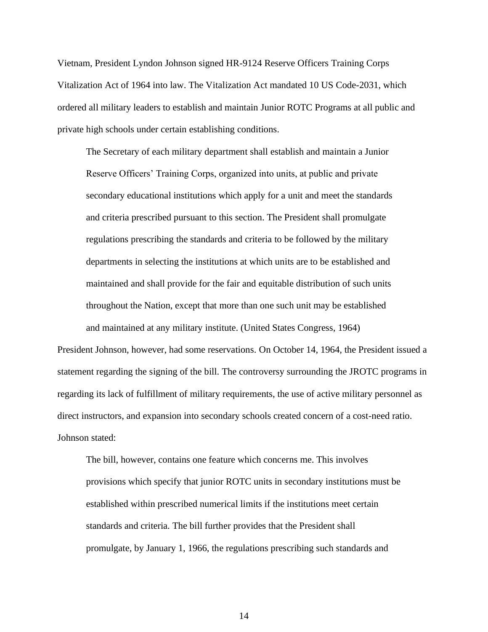Vietnam, President Lyndon Johnson signed HR-9124 Reserve Officers Training Corps Vitalization Act of 1964 into law. The Vitalization Act mandated 10 US Code-2031, which ordered all military leaders to establish and maintain Junior ROTC Programs at all public and private high schools under certain establishing conditions.

The Secretary of each military department shall establish and maintain a Junior Reserve Officers' Training Corps, organized into units, at public and private secondary educational institutions which apply for a unit and meet the standards and criteria prescribed pursuant to this section. The President shall promulgate regulations prescribing the standards and criteria to be followed by the military departments in selecting the institutions at which units are to be established and maintained and shall provide for the fair and equitable distribution of such units throughout the Nation, except that more than one such unit may be established and maintained at any military institute. (United States Congress, 1964)

President Johnson, however, had some reservations. On October 14, 1964, the President issued a statement regarding the signing of the bill. The controversy surrounding the JROTC programs in regarding its lack of fulfillment of military requirements, the use of active military personnel as direct instructors, and expansion into secondary schools created concern of a cost-need ratio. Johnson stated:

The bill, however, contains one feature which concerns me. This involves provisions which specify that junior ROTC units in secondary institutions must be established within prescribed numerical limits if the institutions meet certain standards and criteria. The bill further provides that the President shall promulgate, by January 1, 1966, the regulations prescribing such standards and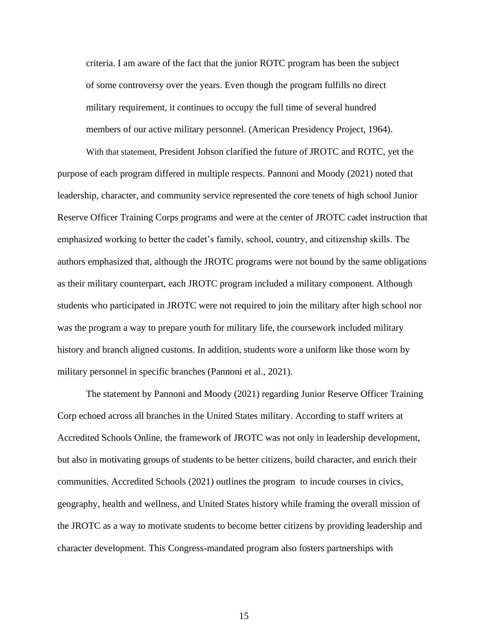criteria. I am aware of the fact that the junior ROTC program has been the subject of some controversy over the years. Even though the program fulfills no direct military requirement, it continues to occupy the full time of several hundred members of our active military personnel. (American Presidency Project, 1964).

With that statement, President Johson clarified the future of JROTC and ROTC, yet the purpose of each program differed in multiple respects. Pannoni and Moody (2021) noted that leadership, character, and community service represented the core tenets of high school Junior Reserve Officer Training Corps programs and were at the center of JROTC cadet instruction that emphasized working to better the cadet's family, school, country, and citizenship skills. The authors emphasized that, although the JROTC programs were not bound by the same obligations as their military counterpart, each JROTC program included a military component. Although students who participated in JROTC were not required to join the military after high school nor was the program a way to prepare youth for military life, the coursework included military history and branch aligned customs. In addition, students wore a uniform like those worn by military personnel in specific branches (Pannoni et al., 2021).

The statement by Pannoni and Moody (2021) regarding Junior Reserve Officer Training Corp echoed across all branches in the United States military. According to staff writers at Accredited Schools Online, the framework of JROTC was not only in leadership development, but also in motivating groups of students to be better citizens, build character, and enrich their communities. Accredited Schools (2021) outlines the program to incude courses in civics, geography, health and wellness, and United States history while framing the overall mission of the JROTC as a way to motivate students to become better citizens by providing leadership and character development. This Congress-mandated program also fosters partnerships with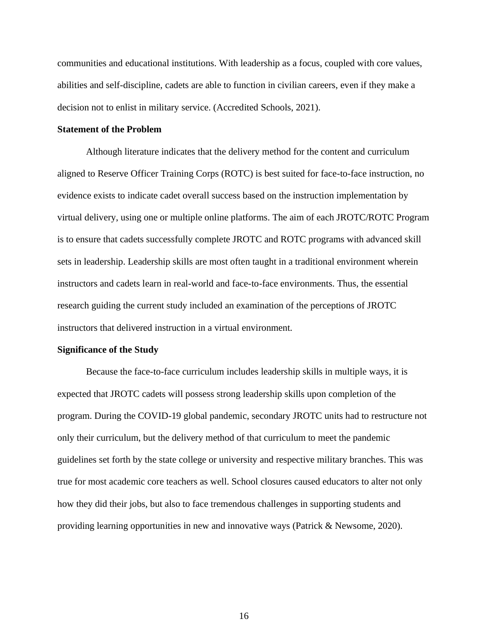communities and educational institutions. With leadership as a focus, coupled with core values, abilities and self-discipline, cadets are able to function in civilian careers, even if they make a decision not to enlist in military service. (Accredited Schools, 2021).

## **Statement of the Problem**

Although literature indicates that the delivery method for the content and curriculum aligned to Reserve Officer Training Corps (ROTC) is best suited for face-to-face instruction, no evidence exists to indicate cadet overall success based on the instruction implementation by virtual delivery, using one or multiple online platforms. The aim of each JROTC/ROTC Program is to ensure that cadets successfully complete JROTC and ROTC programs with advanced skill sets in leadership. Leadership skills are most often taught in a traditional environment wherein instructors and cadets learn in real-world and face-to-face environments. Thus, the essential research guiding the current study included an examination of the perceptions of JROTC instructors that delivered instruction in a virtual environment.

#### **Significance of the Study**

Because the face-to-face curriculum includes leadership skills in multiple ways, it is expected that JROTC cadets will possess strong leadership skills upon completion of the program. During the COVID-19 global pandemic, secondary JROTC units had to restructure not only their curriculum, but the delivery method of that curriculum to meet the pandemic guidelines set forth by the state college or university and respective military branches. This was true for most academic core teachers as well. School closures caused educators to alter not only how they did their jobs, but also to face tremendous challenges in supporting students and providing learning opportunities in new and innovative ways (Patrick & Newsome, 2020).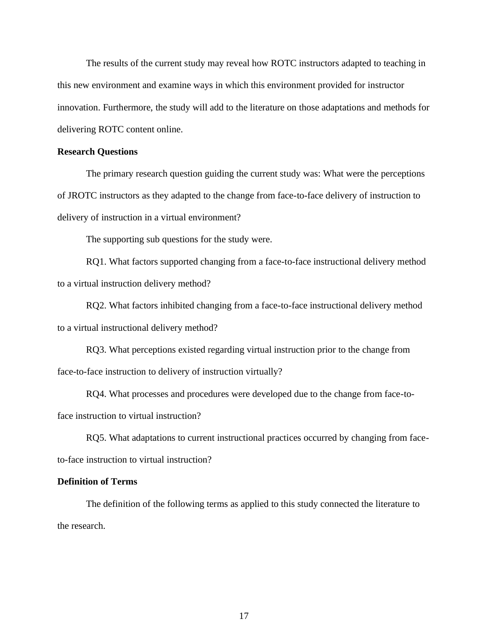The results of the current study may reveal how ROTC instructors adapted to teaching in this new environment and examine ways in which this environment provided for instructor innovation. Furthermore, the study will add to the literature on those adaptations and methods for delivering ROTC content online.

#### **Research Questions**

The primary research question guiding the current study was: What were the perceptions of JROTC instructors as they adapted to the change from face-to-face delivery of instruction to delivery of instruction in a virtual environment?

The supporting sub questions for the study were.

RQ1. What factors supported changing from a face-to-face instructional delivery method to a virtual instruction delivery method?

RQ2. What factors inhibited changing from a face-to-face instructional delivery method to a virtual instructional delivery method?

RQ3. What perceptions existed regarding virtual instruction prior to the change from face-to-face instruction to delivery of instruction virtually?

RQ4. What processes and procedures were developed due to the change from face-toface instruction to virtual instruction?

RQ5. What adaptations to current instructional practices occurred by changing from faceto-face instruction to virtual instruction?

# **Definition of Terms**

The definition of the following terms as applied to this study connected the literature to the research.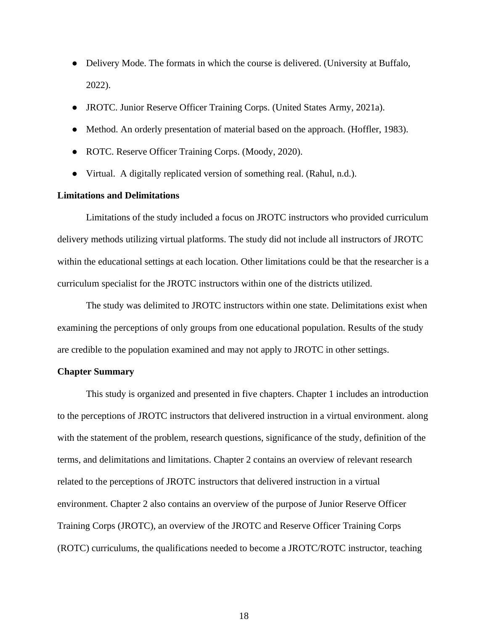- Delivery Mode. The formats in which the course is delivered. (University at Buffalo, 2022).
- JROTC. Junior Reserve Officer Training Corps. (United States Army, 2021a).
- Method. An orderly presentation of material based on the approach. (Hoffler, 1983).
- ROTC. Reserve Officer Training Corps. (Moody, 2020).
- Virtual. A digitally replicated version of something real. (Rahul, n.d.).

# **Limitations and Delimitations**

Limitations of the study included a focus on JROTC instructors who provided curriculum delivery methods utilizing virtual platforms. The study did not include all instructors of JROTC within the educational settings at each location. Other limitations could be that the researcher is a curriculum specialist for the JROTC instructors within one of the districts utilized.

The study was delimited to JROTC instructors within one state. Delimitations exist when examining the perceptions of only groups from one educational population. Results of the study are credible to the population examined and may not apply to JROTC in other settings.

### **Chapter Summary**

This study is organized and presented in five chapters. Chapter 1 includes an introduction to the perceptions of JROTC instructors that delivered instruction in a virtual environment. along with the statement of the problem, research questions, significance of the study, definition of the terms, and delimitations and limitations. Chapter 2 contains an overview of relevant research related to the perceptions of JROTC instructors that delivered instruction in a virtual environment. Chapter 2 also contains an overview of the purpose of Junior Reserve Officer Training Corps (JROTC), an overview of the JROTC and Reserve Officer Training Corps (ROTC) curriculums, the qualifications needed to become a JROTC/ROTC instructor, teaching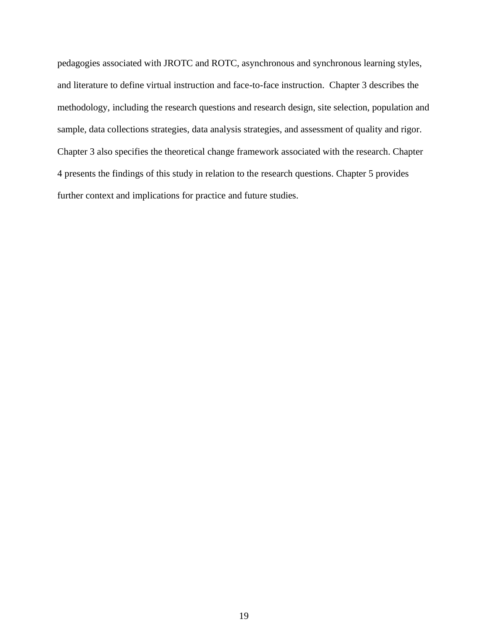pedagogies associated with JROTC and ROTC, asynchronous and synchronous learning styles, and literature to define virtual instruction and face-to-face instruction. Chapter 3 describes the methodology, including the research questions and research design, site selection, population and sample, data collections strategies, data analysis strategies, and assessment of quality and rigor. Chapter 3 also specifies the theoretical change framework associated with the research. Chapter 4 presents the findings of this study in relation to the research questions. Chapter 5 provides further context and implications for practice and future studies.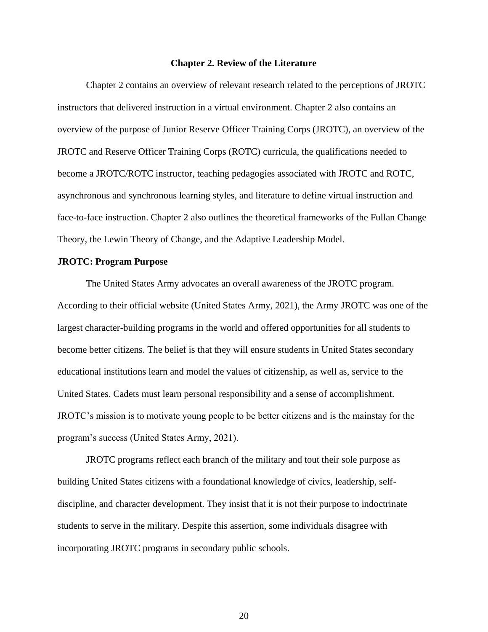#### **Chapter 2. Review of the Literature**

Chapter 2 contains an overview of relevant research related to the perceptions of JROTC instructors that delivered instruction in a virtual environment. Chapter 2 also contains an overview of the purpose of Junior Reserve Officer Training Corps (JROTC), an overview of the JROTC and Reserve Officer Training Corps (ROTC) curricula, the qualifications needed to become a JROTC/ROTC instructor, teaching pedagogies associated with JROTC and ROTC, asynchronous and synchronous learning styles, and literature to define virtual instruction and face-to-face instruction. Chapter 2 also outlines the theoretical frameworks of the Fullan Change Theory, the Lewin Theory of Change, and the Adaptive Leadership Model.

#### **JROTC: Program Purpose**

The United States Army advocates an overall awareness of the JROTC program. According to their official website (United States Army, 2021), the Army JROTC was one of the largest character-building programs in the world and offered opportunities for all students to become better citizens. The belief is that they will ensure students in United States secondary educational institutions learn and model the values of citizenship, as well as, service to the United States. Cadets must learn personal responsibility and a sense of accomplishment. JROTC's mission is to motivate young people to be better citizens and is the mainstay for the program's success (United States Army, 2021).

JROTC programs reflect each branch of the military and tout their sole purpose as building United States citizens with a foundational knowledge of civics, leadership, selfdiscipline, and character development. They insist that it is not their purpose to indoctrinate students to serve in the military. Despite this assertion, some individuals disagree with incorporating JROTC programs in secondary public schools.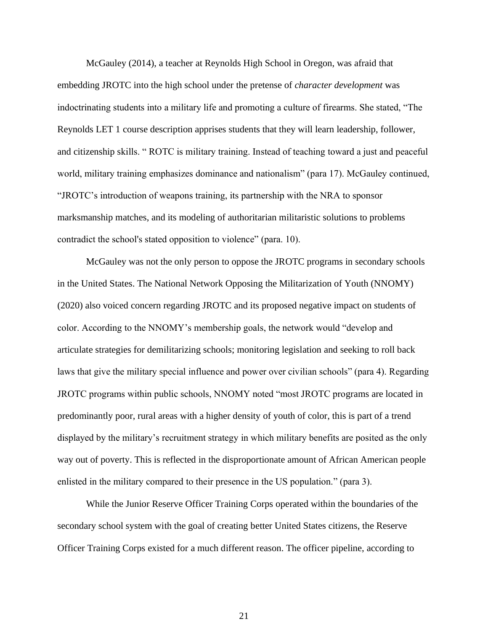McGauley (2014), a teacher at Reynolds High School in Oregon, was afraid that embedding JROTC into the high school under the pretense of *character development* was indoctrinating students into a military life and promoting a culture of firearms. She stated, "The Reynolds LET 1 course description apprises students that they will learn leadership, follower, and citizenship skills. " ROTC is military training. Instead of teaching toward a just and peaceful world, military training emphasizes dominance and nationalism" (para 17). McGauley continued, "JROTC's introduction of weapons training, its partnership with the NRA to sponsor marksmanship matches, and its modeling of authoritarian militaristic solutions to problems contradict the school's stated opposition to violence" (para. 10).

McGauley was not the only person to oppose the JROTC programs in secondary schools in the United States. The National Network Opposing the Militarization of Youth (NNOMY) (2020) also voiced concern regarding JROTC and its proposed negative impact on students of color. According to the NNOMY's membership goals, the network would "develop and articulate strategies for demilitarizing schools; monitoring legislation and seeking to roll back laws that give the military special influence and power over civilian schools" (para 4). Regarding JROTC programs within public schools, NNOMY noted "most JROTC programs are located in predominantly poor, rural areas with a higher density of youth of color, this is part of a trend displayed by the military's recruitment strategy in which military benefits are posited as the only way out of poverty. This is reflected in the disproportionate amount of African American people enlisted in the military compared to their presence in the US population." (para 3).

While the Junior Reserve Officer Training Corps operated within the boundaries of the secondary school system with the goal of creating better United States citizens, the Reserve Officer Training Corps existed for a much different reason. The officer pipeline, according to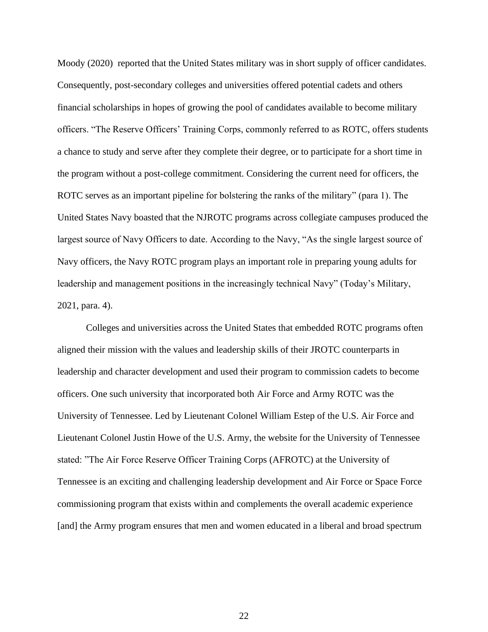Moody (2020) reported that the United States military was in short supply of officer candidates. Consequently, post-secondary colleges and universities offered potential cadets and others financial scholarships in hopes of growing the pool of candidates available to become military officers. "The Reserve Officers' Training Corps, commonly referred to as ROTC, offers students a chance to study and serve after they complete their degree, or to participate for a short time in the program without a post-college commitment. Considering the current need for officers, the ROTC serves as an important pipeline for bolstering the ranks of the military" (para 1). The United States Navy boasted that the NJROTC programs across collegiate campuses produced the largest source of Navy Officers to date. According to the Navy, "As the single largest source of Navy officers, the Navy ROTC program plays an important role in preparing young adults for leadership and management positions in the increasingly technical Navy" (Today's Military, 2021, para. 4).

Colleges and universities across the United States that embedded ROTC programs often aligned their mission with the values and leadership skills of their JROTC counterparts in leadership and character development and used their program to commission cadets to become officers. One such university that incorporated both Air Force and Army ROTC was the University of Tennessee. Led by Lieutenant Colonel William Estep of the U.S. Air Force and Lieutenant Colonel Justin Howe of the U.S. Army, the website for the University of Tennessee stated: "The Air Force Reserve Officer Training Corps (AFROTC) at the University of Tennessee is an exciting and challenging leadership development and Air Force or Space Force commissioning program that exists within and complements the overall academic experience [and] the Army program ensures that men and women educated in a liberal and broad spectrum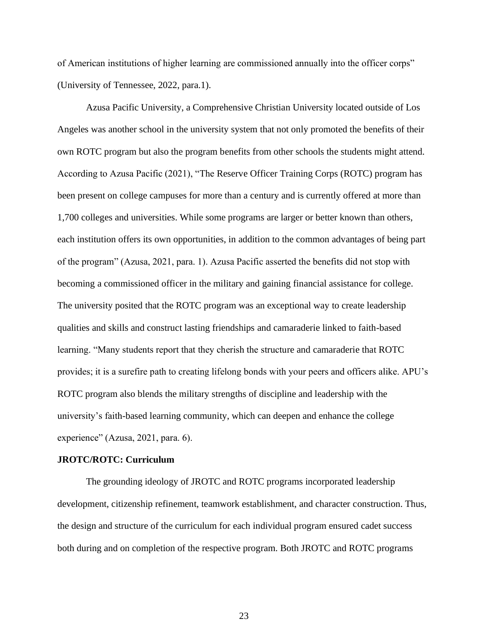of American institutions of higher learning are commissioned annually into the officer corps" (University of Tennessee, 2022, para.1).

Azusa Pacific University, a Comprehensive Christian University located outside of Los Angeles was another school in the university system that not only promoted the benefits of their own ROTC program but also the program benefits from other schools the students might attend. According to Azusa Pacific (2021), "The Reserve Officer Training Corps (ROTC) program has been present on college campuses for more than a century and is currently offered at more than 1,700 colleges and universities. While some programs are larger or better known than others, each institution offers its own opportunities, in addition to the common advantages of being part of the program" (Azusa, 2021, para. 1). Azusa Pacific asserted the benefits did not stop with becoming a commissioned officer in the military and gaining financial assistance for college. The university posited that the ROTC program was an exceptional way to create leadership qualities and skills and construct lasting friendships and camaraderie linked to faith-based learning. "Many students report that they cherish the structure and camaraderie that ROTC provides; it is a surefire path to creating lifelong bonds with your peers and officers alike. APU's ROTC program also blends the military strengths of discipline and leadership with the university's faith-based learning community, which can deepen and enhance the college experience" (Azusa, 2021, para. 6).

# **JROTC/ROTC: Curriculum**

The grounding ideology of JROTC and ROTC programs incorporated leadership development, citizenship refinement, teamwork establishment, and character construction. Thus, the design and structure of the curriculum for each individual program ensured cadet success both during and on completion of the respective program. Both JROTC and ROTC programs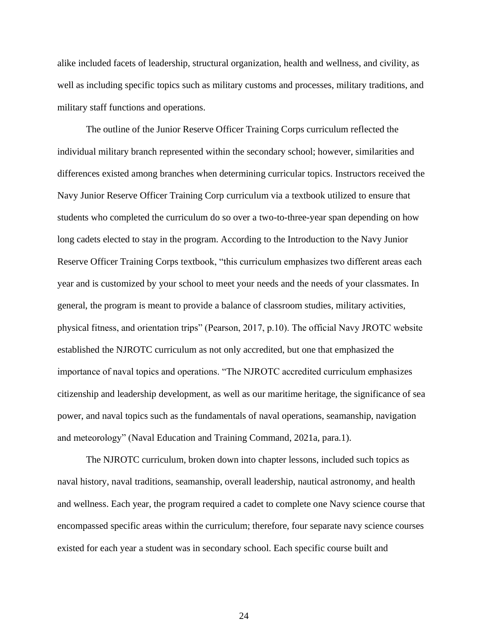alike included facets of leadership, structural organization, health and wellness, and civility, as well as including specific topics such as military customs and processes, military traditions, and military staff functions and operations.

The outline of the Junior Reserve Officer Training Corps curriculum reflected the individual military branch represented within the secondary school; however, similarities and differences existed among branches when determining curricular topics. Instructors received the Navy Junior Reserve Officer Training Corp curriculum via a textbook utilized to ensure that students who completed the curriculum do so over a two-to-three-year span depending on how long cadets elected to stay in the program. According to the Introduction to the Navy Junior Reserve Officer Training Corps textbook, "this curriculum emphasizes two different areas each year and is customized by your school to meet your needs and the needs of your classmates. In general, the program is meant to provide a balance of classroom studies, military activities, physical fitness, and orientation trips" (Pearson, 2017, p.10). The official Navy JROTC website established the NJROTC curriculum as not only accredited, but one that emphasized the importance of naval topics and operations. "The NJROTC accredited curriculum emphasizes citizenship and leadership development, as well as our maritime heritage, the significance of sea power, and naval topics such as the fundamentals of naval operations, seamanship, navigation and meteorology" (Naval Education and Training Command, 2021a, para.1).

The NJROTC curriculum, broken down into chapter lessons, included such topics as naval history, naval traditions, seamanship, overall leadership, nautical astronomy, and health and wellness. Each year, the program required a cadet to complete one Navy science course that encompassed specific areas within the curriculum; therefore, four separate navy science courses existed for each year a student was in secondary school. Each specific course built and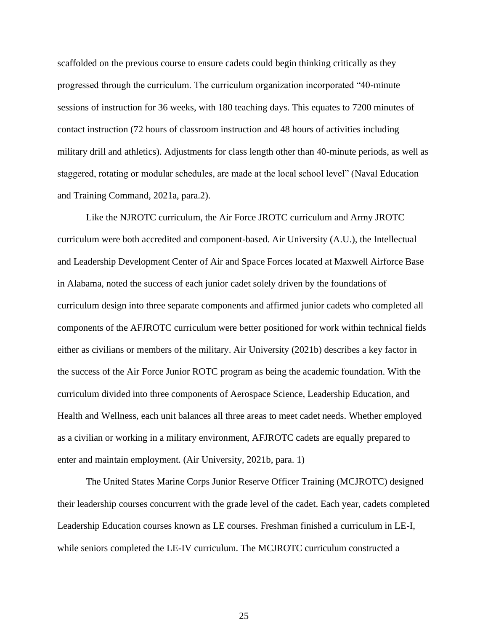scaffolded on the previous course to ensure cadets could begin thinking critically as they progressed through the curriculum. The curriculum organization incorporated "40-minute sessions of instruction for 36 weeks, with 180 teaching days. This equates to 7200 minutes of contact instruction (72 hours of classroom instruction and 48 hours of activities including military drill and athletics). Adjustments for class length other than 40-minute periods, as well as staggered, rotating or modular schedules, are made at the local school level" (Naval Education and Training Command, 2021a, para.2).

Like the NJROTC curriculum, the Air Force JROTC curriculum and Army JROTC curriculum were both accredited and component-based. Air University (A.U.), the Intellectual and Leadership Development Center of Air and Space Forces located at Maxwell Airforce Base in Alabama, noted the success of each junior cadet solely driven by the foundations of curriculum design into three separate components and affirmed junior cadets who completed all components of the AFJROTC curriculum were better positioned for work within technical fields either as civilians or members of the military. Air University (2021b) describes a key factor in the success of the Air Force Junior ROTC program as being the academic foundation. With the curriculum divided into three components of Aerospace Science, Leadership Education, and Health and Wellness, each unit balances all three areas to meet cadet needs. Whether employed as a civilian or working in a military environment, AFJROTC cadets are equally prepared to enter and maintain employment. (Air University, 2021b, para. 1)

The United States Marine Corps Junior Reserve Officer Training (MCJROTC) designed their leadership courses concurrent with the grade level of the cadet. Each year, cadets completed Leadership Education courses known as LE courses. Freshman finished a curriculum in LE-I, while seniors completed the LE-IV curriculum. The MCJROTC curriculum constructed a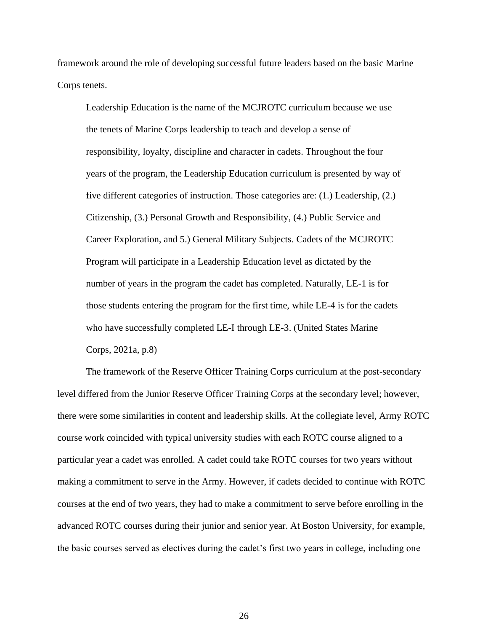framework around the role of developing successful future leaders based on the basic Marine Corps tenets.

Leadership Education is the name of the MCJROTC curriculum because we use the tenets of Marine Corps leadership to teach and develop a sense of responsibility, loyalty, discipline and character in cadets. Throughout the four years of the program, the Leadership Education curriculum is presented by way of five different categories of instruction. Those categories are: (1.) Leadership, (2.) Citizenship, (3.) Personal Growth and Responsibility, (4.) Public Service and Career Exploration, and 5.) General Military Subjects. Cadets of the MCJROTC Program will participate in a Leadership Education level as dictated by the number of years in the program the cadet has completed. Naturally, LE-1 is for those students entering the program for the first time, while LE-4 is for the cadets who have successfully completed LE-I through LE-3. (United States Marine Corps, 2021a, p.8)

The framework of the Reserve Officer Training Corps curriculum at the post-secondary level differed from the Junior Reserve Officer Training Corps at the secondary level; however, there were some similarities in content and leadership skills. At the collegiate level, Army ROTC course work coincided with typical university studies with each ROTC course aligned to a particular year a cadet was enrolled. A cadet could take ROTC courses for two years without making a commitment to serve in the Army. However, if cadets decided to continue with ROTC courses at the end of two years, they had to make a commitment to serve before enrolling in the advanced ROTC courses during their junior and senior year. At Boston University, for example, the basic courses served as electives during the cadet's first two years in college, including one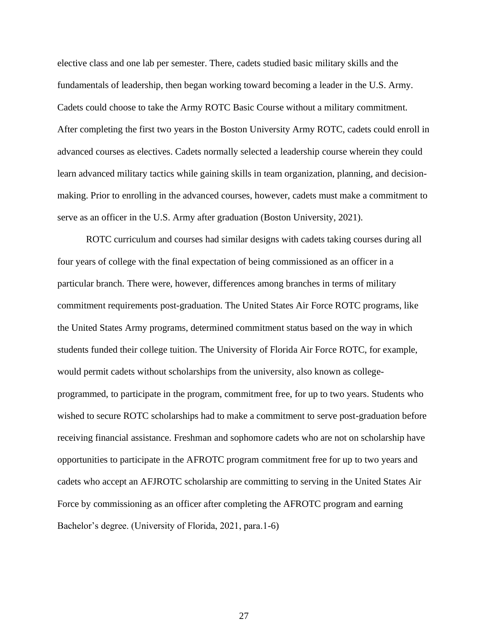elective class and one lab per semester. There, cadets studied basic military skills and the fundamentals of leadership, then began working toward becoming a leader in the U.S. Army. Cadets could choose to take the Army ROTC Basic Course without a military commitment. After completing the first two years in the Boston University Army ROTC, cadets could enroll in advanced courses as electives. Cadets normally selected a leadership course wherein they could learn advanced military tactics while gaining skills in team organization, planning, and decisionmaking. Prior to enrolling in the advanced courses, however, cadets must make a commitment to serve as an officer in the U.S. Army after graduation (Boston University, 2021).

ROTC curriculum and courses had similar designs with cadets taking courses during all four years of college with the final expectation of being commissioned as an officer in a particular branch. There were, however, differences among branches in terms of military commitment requirements post-graduation. The United States Air Force ROTC programs, like the United States Army programs, determined commitment status based on the way in which students funded their college tuition. The University of Florida Air Force ROTC, for example, would permit cadets without scholarships from the university, also known as collegeprogrammed, to participate in the program, commitment free, for up to two years. Students who wished to secure ROTC scholarships had to make a commitment to serve post-graduation before receiving financial assistance. Freshman and sophomore cadets who are not on scholarship have opportunities to participate in the AFROTC program commitment free for up to two years and cadets who accept an AFJROTC scholarship are committing to serving in the United States Air Force by commissioning as an officer after completing the AFROTC program and earning Bachelor's degree. (University of Florida, 2021, para.1-6)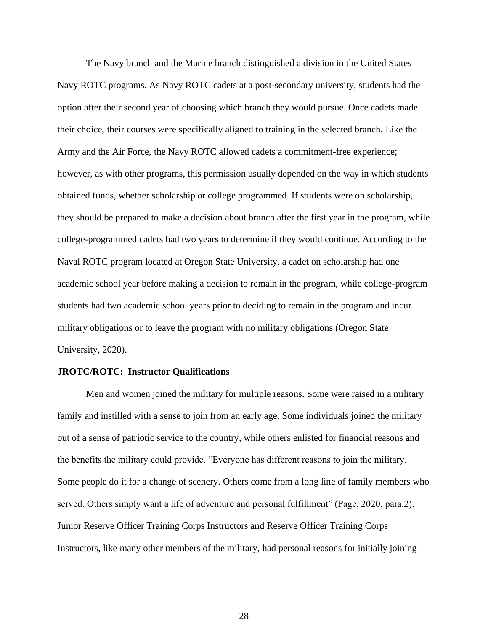The Navy branch and the Marine branch distinguished a division in the United States Navy ROTC programs. As Navy ROTC cadets at a post-secondary university, students had the option after their second year of choosing which branch they would pursue. Once cadets made their choice, their courses were specifically aligned to training in the selected branch. Like the Army and the Air Force, the Navy ROTC allowed cadets a commitment-free experience; however, as with other programs, this permission usually depended on the way in which students obtained funds, whether scholarship or college programmed. If students were on scholarship, they should be prepared to make a decision about branch after the first year in the program, while college-programmed cadets had two years to determine if they would continue. According to the Naval ROTC program located at Oregon State University, a cadet on scholarship had one academic school year before making a decision to remain in the program, while college-program students had two academic school years prior to deciding to remain in the program and incur military obligations or to leave the program with no military obligations (Oregon State University, 2020).

### **JROTC/ROTC: Instructor Qualifications**

Men and women joined the military for multiple reasons. Some were raised in a military family and instilled with a sense to join from an early age. Some individuals joined the military out of a sense of patriotic service to the country, while others enlisted for financial reasons and the benefits the military could provide. "Everyone has different reasons to join the military. Some people do it for a change of scenery. Others come from a long line of family members who served. Others simply want a life of adventure and personal fulfillment" (Page, 2020, para.2). Junior Reserve Officer Training Corps Instructors and Reserve Officer Training Corps Instructors, like many other members of the military, had personal reasons for initially joining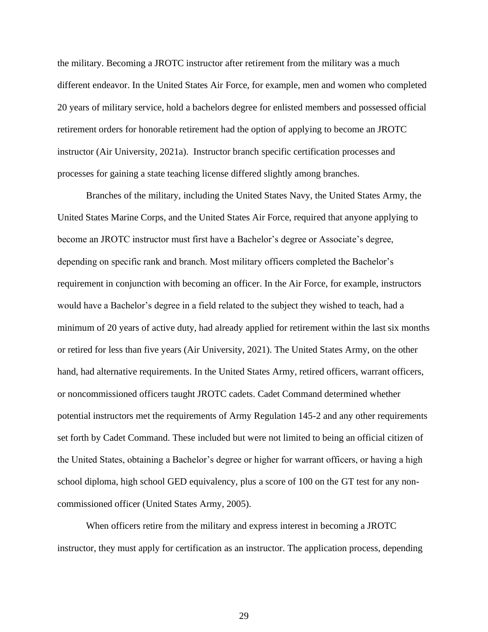the military. Becoming a JROTC instructor after retirement from the military was a much different endeavor. In the United States Air Force, for example, men and women who completed 20 years of military service, hold a bachelors degree for enlisted members and possessed official retirement orders for honorable retirement had the option of applying to become an JROTC instructor (Air University, 2021a). Instructor branch specific certification processes and processes for gaining a state teaching license differed slightly among branches.

Branches of the military, including the United States Navy, the United States Army, the United States Marine Corps, and the United States Air Force, required that anyone applying to become an JROTC instructor must first have a Bachelor's degree or Associate's degree, depending on specific rank and branch. Most military officers completed the Bachelor's requirement in conjunction with becoming an officer. In the Air Force, for example, instructors would have a Bachelor's degree in a field related to the subject they wished to teach, had a minimum of 20 years of active duty, had already applied for retirement within the last six months or retired for less than five years (Air University, 2021). The United States Army, on the other hand, had alternative requirements. In the United States Army, retired officers, warrant officers, or noncommissioned officers taught JROTC cadets. Cadet Command determined whether potential instructors met the requirements of Army Regulation 145-2 and any other requirements set forth by Cadet Command. These included but were not limited to being an official citizen of the United States, obtaining a Bachelor's degree or higher for warrant officers, or having a high school diploma, high school GED equivalency, plus a score of 100 on the GT test for any noncommissioned officer (United States Army, 2005).

When officers retire from the military and express interest in becoming a JROTC instructor, they must apply for certification as an instructor. The application process, depending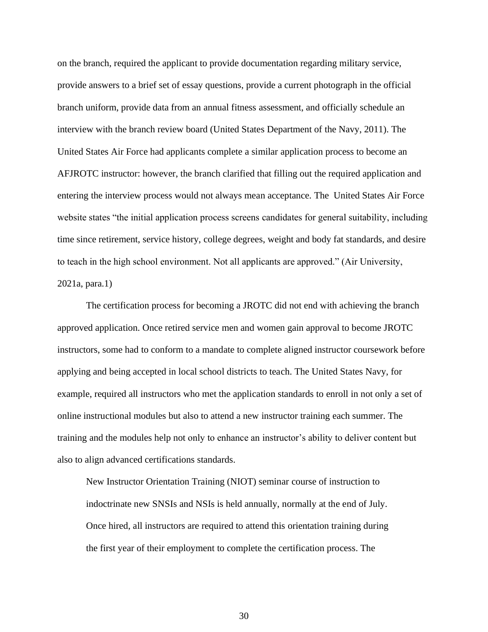on the branch, required the applicant to provide documentation regarding military service, provide answers to a brief set of essay questions, provide a current photograph in the official branch uniform, provide data from an annual fitness assessment, and officially schedule an interview with the branch review board (United States Department of the Navy, 2011). The United States Air Force had applicants complete a similar application process to become an AFJROTC instructor: however, the branch clarified that filling out the required application and entering the interview process would not always mean acceptance. The United States Air Force website states "the initial application process screens candidates for general suitability, including time since retirement, service history, college degrees, weight and body fat standards, and desire to teach in the high school environment. Not all applicants are approved." (Air University, 2021a, para.1)

The certification process for becoming a JROTC did not end with achieving the branch approved application. Once retired service men and women gain approval to become JROTC instructors, some had to conform to a mandate to complete aligned instructor coursework before applying and being accepted in local school districts to teach. The United States Navy, for example, required all instructors who met the application standards to enroll in not only a set of online instructional modules but also to attend a new instructor training each summer. The training and the modules help not only to enhance an instructor's ability to deliver content but also to align advanced certifications standards.

New Instructor Orientation Training (NIOT) seminar course of instruction to indoctrinate new SNSIs and NSIs is held annually, normally at the end of July. Once hired, all instructors are required to attend this orientation training during the first year of their employment to complete the certification process. The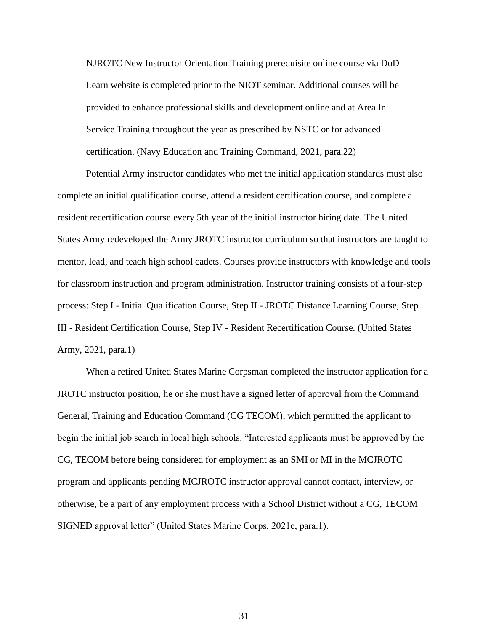NJROTC New Instructor Orientation Training prerequisite online course via DoD Learn website is completed prior to the NIOT seminar. Additional courses will be provided to enhance professional skills and development online and at Area In Service Training throughout the year as prescribed by NSTC or for advanced certification. (Navy Education and Training Command, 2021, para.22)

Potential Army instructor candidates who met the initial application standards must also complete an initial qualification course, attend a resident certification course, and complete a resident recertification course every 5th year of the initial instructor hiring date. The United States Army redeveloped the Army JROTC instructor curriculum so that instructors are taught to mentor, lead, and teach high school cadets. Courses provide instructors with knowledge and tools for classroom instruction and program administration. Instructor training consists of a four-step process: Step I - Initial Qualification Course, Step II - JROTC Distance Learning Course, Step III - Resident Certification Course, Step IV - Resident Recertification Course. (United States Army, 2021, para.1)

When a retired United States Marine Corpsman completed the instructor application for a JROTC instructor position, he or she must have a signed letter of approval from the Command General, Training and Education Command (CG TECOM), which permitted the applicant to begin the initial job search in local high schools. "Interested applicants must be approved by the CG, TECOM before being considered for employment as an SMI or MI in the MCJROTC program and applicants pending MCJROTC instructor approval cannot contact, interview, or otherwise, be a part of any employment process with a School District without a CG, TECOM SIGNED approval letter" (United States Marine Corps, 2021c, para.1).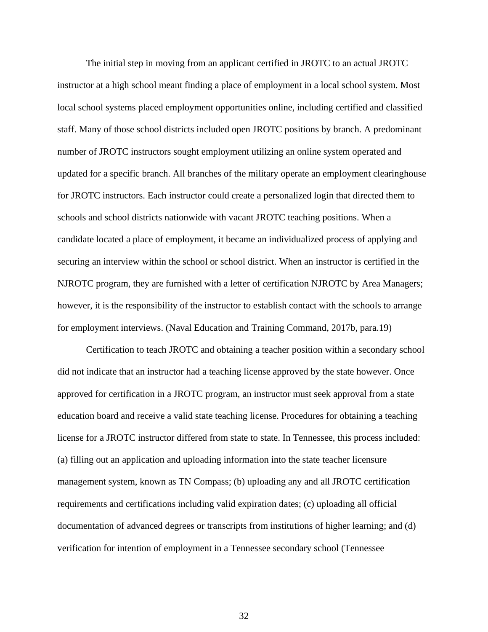The initial step in moving from an applicant certified in JROTC to an actual JROTC instructor at a high school meant finding a place of employment in a local school system. Most local school systems placed employment opportunities online, including certified and classified staff. Many of those school districts included open JROTC positions by branch. A predominant number of JROTC instructors sought employment utilizing an online system operated and updated for a specific branch. All branches of the military operate an employment clearinghouse for JROTC instructors. Each instructor could create a personalized login that directed them to schools and school districts nationwide with vacant JROTC teaching positions. When a candidate located a place of employment, it became an individualized process of applying and securing an interview within the school or school district. When an instructor is certified in the NJROTC program, they are furnished with a letter of certification NJROTC by Area Managers; however, it is the responsibility of the instructor to establish contact with the schools to arrange for employment interviews. (Naval Education and Training Command, 2017b, para.19)

Certification to teach JROTC and obtaining a teacher position within a secondary school did not indicate that an instructor had a teaching license approved by the state however. Once approved for certification in a JROTC program, an instructor must seek approval from a state education board and receive a valid state teaching license. Procedures for obtaining a teaching license for a JROTC instructor differed from state to state. In Tennessee, this process included: (a) filling out an application and uploading information into the state teacher licensure management system, known as TN Compass; (b) uploading any and all JROTC certification requirements and certifications including valid expiration dates; (c) uploading all official documentation of advanced degrees or transcripts from institutions of higher learning; and (d) verification for intention of employment in a Tennessee secondary school (Tennessee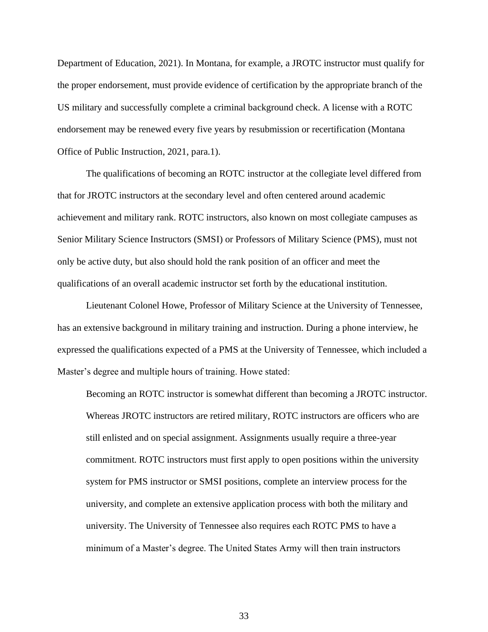Department of Education, 2021). In Montana, for example, a JROTC instructor must qualify for the proper endorsement, must provide evidence of certification by the appropriate branch of the US military and successfully complete a criminal background check. A license with a ROTC endorsement may be renewed every five years by resubmission or recertification (Montana Office of Public Instruction, 2021, para.1).

The qualifications of becoming an ROTC instructor at the collegiate level differed from that for JROTC instructors at the secondary level and often centered around academic achievement and military rank. ROTC instructors, also known on most collegiate campuses as Senior Military Science Instructors (SMSI) or Professors of Military Science (PMS), must not only be active duty, but also should hold the rank position of an officer and meet the qualifications of an overall academic instructor set forth by the educational institution.

Lieutenant Colonel Howe, Professor of Military Science at the University of Tennessee, has an extensive background in military training and instruction. During a phone interview, he expressed the qualifications expected of a PMS at the University of Tennessee, which included a Master's degree and multiple hours of training. Howe stated:

Becoming an ROTC instructor is somewhat different than becoming a JROTC instructor. Whereas JROTC instructors are retired military, ROTC instructors are officers who are still enlisted and on special assignment. Assignments usually require a three-year commitment. ROTC instructors must first apply to open positions within the university system for PMS instructor or SMSI positions, complete an interview process for the university, and complete an extensive application process with both the military and university. The University of Tennessee also requires each ROTC PMS to have a minimum of a Master's degree. The United States Army will then train instructors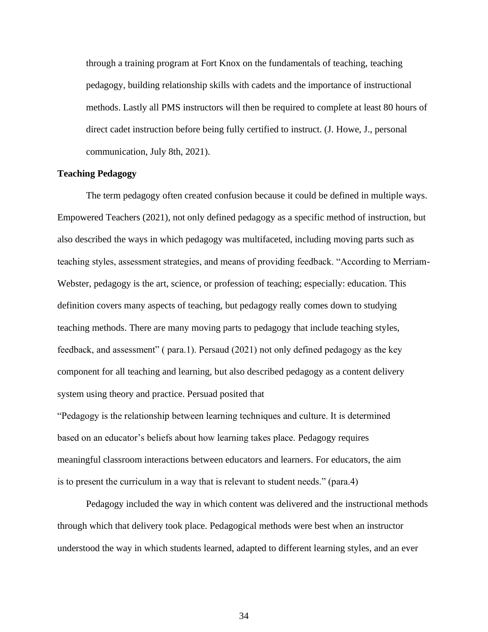through a training program at Fort Knox on the fundamentals of teaching, teaching pedagogy, building relationship skills with cadets and the importance of instructional methods. Lastly all PMS instructors will then be required to complete at least 80 hours of direct cadet instruction before being fully certified to instruct. (J. Howe, J., personal communication, July 8th, 2021).

# **Teaching Pedagogy**

The term pedagogy often created confusion because it could be defined in multiple ways. Empowered Teachers (2021), not only defined pedagogy as a specific method of instruction, but also described the ways in which pedagogy was multifaceted, including moving parts such as teaching styles, assessment strategies, and means of providing feedback. "According to Merriam-Webster, pedagogy is the art, science, or profession of teaching; especially: education. This definition covers many aspects of teaching, but pedagogy really comes down to studying teaching methods. There are many moving parts to pedagogy that include teaching styles, feedback, and assessment" ( para.1). Persaud (2021) not only defined pedagogy as the key component for all teaching and learning, but also described pedagogy as a content delivery system using theory and practice. Persuad posited that

"Pedagogy is the relationship between learning techniques and culture. It is determined based on an educator's beliefs about how learning takes place. Pedagogy requires meaningful classroom interactions between educators and learners. For educators, the aim is to present the curriculum in a way that is relevant to student needs." (para.4)

Pedagogy included the way in which content was delivered and the instructional methods through which that delivery took place. Pedagogical methods were best when an instructor understood the way in which students learned, adapted to different learning styles, and an ever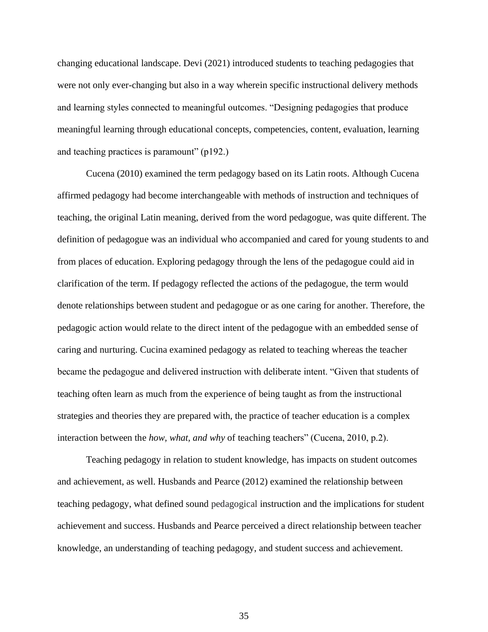changing educational landscape. Devi (2021) introduced students to teaching pedagogies that were not only ever-changing but also in a way wherein specific instructional delivery methods and learning styles connected to meaningful outcomes. "Designing pedagogies that produce meaningful learning through educational concepts, competencies, content, evaluation, learning and teaching practices is paramount" (p192.)

Cucena (2010) examined the term pedagogy based on its Latin roots. Although Cucena affirmed pedagogy had become interchangeable with methods of instruction and techniques of teaching, the original Latin meaning, derived from the word pedagogue, was quite different. The definition of pedagogue was an individual who accompanied and cared for young students to and from places of education. Exploring pedagogy through the lens of the pedagogue could aid in clarification of the term. If pedagogy reflected the actions of the pedagogue, the term would denote relationships between student and pedagogue or as one caring for another. Therefore, the pedagogic action would relate to the direct intent of the pedagogue with an embedded sense of caring and nurturing. Cucina examined pedagogy as related to teaching whereas the teacher became the pedagogue and delivered instruction with deliberate intent. "Given that students of teaching often learn as much from the experience of being taught as from the instructional strategies and theories they are prepared with, the practice of teacher education is a complex interaction between the *how, what, and why* of teaching teachers" (Cucena, 2010, p.2).

Teaching pedagogy in relation to student knowledge, has impacts on student outcomes and achievement, as well. Husbands and Pearce (2012) examined the relationship between teaching pedagogy, what defined sound pedagogical instruction and the implications for student achievement and success. Husbands and Pearce perceived a direct relationship between teacher knowledge, an understanding of teaching pedagogy, and student success and achievement.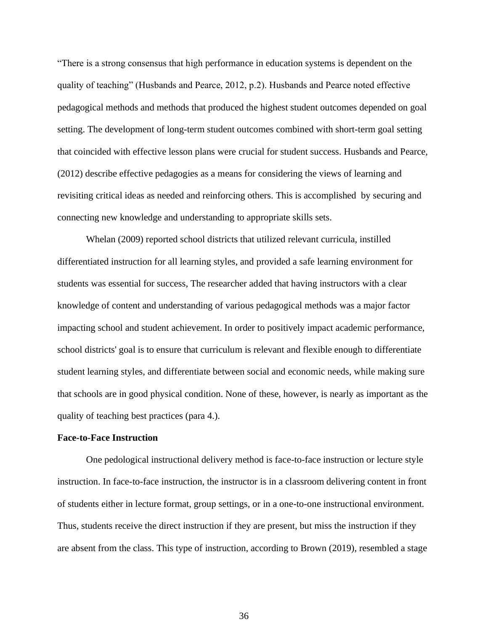"There is a strong consensus that high performance in education systems is dependent on the quality of teaching" (Husbands and Pearce, 2012, p.2). Husbands and Pearce noted effective pedagogical methods and methods that produced the highest student outcomes depended on goal setting. The development of long-term student outcomes combined with short-term goal setting that coincided with effective lesson plans were crucial for student success. Husbands and Pearce, (2012) describe effective pedagogies as a means for considering the views of learning and revisiting critical ideas as needed and reinforcing others. This is accomplished by securing and connecting new knowledge and understanding to appropriate skills sets.

Whelan (2009) reported school districts that utilized relevant curricula, instilled differentiated instruction for all learning styles, and provided a safe learning environment for students was essential for success, The researcher added that having instructors with a clear knowledge of content and understanding of various pedagogical methods was a major factor impacting school and student achievement. In order to positively impact academic performance, school districts' goal is to ensure that curriculum is relevant and flexible enough to differentiate student learning styles, and differentiate between social and economic needs, while making sure that schools are in good physical condition. None of these, however, is nearly as important as the quality of teaching best practices (para 4.).

## **Face-to-Face Instruction**

One pedological instructional delivery method is face-to-face instruction or lecture style instruction. In face-to-face instruction, the instructor is in a classroom delivering content in front of students either in lecture format, group settings, or in a one-to-one instructional environment. Thus, students receive the direct instruction if they are present, but miss the instruction if they are absent from the class. This type of instruction, according to Brown (2019), resembled a stage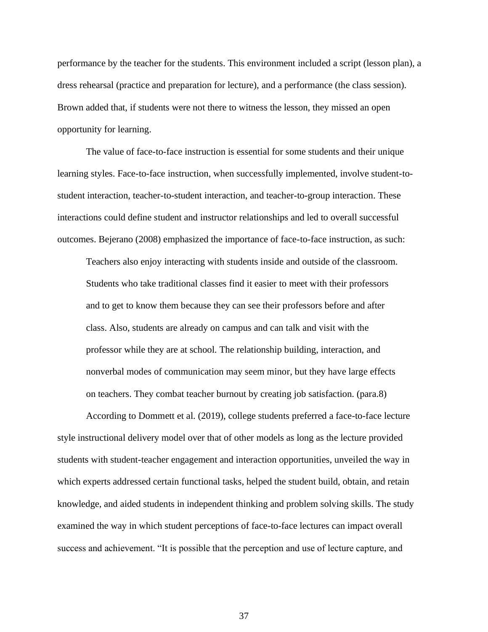performance by the teacher for the students. This environment included a script (lesson plan), a dress rehearsal (practice and preparation for lecture), and a performance (the class session). Brown added that, if students were not there to witness the lesson, they missed an open opportunity for learning.

The value of face-to-face instruction is essential for some students and their unique learning styles. Face-to-face instruction, when successfully implemented, involve student-tostudent interaction, teacher-to-student interaction, and teacher-to-group interaction. These interactions could define student and instructor relationships and led to overall successful outcomes. Bejerano (2008) emphasized the importance of face-to-face instruction, as such:

Teachers also enjoy interacting with students inside and outside of the classroom. Students who take traditional classes find it easier to meet with their professors and to get to know them because they can see their professors before and after class. Also, students are already on campus and can talk and visit with the professor while they are at school. The relationship building, interaction, and nonverbal modes of communication may seem minor, but they have large effects on teachers. They combat teacher burnout by creating job satisfaction. (para.8)

According to Dommett et al. (2019), college students preferred a face-to-face lecture style instructional delivery model over that of other models as long as the lecture provided students with student-teacher engagement and interaction opportunities, unveiled the way in which experts addressed certain functional tasks, helped the student build, obtain, and retain knowledge, and aided students in independent thinking and problem solving skills. The study examined the way in which student perceptions of face-to-face lectures can impact overall success and achievement. "It is possible that the perception and use of lecture capture, and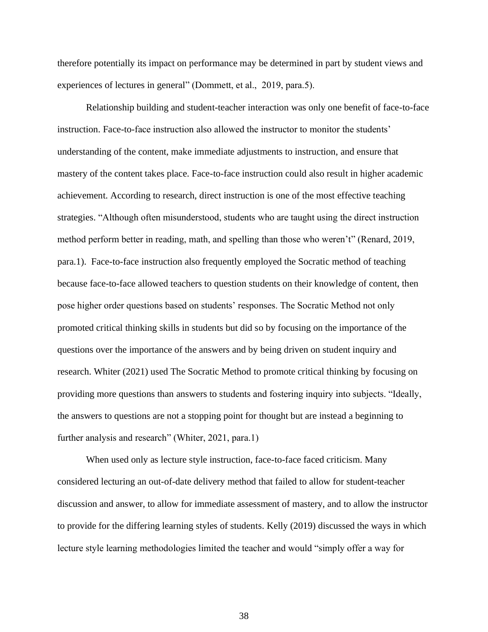therefore potentially its impact on performance may be determined in part by student views and experiences of lectures in general" (Dommett, et al., 2019, para.5).

Relationship building and student-teacher interaction was only one benefit of face-to-face instruction. Face-to-face instruction also allowed the instructor to monitor the students' understanding of the content, make immediate adjustments to instruction, and ensure that mastery of the content takes place. Face-to-face instruction could also result in higher academic achievement. According to research, direct instruction is one of the most effective teaching strategies. "Although often misunderstood, students who are taught using the direct instruction method perform better in reading, math, and spelling than those who weren't" (Renard, 2019, para.1). Face-to-face instruction also frequently employed the Socratic method of teaching because face-to-face allowed teachers to question students on their knowledge of content, then pose higher order questions based on students' responses. The Socratic Method not only promoted critical thinking skills in students but did so by focusing on the importance of the questions over the importance of the answers and by being driven on student inquiry and research. Whiter (2021) used The Socratic Method to promote critical thinking by focusing on providing more questions than answers to students and fostering inquiry into subjects. "Ideally, the answers to questions are not a stopping point for thought but are instead a beginning to further analysis and research" (Whiter, 2021, para.1)

When used only as lecture style instruction, face-to-face faced criticism. Many considered lecturing an out-of-date delivery method that failed to allow for student-teacher discussion and answer, to allow for immediate assessment of mastery, and to allow the instructor to provide for the differing learning styles of students. Kelly (2019) discussed the ways in which lecture style learning methodologies limited the teacher and would "simply offer a way for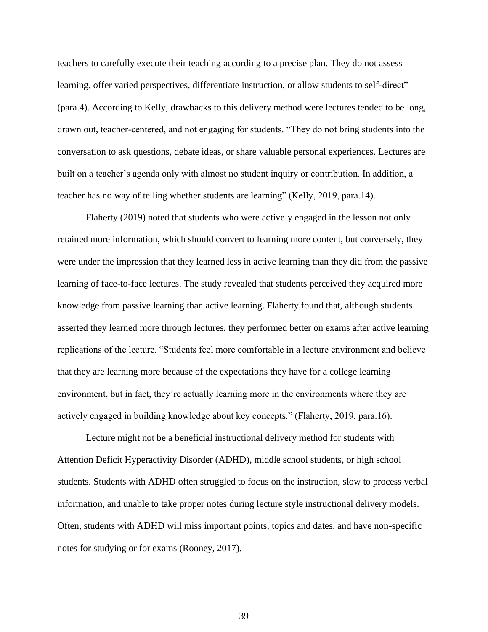teachers to carefully execute their teaching according to a precise plan. They do not assess learning, offer varied perspectives, differentiate instruction, or allow students to self-direct" (para.4). According to Kelly, drawbacks to this delivery method were lectures tended to be long, drawn out, teacher-centered, and not engaging for students. "They do not bring students into the conversation to ask questions, debate ideas, or share valuable personal experiences. Lectures are built on a teacher's agenda only with almost no student inquiry or contribution. In addition, a teacher has no way of telling whether students are learning" (Kelly, 2019, para.14).

Flaherty (2019) noted that students who were actively engaged in the lesson not only retained more information, which should convert to learning more content, but conversely, they were under the impression that they learned less in active learning than they did from the passive learning of face-to-face lectures. The study revealed that students perceived they acquired more knowledge from passive learning than active learning. Flaherty found that, although students asserted they learned more through lectures, they performed better on exams after active learning replications of the lecture. "Students feel more comfortable in a lecture environment and believe that they are learning more because of the expectations they have for a college learning environment, but in fact, they're actually learning more in the environments where they are actively engaged in building knowledge about key concepts." (Flaherty, 2019, para.16).

Lecture might not be a beneficial instructional delivery method for students with Attention Deficit Hyperactivity Disorder (ADHD), middle school students, or high school students. Students with ADHD often struggled to focus on the instruction, slow to process verbal information, and unable to take proper notes during lecture style instructional delivery models. Often, students with ADHD will miss important points, topics and dates, and have non-specific notes for studying or for exams (Rooney, 2017).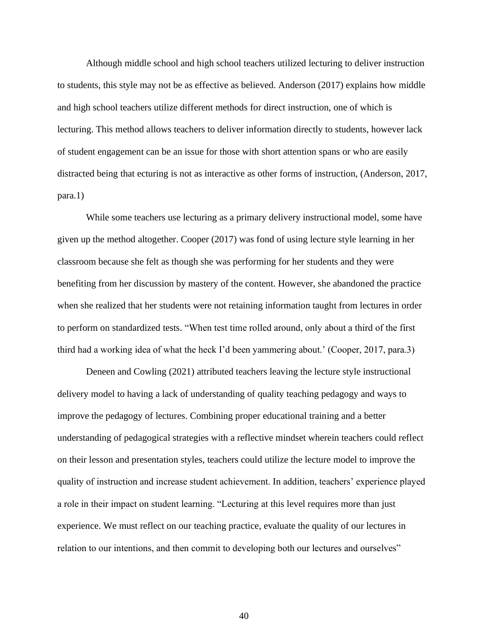Although middle school and high school teachers utilized lecturing to deliver instruction to students, this style may not be as effective as believed. Anderson (2017) explains how middle and high school teachers utilize different methods for direct instruction, one of which is lecturing. This method allows teachers to deliver information directly to students, however lack of student engagement can be an issue for those with short attention spans or who are easily distracted being that ecturing is not as interactive as other forms of instruction, (Anderson, 2017, para.1)

While some teachers use lecturing as a primary delivery instructional model, some have given up the method altogether. Cooper (2017) was fond of using lecture style learning in her classroom because she felt as though she was performing for her students and they were benefiting from her discussion by mastery of the content. However, she abandoned the practice when she realized that her students were not retaining information taught from lectures in order to perform on standardized tests. "When test time rolled around, only about a third of the first third had a working idea of what the heck I'd been yammering about.' (Cooper, 2017, para.3)

Deneen and Cowling (2021) attributed teachers leaving the lecture style instructional delivery model to having a lack of understanding of quality teaching pedagogy and ways to improve the pedagogy of lectures. Combining proper educational training and a better understanding of pedagogical strategies with a reflective mindset wherein teachers could reflect on their lesson and presentation styles, teachers could utilize the lecture model to improve the quality of instruction and increase student achievement. In addition, teachers' experience played a role in their impact on student learning. "Lecturing at this level requires more than just experience. We must reflect on our teaching practice, evaluate the quality of our lectures in relation to our intentions, and then commit to developing both our lectures and ourselves"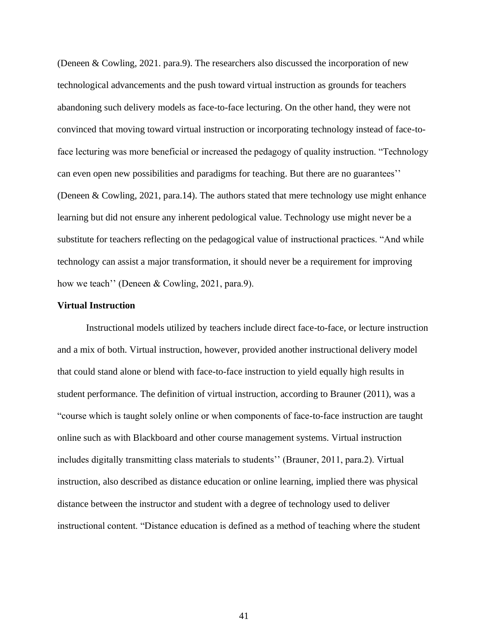(Deneen & Cowling, 2021. para.9). The researchers also discussed the incorporation of new technological advancements and the push toward virtual instruction as grounds for teachers abandoning such delivery models as face-to-face lecturing. On the other hand, they were not convinced that moving toward virtual instruction or incorporating technology instead of face-toface lecturing was more beneficial or increased the pedagogy of quality instruction. "Technology can even open new possibilities and paradigms for teaching. But there are no guarantees'' (Deneen & Cowling, 2021, para.14). The authors stated that mere technology use might enhance learning but did not ensure any inherent pedological value. Technology use might never be a substitute for teachers reflecting on the pedagogical value of instructional practices. "And while technology can assist a major transformation, it should never be a requirement for improving how we teach'' (Deneen & Cowling, 2021, para.9).

## **Virtual Instruction**

Instructional models utilized by teachers include direct face-to-face, or lecture instruction and a mix of both. Virtual instruction, however, provided another instructional delivery model that could stand alone or blend with face-to-face instruction to yield equally high results in student performance. The definition of virtual instruction, according to Brauner (2011), was a "course which is taught solely online or when components of face-to-face instruction are taught online such as with Blackboard and other course management systems. Virtual instruction includes digitally transmitting class materials to students'' (Brauner, 2011, para.2). Virtual instruction, also described as distance education or online learning, implied there was physical distance between the instructor and student with a degree of technology used to deliver instructional content. "Distance education is defined as a method of teaching where the student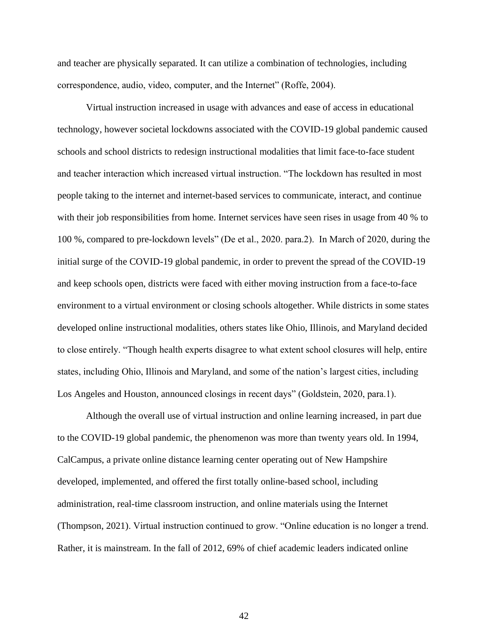and teacher are physically separated. It can utilize a combination of technologies, including correspondence, audio, video, computer, and the Internet" (Roffe, 2004).

Virtual instruction increased in usage with advances and ease of access in educational technology, however societal lockdowns associated with the COVID-19 global pandemic caused schools and school districts to redesign instructional modalities that limit face-to-face student and teacher interaction which increased virtual instruction. "The lockdown has resulted in most people taking to the internet and internet-based services to communicate, interact, and continue with their job responsibilities from home. Internet services have seen rises in usage from 40 % to 100 %, compared to pre-lockdown levels" (De et al., 2020. para.2). In March of 2020, during the initial surge of the COVID-19 global pandemic, in order to prevent the spread of the COVID-19 and keep schools open, districts were faced with either moving instruction from a face-to-face environment to a virtual environment or closing schools altogether. While districts in some states developed online instructional modalities, others states like Ohio, Illinois, and Maryland decided to close entirely. "Though health experts disagree to what extent school closures will help, entire states, including Ohio, Illinois and Maryland, and some of the nation's largest cities, including Los Angeles and Houston, announced closings in recent days" (Goldstein, 2020, para.1).

Although the overall use of virtual instruction and online learning increased, in part due to the COVID-19 global pandemic, the phenomenon was more than twenty years old. In 1994, CalCampus, a private online distance learning center operating out of New Hampshire developed, implemented, and offered the first totally online-based school, including administration, real-time classroom instruction, and online materials using the Internet (Thompson, 2021). Virtual instruction continued to grow. "Online education is no longer a trend. Rather, it is mainstream. In the fall of 2012, 69% of chief academic leaders indicated online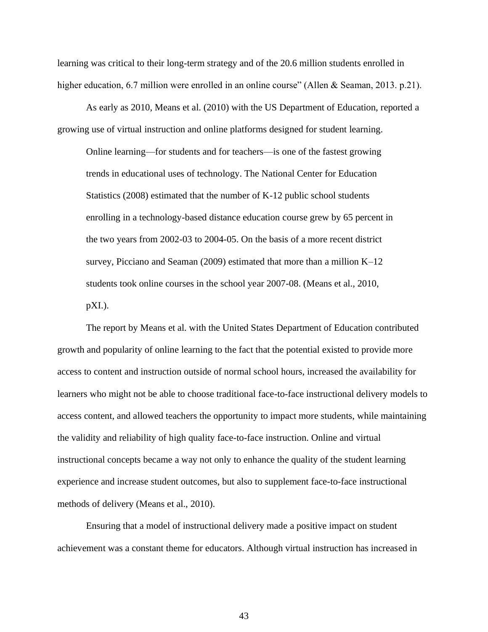learning was critical to their long-term strategy and of the 20.6 million students enrolled in higher education, 6.7 million were enrolled in an online course" (Allen & Seaman, 2013. p.21).

As early as 2010, Means et al. (2010) with the US Department of Education, reported a growing use of virtual instruction and online platforms designed for student learning.

Online learning—for students and for teachers—is one of the fastest growing trends in educational uses of technology. The National Center for Education Statistics (2008) estimated that the number of K-12 public school students enrolling in a technology-based distance education course grew by 65 percent in the two years from 2002-03 to 2004-05. On the basis of a more recent district survey, Picciano and Seaman (2009) estimated that more than a million  $K-12$ students took online courses in the school year 2007-08. (Means et al., 2010, pXI.).

The report by Means et al. with the United States Department of Education contributed growth and popularity of online learning to the fact that the potential existed to provide more access to content and instruction outside of normal school hours, increased the availability for learners who might not be able to choose traditional face-to-face instructional delivery models to access content, and allowed teachers the opportunity to impact more students, while maintaining the validity and reliability of high quality face-to-face instruction. Online and virtual instructional concepts became a way not only to enhance the quality of the student learning experience and increase student outcomes, but also to supplement face-to-face instructional methods of delivery (Means et al., 2010).

Ensuring that a model of instructional delivery made a positive impact on student achievement was a constant theme for educators. Although virtual instruction has increased in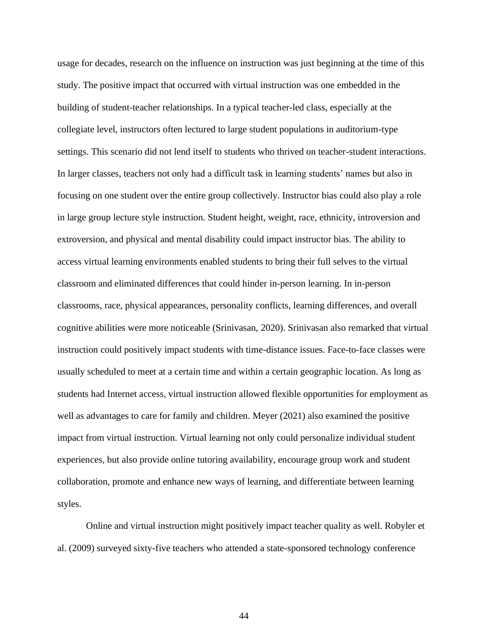usage for decades, research on the influence on instruction was just beginning at the time of this study. The positive impact that occurred with virtual instruction was one embedded in the building of student-teacher relationships. In a typical teacher-led class, especially at the collegiate level, instructors often lectured to large student populations in auditorium-type settings. This scenario did not lend itself to students who thrived on teacher-student interactions. In larger classes, teachers not only had a difficult task in learning students' names but also in focusing on one student over the entire group collectively. Instructor bias could also play a role in large group lecture style instruction. Student height, weight, race, ethnicity, introversion and extroversion, and physical and mental disability could impact instructor bias. The ability to access virtual learning environments enabled students to bring their full selves to the virtual classroom and eliminated differences that could hinder in-person learning. In in-person classrooms, race, physical appearances, personality conflicts, learning differences, and overall cognitive abilities were more noticeable (Srinivasan, 2020). Srinivasan also remarked that virtual instruction could positively impact students with time-distance issues. Face-to-face classes were usually scheduled to meet at a certain time and within a certain geographic location. As long as students had Internet access, virtual instruction allowed flexible opportunities for employment as well as advantages to care for family and children. Meyer (2021) also examined the positive impact from virtual instruction. Virtual learning not only could personalize individual student experiences, but also provide online tutoring availability, encourage group work and student collaboration, promote and enhance new ways of learning, and differentiate between learning styles.

Online and virtual instruction might positively impact teacher quality as well. Robyler et al. (2009) surveyed sixty-five teachers who attended a state-sponsored technology conference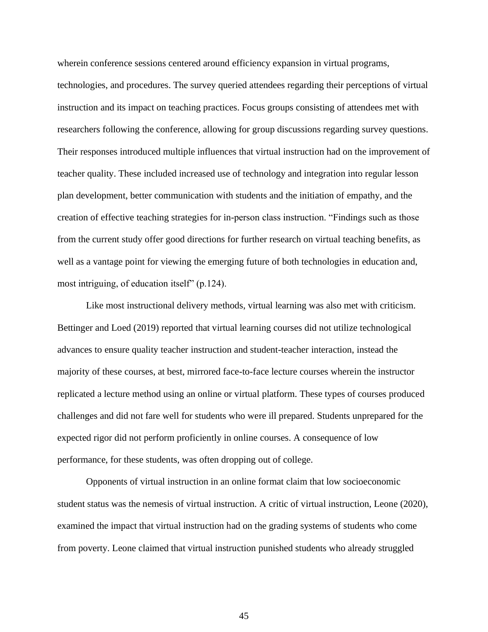wherein conference sessions centered around efficiency expansion in virtual programs, technologies, and procedures. The survey queried attendees regarding their perceptions of virtual instruction and its impact on teaching practices. Focus groups consisting of attendees met with researchers following the conference, allowing for group discussions regarding survey questions. Their responses introduced multiple influences that virtual instruction had on the improvement of teacher quality. These included increased use of technology and integration into regular lesson plan development, better communication with students and the initiation of empathy, and the creation of effective teaching strategies for in-person class instruction. "Findings such as those from the current study offer good directions for further research on virtual teaching benefits, as well as a vantage point for viewing the emerging future of both technologies in education and, most intriguing, of education itself" (p.124).

Like most instructional delivery methods, virtual learning was also met with criticism. Bettinger and Loed (2019) reported that virtual learning courses did not utilize technological advances to ensure quality teacher instruction and student-teacher interaction, instead the majority of these courses, at best, mirrored face-to-face lecture courses wherein the instructor replicated a lecture method using an online or virtual platform. These types of courses produced challenges and did not fare well for students who were ill prepared. Students unprepared for the expected rigor did not perform proficiently in online courses. A consequence of low performance, for these students, was often dropping out of college.

Opponents of virtual instruction in an online format claim that low socioeconomic student status was the nemesis of virtual instruction. A critic of virtual instruction, Leone (2020), examined the impact that virtual instruction had on the grading systems of students who come from poverty. Leone claimed that virtual instruction punished students who already struggled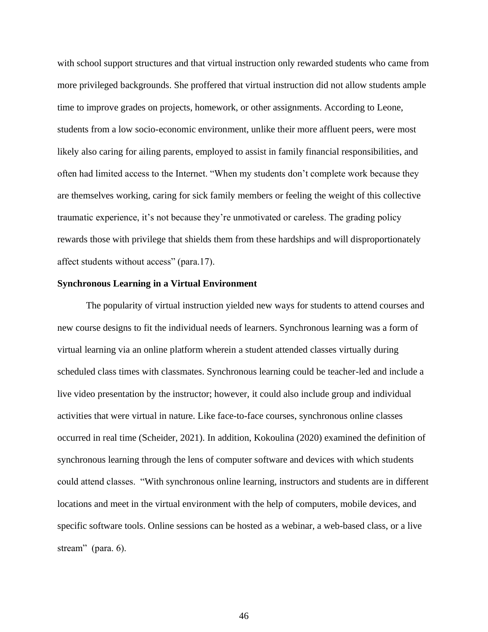with school support structures and that virtual instruction only rewarded students who came from more privileged backgrounds. She proffered that virtual instruction did not allow students ample time to improve grades on projects, homework, or other assignments. According to Leone, students from a low socio-economic environment, unlike their more affluent peers, were most likely also caring for ailing parents, employed to assist in family financial responsibilities, and often had limited access to the Internet. "When my students don't complete work because they are themselves working, caring for sick family members or feeling the weight of this collective traumatic experience, it's not because they're unmotivated or careless. The grading policy rewards those with privilege that shields them from these hardships and will disproportionately affect students without access" (para.17).

#### **Synchronous Learning in a Virtual Environment**

The popularity of virtual instruction yielded new ways for students to attend courses and new course designs to fit the individual needs of learners. Synchronous learning was a form of virtual learning via an online platform wherein a student attended classes virtually during scheduled class times with classmates. Synchronous learning could be teacher-led and include a live video presentation by the instructor; however, it could also include group and individual activities that were virtual in nature. Like face-to-face courses, synchronous online classes occurred in real time (Scheider, 2021). In addition, Kokoulina (2020) examined the definition of synchronous learning through the lens of computer software and devices with which students could attend classes. "With synchronous online learning, instructors and students are in different locations and meet in the virtual environment with the help of computers, mobile devices, and specific software tools. Online sessions can be hosted as a webinar, a web-based class, or a live stream" (para. 6).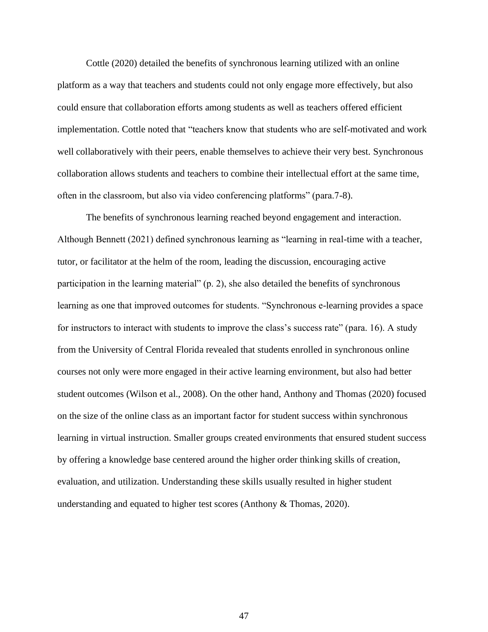Cottle (2020) detailed the benefits of synchronous learning utilized with an online platform as a way that teachers and students could not only engage more effectively, but also could ensure that collaboration efforts among students as well as teachers offered efficient implementation. Cottle noted that "teachers know that students who are self-motivated and work well collaboratively with their peers, enable themselves to achieve their very best. Synchronous collaboration allows students and teachers to combine their intellectual effort at the same time, often in the classroom, but also via video conferencing platforms" (para.7-8).

The benefits of synchronous learning reached beyond engagement and interaction. Although Bennett (2021) defined synchronous learning as "learning in real-time with a teacher, tutor, or facilitator at the helm of the room, leading the discussion, encouraging active participation in the learning material" (p. 2), she also detailed the benefits of synchronous learning as one that improved outcomes for students. "Synchronous e-learning provides a space for instructors to interact with students to improve the class's success rate" (para. 16). A study from the University of Central Florida revealed that students enrolled in synchronous online courses not only were more engaged in their active learning environment, but also had better student outcomes (Wilson et al., 2008). On the other hand, Anthony and Thomas (2020) focused on the size of the online class as an important factor for student success within synchronous learning in virtual instruction. Smaller groups created environments that ensured student success by offering a knowledge base centered around the higher order thinking skills of creation, evaluation, and utilization. Understanding these skills usually resulted in higher student understanding and equated to higher test scores (Anthony & Thomas, 2020).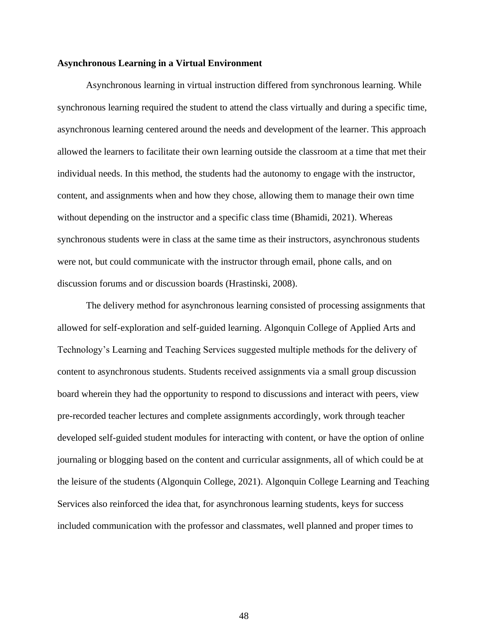# **Asynchronous Learning in a Virtual Environment**

Asynchronous learning in virtual instruction differed from synchronous learning. While synchronous learning required the student to attend the class virtually and during a specific time, asynchronous learning centered around the needs and development of the learner. This approach allowed the learners to facilitate their own learning outside the classroom at a time that met their individual needs. In this method, the students had the autonomy to engage with the instructor, content, and assignments when and how they chose, allowing them to manage their own time without depending on the instructor and a specific class time (Bhamidi, 2021). Whereas synchronous students were in class at the same time as their instructors, asynchronous students were not, but could communicate with the instructor through email, phone calls, and on discussion forums and or discussion boards (Hrastinski, 2008).

The delivery method for asynchronous learning consisted of processing assignments that allowed for self-exploration and self-guided learning. Algonquin College of Applied Arts and Technology's Learning and Teaching Services suggested multiple methods for the delivery of content to asynchronous students. Students received assignments via a small group discussion board wherein they had the opportunity to respond to discussions and interact with peers, view pre-recorded teacher lectures and complete assignments accordingly, work through teacher developed self-guided student modules for interacting with content, or have the option of online journaling or blogging based on the content and curricular assignments, all of which could be at the leisure of the students (Algonquin College, 2021). Algonquin College Learning and Teaching Services also reinforced the idea that, for asynchronous learning students, keys for success included communication with the professor and classmates, well planned and proper times to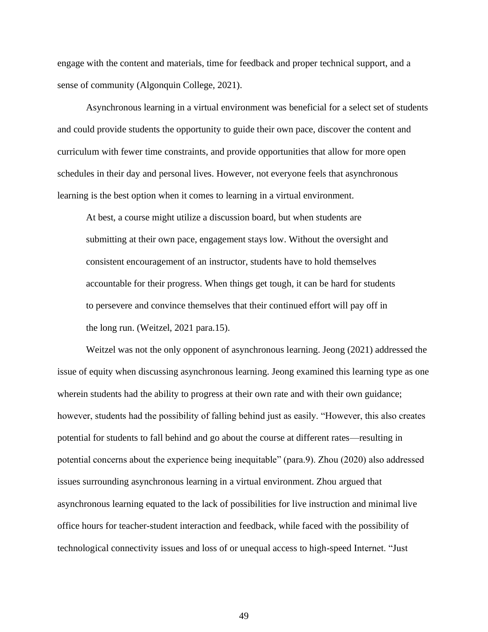engage with the content and materials, time for feedback and proper technical support, and a sense of community (Algonquin College, 2021).

Asynchronous learning in a virtual environment was beneficial for a select set of students and could provide students the opportunity to guide their own pace, discover the content and curriculum with fewer time constraints, and provide opportunities that allow for more open schedules in their day and personal lives. However, not everyone feels that asynchronous learning is the best option when it comes to learning in a virtual environment.

At best, a course might utilize a discussion board, but when students are submitting at their own pace, engagement stays low. Without the oversight and consistent encouragement of an instructor, students have to hold themselves accountable for their progress. When things get tough, it can be hard for students to persevere and convince themselves that their continued effort will pay off in the long run. (Weitzel, 2021 para.15).

Weitzel was not the only opponent of asynchronous learning. Jeong (2021) addressed the issue of equity when discussing asynchronous learning. Jeong examined this learning type as one wherein students had the ability to progress at their own rate and with their own guidance; however, students had the possibility of falling behind just as easily. "However, this also creates potential for students to fall behind and go about the course at different rates—resulting in potential concerns about the experience being inequitable" (para.9). Zhou (2020) also addressed issues surrounding asynchronous learning in a virtual environment. Zhou argued that asynchronous learning equated to the lack of possibilities for live instruction and minimal live office hours for teacher-student interaction and feedback, while faced with the possibility of technological connectivity issues and loss of or unequal access to high-speed Internet. "Just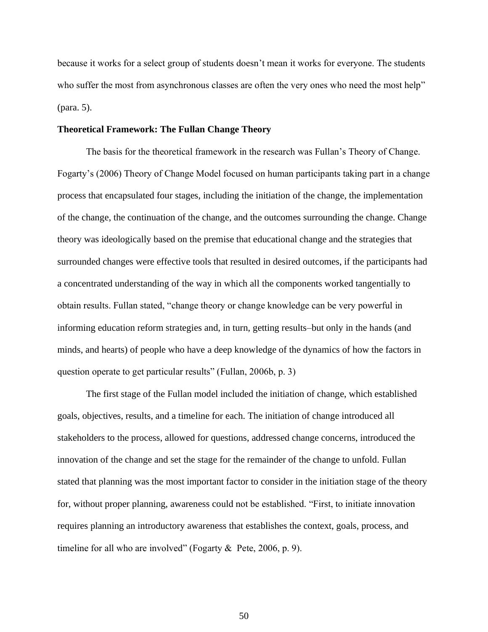because it works for a select group of students doesn't mean it works for everyone. The students who suffer the most from asynchronous classes are often the very ones who need the most help" (para. 5).

## **Theoretical Framework: The Fullan Change Theory**

The basis for the theoretical framework in the research was Fullan's Theory of Change. Fogarty's (2006) Theory of Change Model focused on human participants taking part in a change process that encapsulated four stages, including the initiation of the change, the implementation of the change, the continuation of the change, and the outcomes surrounding the change. Change theory was ideologically based on the premise that educational change and the strategies that surrounded changes were effective tools that resulted in desired outcomes, if the participants had a concentrated understanding of the way in which all the components worked tangentially to obtain results. Fullan stated, "change theory or change knowledge can be very powerful in informing education reform strategies and, in turn, getting results–but only in the hands (and minds, and hearts) of people who have a deep knowledge of the dynamics of how the factors in question operate to get particular results" (Fullan, 2006b, p. 3)

The first stage of the Fullan model included the initiation of change, which established goals, objectives, results, and a timeline for each. The initiation of change introduced all stakeholders to the process, allowed for questions, addressed change concerns, introduced the innovation of the change and set the stage for the remainder of the change to unfold. Fullan stated that planning was the most important factor to consider in the initiation stage of the theory for, without proper planning, awareness could not be established. "First, to initiate innovation requires planning an introductory awareness that establishes the context, goals, process, and timeline for all who are involved" (Fogarty & Pete, 2006, p. 9).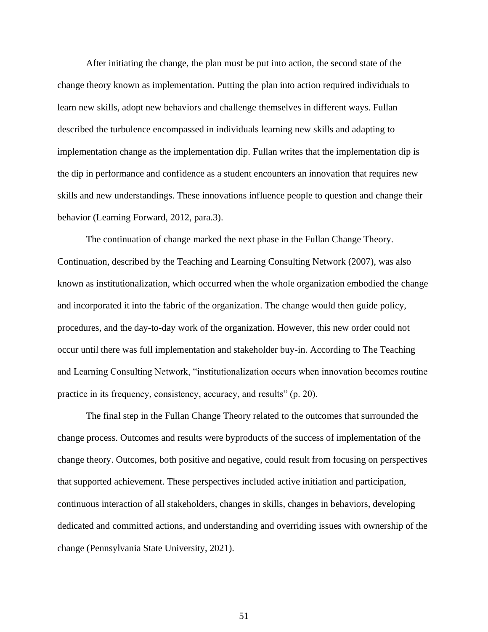After initiating the change, the plan must be put into action, the second state of the change theory known as implementation. Putting the plan into action required individuals to learn new skills, adopt new behaviors and challenge themselves in different ways. Fullan described the turbulence encompassed in individuals learning new skills and adapting to implementation change as the implementation dip. Fullan writes that the implementation dip is the dip in performance and confidence as a student encounters an innovation that requires new skills and new understandings. These innovations influence people to question and change their behavior (Learning Forward, 2012, para.3).

The continuation of change marked the next phase in the Fullan Change Theory. Continuation, described by the Teaching and Learning Consulting Network (2007), was also known as institutionalization, which occurred when the whole organization embodied the change and incorporated it into the fabric of the organization. The change would then guide policy, procedures, and the day-to-day work of the organization. However, this new order could not occur until there was full implementation and stakeholder buy-in. According to The Teaching and Learning Consulting Network, "institutionalization occurs when innovation becomes routine practice in its frequency, consistency, accuracy, and results" (p. 20).

The final step in the Fullan Change Theory related to the outcomes that surrounded the change process. Outcomes and results were byproducts of the success of implementation of the change theory. Outcomes, both positive and negative, could result from focusing on perspectives that supported achievement. These perspectives included active initiation and participation, continuous interaction of all stakeholders, changes in skills, changes in behaviors, developing dedicated and committed actions, and understanding and overriding issues with ownership of the change (Pennsylvania State University, 2021).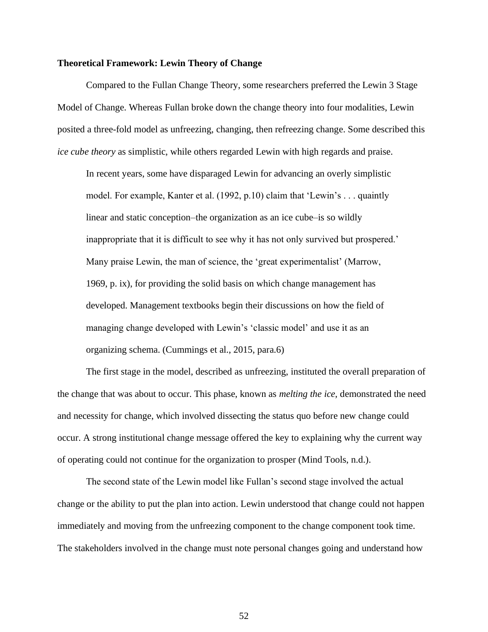## **Theoretical Framework: Lewin Theory of Change**

Compared to the Fullan Change Theory, some researchers preferred the Lewin 3 Stage Model of Change. Whereas Fullan broke down the change theory into four modalities, Lewin posited a three-fold model as unfreezing, changing, then refreezing change. Some described this *ice cube theory* as simplistic, while others regarded Lewin with high regards and praise.

In recent years, some have disparaged Lewin for advancing an overly simplistic model. For example, Kanter et al. (1992, p.10) claim that 'Lewin's . . . quaintly linear and static conception–the organization as an ice cube–is so wildly inappropriate that it is difficult to see why it has not only survived but prospered.' Many praise Lewin, the man of science, the 'great experimentalist' (Marrow, 1969, p. ix), for providing the solid basis on which change management has developed. Management textbooks begin their discussions on how the field of managing change developed with Lewin's 'classic model' and use it as an organizing schema. (Cummings et al., 2015, para.6)

The first stage in the model, described as unfreezing, instituted the overall preparation of the change that was about to occur. This phase, known as *melting the ice*, demonstrated the need and necessity for change, which involved dissecting the status quo before new change could occur. A strong institutional change message offered the key to explaining why the current way of operating could not continue for the organization to prosper (Mind Tools, n.d.).

The second state of the Lewin model like Fullan's second stage involved the actual change or the ability to put the plan into action. Lewin understood that change could not happen immediately and moving from the unfreezing component to the change component took time. The stakeholders involved in the change must note personal changes going and understand how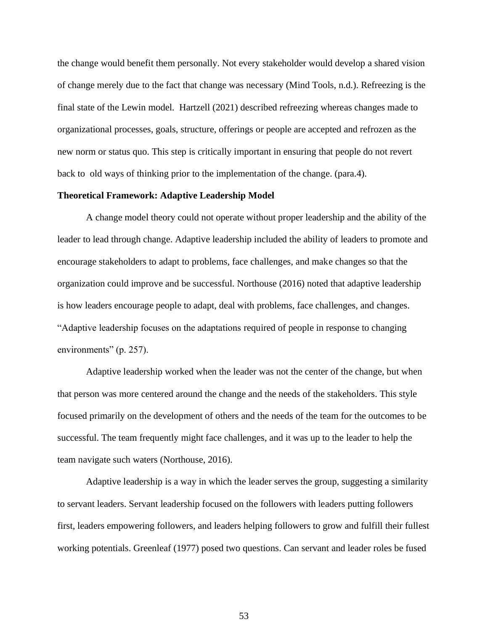the change would benefit them personally. Not every stakeholder would develop a shared vision of change merely due to the fact that change was necessary (Mind Tools, n.d.). Refreezing is the final state of the Lewin model. Hartzell (2021) described refreezing whereas changes made to organizational processes, goals, structure, offerings or people are accepted and refrozen as the new norm or status quo. This step is critically important in ensuring that people do not revert back to old ways of thinking prior to the implementation of the change. (para.4).

#### **Theoretical Framework: Adaptive Leadership Model**

A change model theory could not operate without proper leadership and the ability of the leader to lead through change. Adaptive leadership included the ability of leaders to promote and encourage stakeholders to adapt to problems, face challenges, and make changes so that the organization could improve and be successful. Northouse (2016) noted that adaptive leadership is how leaders encourage people to adapt, deal with problems, face challenges, and changes. "Adaptive leadership focuses on the adaptations required of people in response to changing environments" (p. 257).

Adaptive leadership worked when the leader was not the center of the change, but when that person was more centered around the change and the needs of the stakeholders. This style focused primarily on the development of others and the needs of the team for the outcomes to be successful. The team frequently might face challenges, and it was up to the leader to help the team navigate such waters (Northouse, 2016).

Adaptive leadership is a way in which the leader serves the group, suggesting a similarity to servant leaders. Servant leadership focused on the followers with leaders putting followers first, leaders empowering followers, and leaders helping followers to grow and fulfill their fullest working potentials. Greenleaf (1977) posed two questions. Can servant and leader roles be fused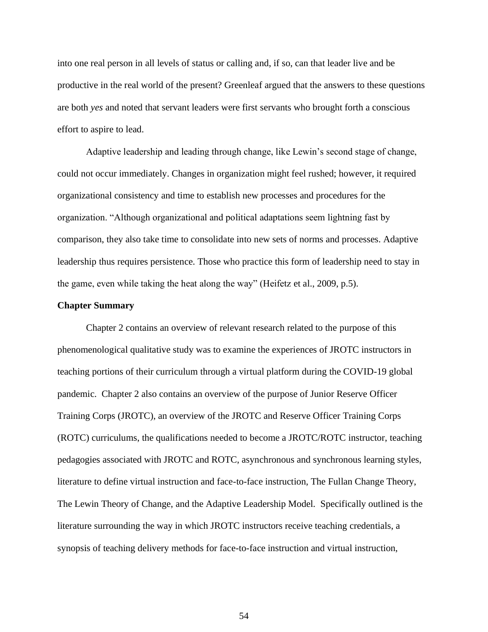into one real person in all levels of status or calling and, if so, can that leader live and be productive in the real world of the present? Greenleaf argued that the answers to these questions are both *yes* and noted that servant leaders were first servants who brought forth a conscious effort to aspire to lead.

Adaptive leadership and leading through change, like Lewin's second stage of change, could not occur immediately. Changes in organization might feel rushed; however, it required organizational consistency and time to establish new processes and procedures for the organization. "Although organizational and political adaptations seem lightning fast by comparison, they also take time to consolidate into new sets of norms and processes. Adaptive leadership thus requires persistence. Those who practice this form of leadership need to stay in the game, even while taking the heat along the way" (Heifetz et al., 2009, p.5).

#### **Chapter Summary**

Chapter 2 contains an overview of relevant research related to the purpose of this phenomenological qualitative study was to examine the experiences of JROTC instructors in teaching portions of their curriculum through a virtual platform during the COVID-19 global pandemic. Chapter 2 also contains an overview of the purpose of Junior Reserve Officer Training Corps (JROTC), an overview of the JROTC and Reserve Officer Training Corps (ROTC) curriculums, the qualifications needed to become a JROTC/ROTC instructor, teaching pedagogies associated with JROTC and ROTC, asynchronous and synchronous learning styles, literature to define virtual instruction and face-to-face instruction, The Fullan Change Theory, The Lewin Theory of Change, and the Adaptive Leadership Model. Specifically outlined is the literature surrounding the way in which JROTC instructors receive teaching credentials, a synopsis of teaching delivery methods for face-to-face instruction and virtual instruction,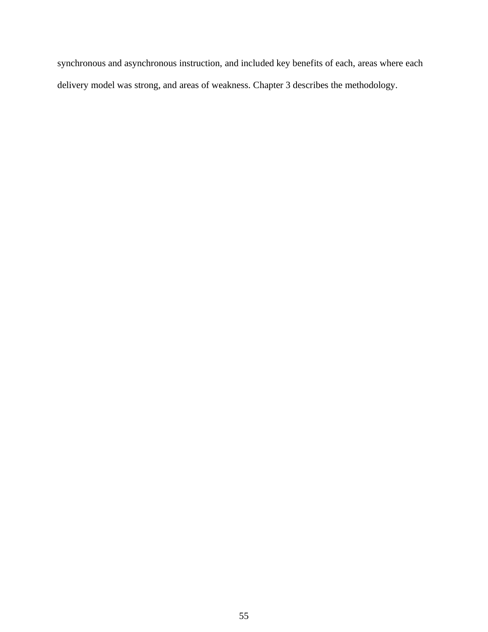synchronous and asynchronous instruction, and included key benefits of each, areas where each delivery model was strong, and areas of weakness. Chapter 3 describes the methodology.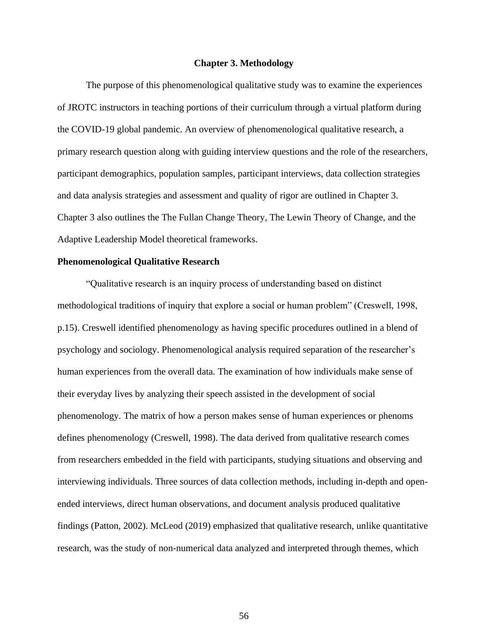#### **Chapter 3. Methodology**

The purpose of this phenomenological qualitative study was to examine the experiences of JROTC instructors in teaching portions of their curriculum through a virtual platform during the COVID-19 global pandemic. An overview of phenomenological qualitative research, a primary research question along with guiding interview questions and the role of the researchers, participant demographics, population samples, participant interviews, data collection strategies and data analysis strategies and assessment and quality of rigor are outlined in Chapter 3. Chapter 3 also outlines the The Fullan Change Theory, The Lewin Theory of Change, and the Adaptive Leadership Model theoretical frameworks.

## **Phenomenological Qualitative Research**

"Qualitative research is an inquiry process of understanding based on distinct methodological traditions of inquiry that explore a social or human problem" (Creswell, 1998, p.15). Creswell identified phenomenology as having specific procedures outlined in a blend of psychology and sociology. Phenomenological analysis required separation of the researcher's human experiences from the overall data. The examination of how individuals make sense of their everyday lives by analyzing their speech assisted in the development of social phenomenology. The matrix of how a person makes sense of human experiences or phenoms defines phenomenology (Creswell, 1998). The data derived from qualitative research comes from researchers embedded in the field with participants, studying situations and observing and interviewing individuals. Three sources of data collection methods, including in-depth and openended interviews, direct human observations, and document analysis produced qualitative findings (Patton, 2002). McLeod (2019) emphasized that qualitative research, unlike quantitative research, was the study of non-numerical data analyzed and interpreted through themes, which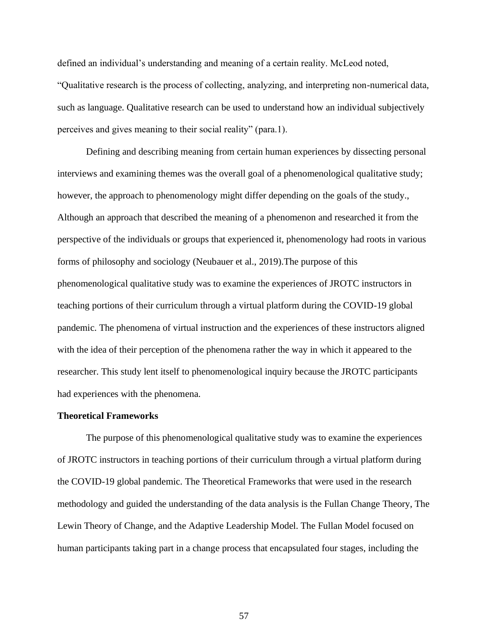defined an individual's understanding and meaning of a certain reality. McLeod noted, "Qualitative research is the process of collecting, analyzing, and interpreting non-numerical data, such as language. Qualitative research can be used to understand how an individual subjectively perceives and gives meaning to their social reality" (para.1).

Defining and describing meaning from certain human experiences by dissecting personal interviews and examining themes was the overall goal of a phenomenological qualitative study; however, the approach to phenomenology might differ depending on the goals of the study., Although an approach that described the meaning of a phenomenon and researched it from the perspective of the individuals or groups that experienced it, phenomenology had roots in various forms of philosophy and sociology (Neubauer et al., 2019).The purpose of this phenomenological qualitative study was to examine the experiences of JROTC instructors in teaching portions of their curriculum through a virtual platform during the COVID-19 global pandemic. The phenomena of virtual instruction and the experiences of these instructors aligned with the idea of their perception of the phenomena rather the way in which it appeared to the researcher. This study lent itself to phenomenological inquiry because the JROTC participants had experiences with the phenomena.

#### **Theoretical Frameworks**

The purpose of this phenomenological qualitative study was to examine the experiences of JROTC instructors in teaching portions of their curriculum through a virtual platform during the COVID-19 global pandemic. The Theoretical Frameworks that were used in the research methodology and guided the understanding of the data analysis is the Fullan Change Theory, The Lewin Theory of Change, and the Adaptive Leadership Model. The Fullan Model focused on human participants taking part in a change process that encapsulated four stages, including the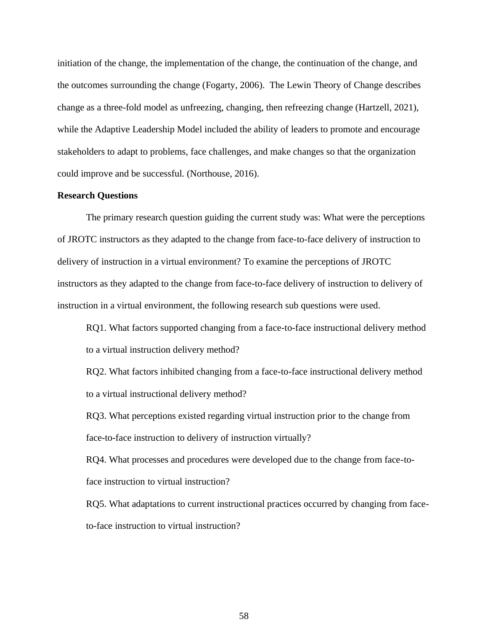initiation of the change, the implementation of the change, the continuation of the change, and the outcomes surrounding the change (Fogarty, 2006). The Lewin Theory of Change describes change as a three-fold model as unfreezing, changing, then refreezing change (Hartzell, 2021), while the Adaptive Leadership Model included the ability of leaders to promote and encourage stakeholders to adapt to problems, face challenges, and make changes so that the organization could improve and be successful. (Northouse, 2016).

## **Research Questions**

The primary research question guiding the current study was: What were the perceptions of JROTC instructors as they adapted to the change from face-to-face delivery of instruction to delivery of instruction in a virtual environment? To examine the perceptions of JROTC instructors as they adapted to the change from face-to-face delivery of instruction to delivery of instruction in a virtual environment, the following research sub questions were used.

RQ1. What factors supported changing from a face-to-face instructional delivery method to a virtual instruction delivery method?

RQ2. What factors inhibited changing from a face-to-face instructional delivery method to a virtual instructional delivery method?

RQ3. What perceptions existed regarding virtual instruction prior to the change from face-to-face instruction to delivery of instruction virtually?

RQ4. What processes and procedures were developed due to the change from face-toface instruction to virtual instruction?

RQ5. What adaptations to current instructional practices occurred by changing from faceto-face instruction to virtual instruction?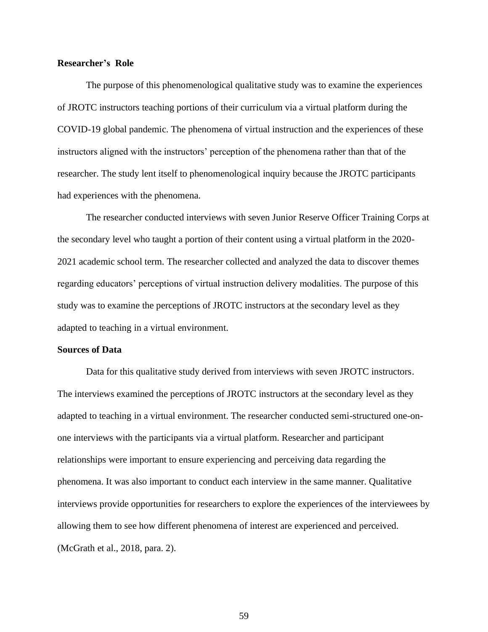## **Researcher's Role**

The purpose of this phenomenological qualitative study was to examine the experiences of JROTC instructors teaching portions of their curriculum via a virtual platform during the COVID-19 global pandemic. The phenomena of virtual instruction and the experiences of these instructors aligned with the instructors' perception of the phenomena rather than that of the researcher. The study lent itself to phenomenological inquiry because the JROTC participants had experiences with the phenomena.

The researcher conducted interviews with seven Junior Reserve Officer Training Corps at the secondary level who taught a portion of their content using a virtual platform in the 2020- 2021 academic school term. The researcher collected and analyzed the data to discover themes regarding educators' perceptions of virtual instruction delivery modalities. The purpose of this study was to examine the perceptions of JROTC instructors at the secondary level as they adapted to teaching in a virtual environment.

#### **Sources of Data**

Data for this qualitative study derived from interviews with seven JROTC instructors. The interviews examined the perceptions of JROTC instructors at the secondary level as they adapted to teaching in a virtual environment. The researcher conducted semi-structured one-onone interviews with the participants via a virtual platform. Researcher and participant relationships were important to ensure experiencing and perceiving data regarding the phenomena. It was also important to conduct each interview in the same manner. Qualitative interviews provide opportunities for researchers to explore the experiences of the interviewees by allowing them to see how different phenomena of interest are experienced and perceived. (McGrath et al., 2018, para. 2).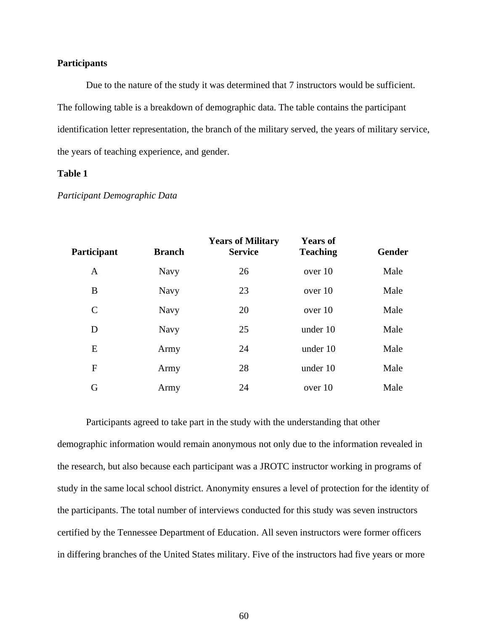## **Participants**

Due to the nature of the study it was determined that 7 instructors would be sufficient. The following table is a breakdown of demographic data. The table contains the participant identification letter representation, the branch of the military served, the years of military service, the years of teaching experience, and gender.

# **Table 1**

#### *Participant Demographic Data*

| Participant   | <b>Branch</b> | <b>Years of Military</b><br><b>Service</b> | <b>Years of</b><br><b>Teaching</b> | Gender |
|---------------|---------------|--------------------------------------------|------------------------------------|--------|
| $\mathbf{A}$  | <b>Navy</b>   | 26                                         | over 10                            | Male   |
| B             | <b>Navy</b>   | 23                                         | over 10                            | Male   |
| $\mathcal{C}$ | <b>Navy</b>   | 20                                         | over 10                            | Male   |
| D             | <b>Navy</b>   | 25                                         | under 10                           | Male   |
| E             | Army          | 24                                         | under 10                           | Male   |
| $\mathbf{F}$  | Army          | 28                                         | under 10                           | Male   |
| G             | Army          | 24                                         | over 10                            | Male   |
|               |               |                                            |                                    |        |

Participants agreed to take part in the study with the understanding that other demographic information would remain anonymous not only due to the information revealed in the research, but also because each participant was a JROTC instructor working in programs of study in the same local school district. Anonymity ensures a level of protection for the identity of the participants. The total number of interviews conducted for this study was seven instructors certified by the Tennessee Department of Education. All seven instructors were former officers in differing branches of the United States military. Five of the instructors had five years or more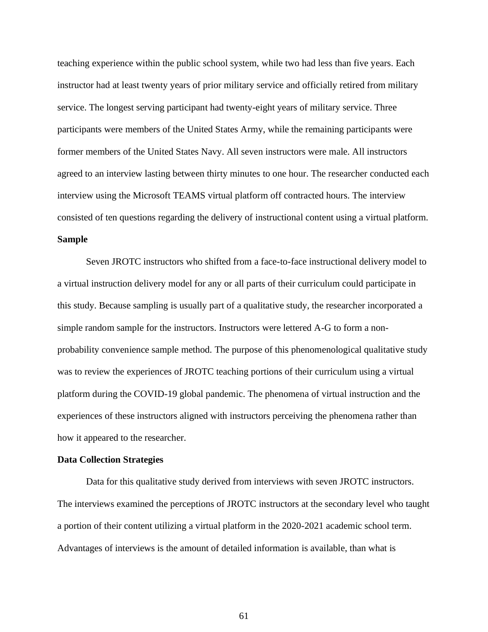teaching experience within the public school system, while two had less than five years. Each instructor had at least twenty years of prior military service and officially retired from military service. The longest serving participant had twenty-eight years of military service. Three participants were members of the United States Army, while the remaining participants were former members of the United States Navy. All seven instructors were male. All instructors agreed to an interview lasting between thirty minutes to one hour. The researcher conducted each interview using the Microsoft TEAMS virtual platform off contracted hours. The interview consisted of ten questions regarding the delivery of instructional content using a virtual platform. **Sample**

Seven JROTC instructors who shifted from a face-to-face instructional delivery model to a virtual instruction delivery model for any or all parts of their curriculum could participate in this study. Because sampling is usually part of a qualitative study, the researcher incorporated a simple random sample for the instructors. Instructors were lettered A-G to form a nonprobability convenience sample method. The purpose of this phenomenological qualitative study was to review the experiences of JROTC teaching portions of their curriculum using a virtual platform during the COVID-19 global pandemic. The phenomena of virtual instruction and the experiences of these instructors aligned with instructors perceiving the phenomena rather than how it appeared to the researcher.

## **Data Collection Strategies**

Data for this qualitative study derived from interviews with seven JROTC instructors. The interviews examined the perceptions of JROTC instructors at the secondary level who taught a portion of their content utilizing a virtual platform in the 2020-2021 academic school term. Advantages of interviews is the amount of detailed information is available, than what is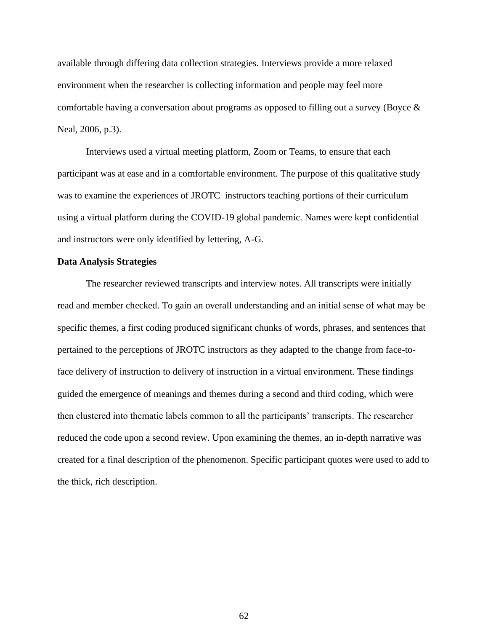available through differing data collection strategies. Interviews provide a more relaxed environment when the researcher is collecting information and people may feel more comfortable having a conversation about programs as opposed to filling out a survey (Boyce & Neal, 2006, p.3).

Interviews used a virtual meeting platform, Zoom or Teams, to ensure that each participant was at ease and in a comfortable environment. The purpose of this qualitative study was to examine the experiences of JROTC instructors teaching portions of their curriculum using a virtual platform during the COVID-19 global pandemic. Names were kept confidential and instructors were only identified by lettering, A-G.

#### **Data Analysis Strategies**

The researcher reviewed transcripts and interview notes. All transcripts were initially read and member checked. To gain an overall understanding and an initial sense of what may be specific themes, a first coding produced significant chunks of words, phrases, and sentences that pertained to the perceptions of JROTC instructors as they adapted to the change from face-toface delivery of instruction to delivery of instruction in a virtual environment. These findings guided the emergence of meanings and themes during a second and third coding, which were then clustered into thematic labels common to all the participants' transcripts. The researcher reduced the code upon a second review. Upon examining the themes, an in-depth narrative was created for a final description of the phenomenon. Specific participant quotes were used to add to the thick, rich description.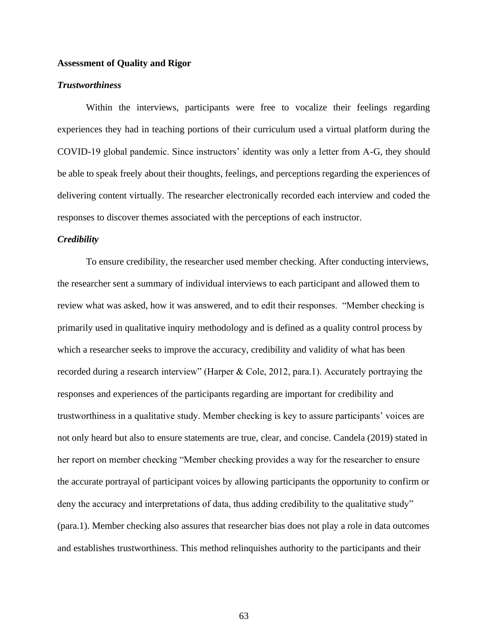## **Assessment of Quality and Rigor**

## *Trustworthiness*

Within the interviews, participants were free to vocalize their feelings regarding experiences they had in teaching portions of their curriculum used a virtual platform during the COVID-19 global pandemic. Since instructors' identity was only a letter from A-G, they should be able to speak freely about their thoughts, feelings, and perceptions regarding the experiences of delivering content virtually. The researcher electronically recorded each interview and coded the responses to discover themes associated with the perceptions of each instructor.

## *Credibility*

To ensure credibility, the researcher used member checking. After conducting interviews, the researcher sent a summary of individual interviews to each participant and allowed them to review what was asked, how it was answered, and to edit their responses. "Member checking is primarily used in qualitative inquiry methodology and is defined as a quality control process by which a researcher seeks to improve the accuracy, credibility and validity of what has been recorded during a research interview" (Harper & Cole, 2012, para.1). Accurately portraying the responses and experiences of the participants regarding are important for credibility and trustworthiness in a qualitative study. Member checking is key to assure participants' voices are not only heard but also to ensure statements are true, clear, and concise. Candela (2019) stated in her report on member checking "Member checking provides a way for the researcher to ensure the accurate portrayal of participant voices by allowing participants the opportunity to confirm or deny the accuracy and interpretations of data, thus adding credibility to the qualitative study" (para.1). Member checking also assures that researcher bias does not play a role in data outcomes and establishes trustworthiness. This method relinquishes authority to the participants and their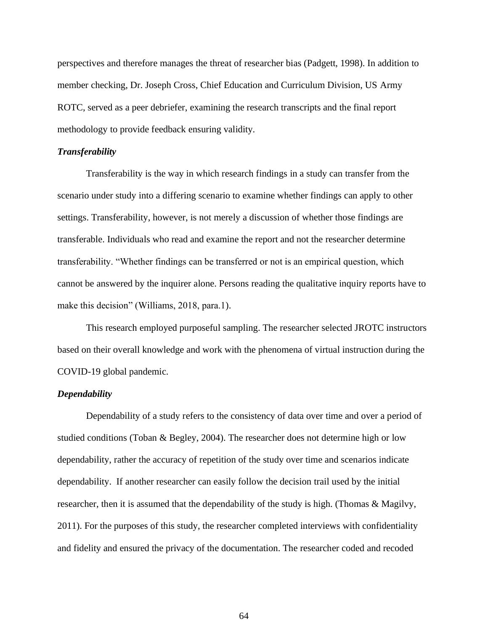perspectives and therefore manages the threat of researcher bias (Padgett, 1998). In addition to member checking, Dr. Joseph Cross, Chief Education and Curriculum Division, US Army ROTC, served as a peer debriefer, examining the research transcripts and the final report methodology to provide feedback ensuring validity.

#### *Transferability*

Transferability is the way in which research findings in a study can transfer from the scenario under study into a differing scenario to examine whether findings can apply to other settings. Transferability, however, is not merely a discussion of whether those findings are transferable. Individuals who read and examine the report and not the researcher determine transferability. "Whether findings can be transferred or not is an empirical question, which cannot be answered by the inquirer alone. Persons reading the qualitative inquiry reports have to make this decision" (Williams, 2018, para.1).

This research employed purposeful sampling. The researcher selected JROTC instructors based on their overall knowledge and work with the phenomena of virtual instruction during the COVID-19 global pandemic.

#### *Dependability*

Dependability of a study refers to the consistency of data over time and over a period of studied conditions (Toban & Begley, 2004). The researcher does not determine high or low dependability, rather the accuracy of repetition of the study over time and scenarios indicate dependability. If another researcher can easily follow the decision trail used by the initial researcher, then it is assumed that the dependability of the study is high. (Thomas & Magilvy, 2011). For the purposes of this study, the researcher completed interviews with confidentiality and fidelity and ensured the privacy of the documentation. The researcher coded and recoded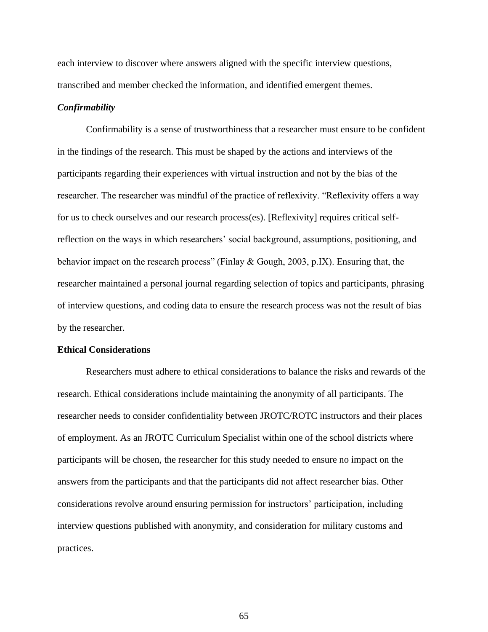each interview to discover where answers aligned with the specific interview questions, transcribed and member checked the information, and identified emergent themes.

## *Confirmability*

Confirmability is a sense of trustworthiness that a researcher must ensure to be confident in the findings of the research. This must be shaped by the actions and interviews of the participants regarding their experiences with virtual instruction and not by the bias of the researcher. The researcher was mindful of the practice of reflexivity. "Reflexivity offers a way for us to check ourselves and our research process(es). [Reflexivity] requires critical selfreflection on the ways in which researchers' social background, assumptions, positioning, and behavior impact on the research process" (Finlay & Gough, 2003, p.IX). Ensuring that, the researcher maintained a personal journal regarding selection of topics and participants, phrasing of interview questions, and coding data to ensure the research process was not the result of bias by the researcher.

## **Ethical Considerations**

Researchers must adhere to ethical considerations to balance the risks and rewards of the research. Ethical considerations include maintaining the anonymity of all participants. The researcher needs to consider confidentiality between JROTC/ROTC instructors and their places of employment. As an JROTC Curriculum Specialist within one of the school districts where participants will be chosen, the researcher for this study needed to ensure no impact on the answers from the participants and that the participants did not affect researcher bias. Other considerations revolve around ensuring permission for instructors' participation, including interview questions published with anonymity, and consideration for military customs and practices.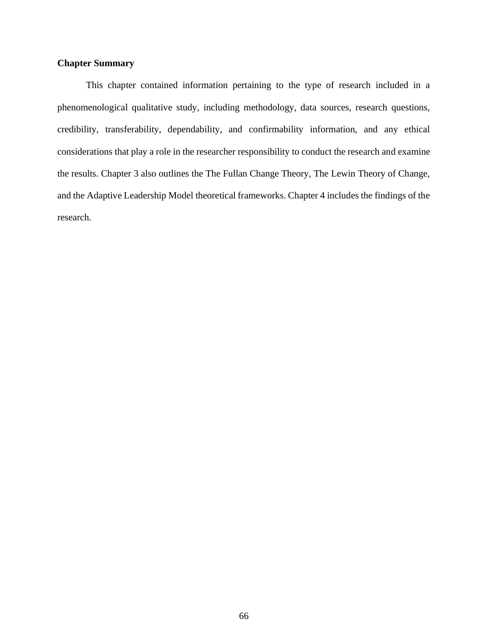# **Chapter Summary**

This chapter contained information pertaining to the type of research included in a phenomenological qualitative study, including methodology, data sources, research questions, credibility, transferability, dependability, and confirmability information, and any ethical considerations that play a role in the researcher responsibility to conduct the research and examine the results. Chapter 3 also outlines the The Fullan Change Theory, The Lewin Theory of Change, and the Adaptive Leadership Model theoretical frameworks. Chapter 4 includes the findings of the research.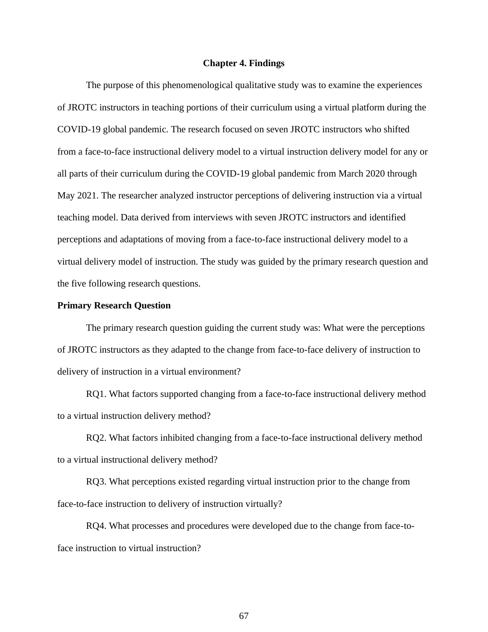#### **Chapter 4. Findings**

The purpose of this phenomenological qualitative study was to examine the experiences of JROTC instructors in teaching portions of their curriculum using a virtual platform during the COVID-19 global pandemic. The research focused on seven JROTC instructors who shifted from a face-to-face instructional delivery model to a virtual instruction delivery model for any or all parts of their curriculum during the COVID-19 global pandemic from March 2020 through May 2021. The researcher analyzed instructor perceptions of delivering instruction via a virtual teaching model. Data derived from interviews with seven JROTC instructors and identified perceptions and adaptations of moving from a face-to-face instructional delivery model to a virtual delivery model of instruction. The study was guided by the primary research question and the five following research questions.

## **Primary Research Question**

The primary research question guiding the current study was: What were the perceptions of JROTC instructors as they adapted to the change from face-to-face delivery of instruction to delivery of instruction in a virtual environment?

RQ1. What factors supported changing from a face-to-face instructional delivery method to a virtual instruction delivery method?

RQ2. What factors inhibited changing from a face-to-face instructional delivery method to a virtual instructional delivery method?

RQ3. What perceptions existed regarding virtual instruction prior to the change from face-to-face instruction to delivery of instruction virtually?

RQ4. What processes and procedures were developed due to the change from face-toface instruction to virtual instruction?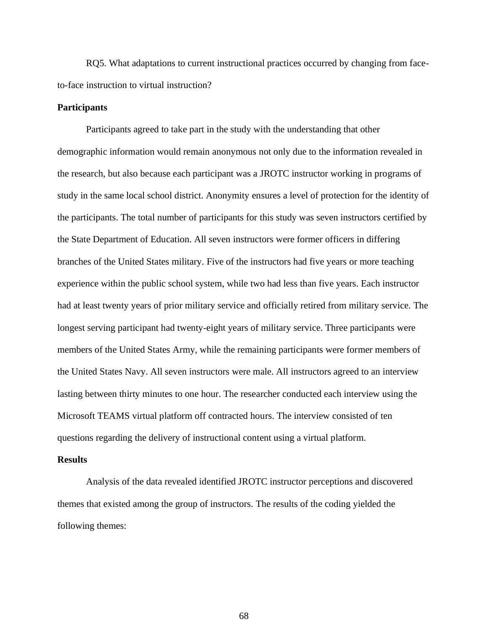RQ5. What adaptations to current instructional practices occurred by changing from faceto-face instruction to virtual instruction?

#### **Participants**

Participants agreed to take part in the study with the understanding that other demographic information would remain anonymous not only due to the information revealed in the research, but also because each participant was a JROTC instructor working in programs of study in the same local school district. Anonymity ensures a level of protection for the identity of the participants. The total number of participants for this study was seven instructors certified by the State Department of Education. All seven instructors were former officers in differing branches of the United States military. Five of the instructors had five years or more teaching experience within the public school system, while two had less than five years. Each instructor had at least twenty years of prior military service and officially retired from military service. The longest serving participant had twenty-eight years of military service. Three participants were members of the United States Army, while the remaining participants were former members of the United States Navy. All seven instructors were male. All instructors agreed to an interview lasting between thirty minutes to one hour. The researcher conducted each interview using the Microsoft TEAMS virtual platform off contracted hours. The interview consisted of ten questions regarding the delivery of instructional content using a virtual platform.

## **Results**

Analysis of the data revealed identified JROTC instructor perceptions and discovered themes that existed among the group of instructors. The results of the coding yielded the following themes: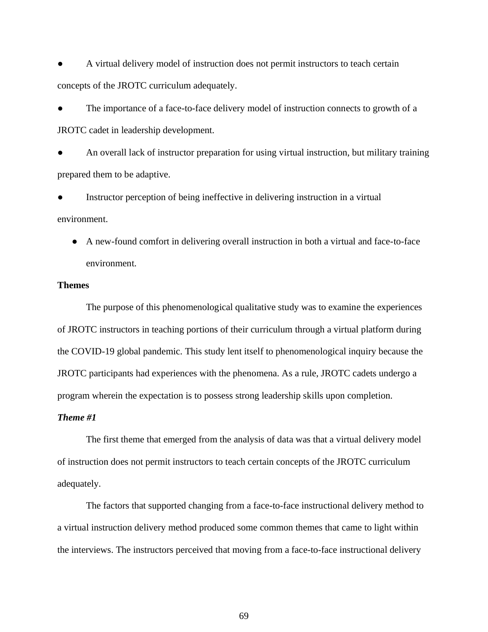A virtual delivery model of instruction does not permit instructors to teach certain concepts of the JROTC curriculum adequately.

The importance of a face-to-face delivery model of instruction connects to growth of a JROTC cadet in leadership development.

An overall lack of instructor preparation for using virtual instruction, but military training prepared them to be adaptive.

Instructor perception of being ineffective in delivering instruction in a virtual environment.

● A new-found comfort in delivering overall instruction in both a virtual and face-to-face environment.

# **Themes**

The purpose of this phenomenological qualitative study was to examine the experiences of JROTC instructors in teaching portions of their curriculum through a virtual platform during the COVID-19 global pandemic. This study lent itself to phenomenological inquiry because the JROTC participants had experiences with the phenomena. As a rule, JROTC cadets undergo a program wherein the expectation is to possess strong leadership skills upon completion.

## *Theme #1*

The first theme that emerged from the analysis of data was that a virtual delivery model of instruction does not permit instructors to teach certain concepts of the JROTC curriculum adequately.

The factors that supported changing from a face-to-face instructional delivery method to a virtual instruction delivery method produced some common themes that came to light within the interviews. The instructors perceived that moving from a face-to-face instructional delivery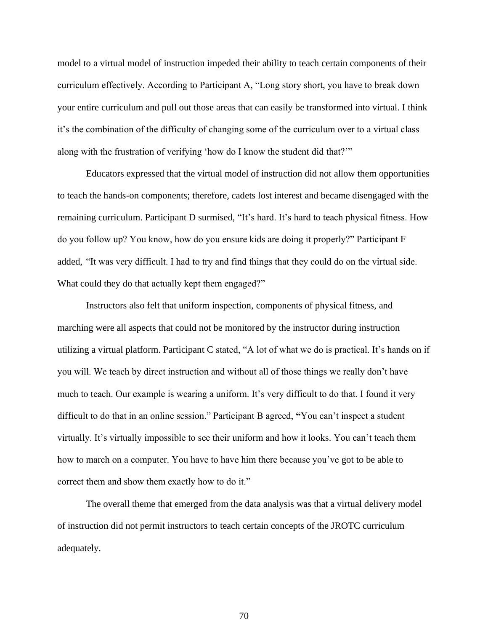model to a virtual model of instruction impeded their ability to teach certain components of their curriculum effectively. According to Participant A, "Long story short, you have to break down your entire curriculum and pull out those areas that can easily be transformed into virtual. I think it's the combination of the difficulty of changing some of the curriculum over to a virtual class along with the frustration of verifying 'how do I know the student did that?'"

Educators expressed that the virtual model of instruction did not allow them opportunities to teach the hands-on components; therefore, cadets lost interest and became disengaged with the remaining curriculum. Participant D surmised, "It's hard. It's hard to teach physical fitness. How do you follow up? You know, how do you ensure kids are doing it properly?" Participant F added, "It was very difficult. I had to try and find things that they could do on the virtual side. What could they do that actually kept them engaged?"

Instructors also felt that uniform inspection, components of physical fitness, and marching were all aspects that could not be monitored by the instructor during instruction utilizing a virtual platform. Participant C stated, "A lot of what we do is practical. It's hands on if you will. We teach by direct instruction and without all of those things we really don't have much to teach. Our example is wearing a uniform. It's very difficult to do that. I found it very difficult to do that in an online session." Participant B agreed, **"**You can't inspect a student virtually. It's virtually impossible to see their uniform and how it looks. You can't teach them how to march on a computer. You have to have him there because you've got to be able to correct them and show them exactly how to do it."

The overall theme that emerged from the data analysis was that a virtual delivery model of instruction did not permit instructors to teach certain concepts of the JROTC curriculum adequately.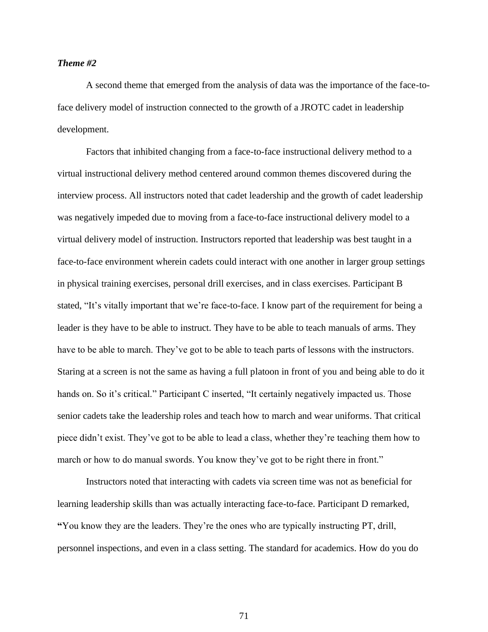## *Theme #2*

A second theme that emerged from the analysis of data was the importance of the face-toface delivery model of instruction connected to the growth of a JROTC cadet in leadership development.

Factors that inhibited changing from a face-to-face instructional delivery method to a virtual instructional delivery method centered around common themes discovered during the interview process. All instructors noted that cadet leadership and the growth of cadet leadership was negatively impeded due to moving from a face-to-face instructional delivery model to a virtual delivery model of instruction. Instructors reported that leadership was best taught in a face-to-face environment wherein cadets could interact with one another in larger group settings in physical training exercises, personal drill exercises, and in class exercises. Participant B stated, "It's vitally important that we're face-to-face. I know part of the requirement for being a leader is they have to be able to instruct. They have to be able to teach manuals of arms. They have to be able to march. They've got to be able to teach parts of lessons with the instructors. Staring at a screen is not the same as having a full platoon in front of you and being able to do it hands on. So it's critical." Participant C inserted, "It certainly negatively impacted us. Those senior cadets take the leadership roles and teach how to march and wear uniforms. That critical piece didn't exist. They've got to be able to lead a class, whether they're teaching them how to march or how to do manual swords. You know they've got to be right there in front."

Instructors noted that interacting with cadets via screen time was not as beneficial for learning leadership skills than was actually interacting face-to-face. Participant D remarked, **"**You know they are the leaders. They're the ones who are typically instructing PT, drill, personnel inspections, and even in a class setting. The standard for academics. How do you do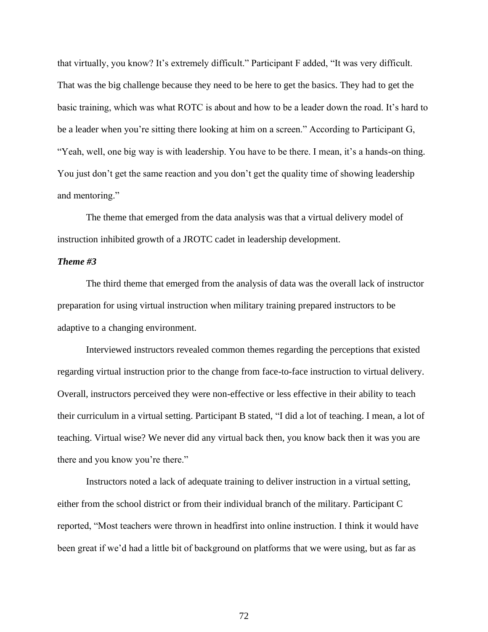that virtually, you know? It's extremely difficult." Participant F added, "It was very difficult. That was the big challenge because they need to be here to get the basics. They had to get the basic training, which was what ROTC is about and how to be a leader down the road. It's hard to be a leader when you're sitting there looking at him on a screen." According to Participant G, "Yeah, well, one big way is with leadership. You have to be there. I mean, it's a hands-on thing. You just don't get the same reaction and you don't get the quality time of showing leadership and mentoring."

The theme that emerged from the data analysis was that a virtual delivery model of instruction inhibited growth of a JROTC cadet in leadership development.

# *Theme #3*

The third theme that emerged from the analysis of data was the overall lack of instructor preparation for using virtual instruction when military training prepared instructors to be adaptive to a changing environment.

Interviewed instructors revealed common themes regarding the perceptions that existed regarding virtual instruction prior to the change from face-to-face instruction to virtual delivery. Overall, instructors perceived they were non-effective or less effective in their ability to teach their curriculum in a virtual setting. Participant B stated, "I did a lot of teaching. I mean, a lot of teaching. Virtual wise? We never did any virtual back then, you know back then it was you are there and you know you're there."

Instructors noted a lack of adequate training to deliver instruction in a virtual setting, either from the school district or from their individual branch of the military. Participant C reported, "Most teachers were thrown in headfirst into online instruction. I think it would have been great if we'd had a little bit of background on platforms that we were using, but as far as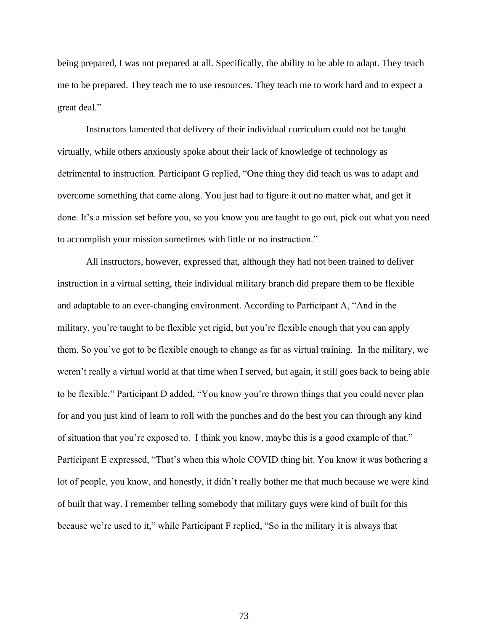being prepared, I was not prepared at all. Specifically, the ability to be able to adapt. They teach me to be prepared. They teach me to use resources. They teach me to work hard and to expect a great deal."

Instructors lamented that delivery of their individual curriculum could not be taught virtually, while others anxiously spoke about their lack of knowledge of technology as detrimental to instruction. Participant G replied, "One thing they did teach us was to adapt and overcome something that came along. You just had to figure it out no matter what, and get it done. It's a mission set before you, so you know you are taught to go out, pick out what you need to accomplish your mission sometimes with little or no instruction."

All instructors, however, expressed that, although they had not been trained to deliver instruction in a virtual setting, their individual military branch did prepare them to be flexible and adaptable to an ever-changing environment. According to Participant A, "And in the military, you're taught to be flexible yet rigid, but you're flexible enough that you can apply them. So you've got to be flexible enough to change as far as virtual training. In the military, we weren't really a virtual world at that time when I served, but again, it still goes back to being able to be flexible." Participant D added, "You know you're thrown things that you could never plan for and you just kind of learn to roll with the punches and do the best you can through any kind of situation that you're exposed to. I think you know, maybe this is a good example of that." Participant E expressed, "That's when this whole COVID thing hit. You know it was bothering a lot of people, you know, and honestly, it didn't really bother me that much because we were kind of built that way. I remember telling somebody that military guys were kind of built for this because we're used to it," while Participant F replied, "So in the military it is always that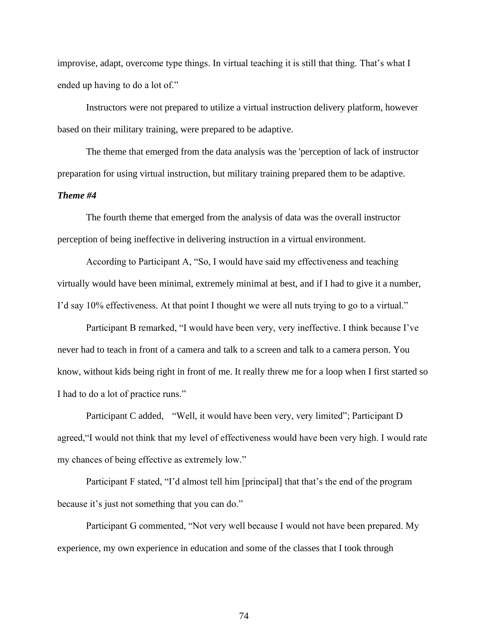improvise, adapt, overcome type things. In virtual teaching it is still that thing. That's what I ended up having to do a lot of."

Instructors were not prepared to utilize a virtual instruction delivery platform, however based on their military training, were prepared to be adaptive.

The theme that emerged from the data analysis was the 'perception of lack of instructor preparation for using virtual instruction, but military training prepared them to be adaptive.

## *Theme #4*

The fourth theme that emerged from the analysis of data was the overall instructor perception of being ineffective in delivering instruction in a virtual environment.

According to Participant A, "So, I would have said my effectiveness and teaching virtually would have been minimal, extremely minimal at best, and if I had to give it a number, I'd say 10% effectiveness. At that point I thought we were all nuts trying to go to a virtual."

Participant B remarked, "I would have been very, very ineffective. I think because I've never had to teach in front of a camera and talk to a screen and talk to a camera person. You know, without kids being right in front of me. It really threw me for a loop when I first started so I had to do a lot of practice runs."

Participant C added, "Well, it would have been very, very limited"; Participant D agreed,"I would not think that my level of effectiveness would have been very high. I would rate my chances of being effective as extremely low."

Participant F stated, "I'd almost tell him [principal] that that's the end of the program because it's just not something that you can do."

Participant G commented, "Not very well because I would not have been prepared. My experience, my own experience in education and some of the classes that I took through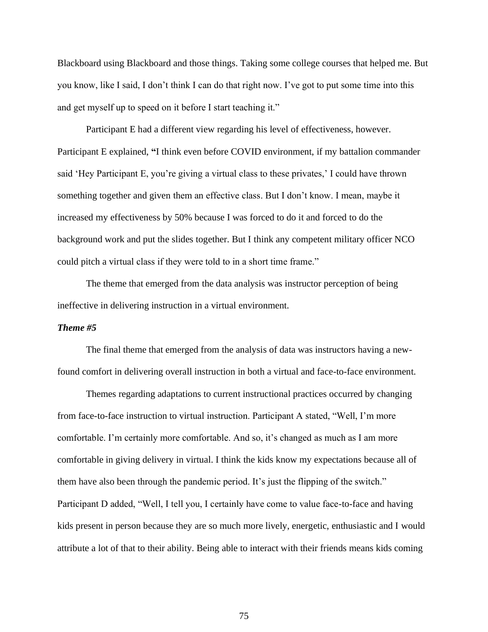Blackboard using Blackboard and those things. Taking some college courses that helped me. But you know, like I said, I don't think I can do that right now. I've got to put some time into this and get myself up to speed on it before I start teaching it."

Participant E had a different view regarding his level of effectiveness, however. Participant E explained, **"**I think even before COVID environment, if my battalion commander said 'Hey Participant E, you're giving a virtual class to these privates,' I could have thrown something together and given them an effective class. But I don't know. I mean, maybe it increased my effectiveness by 50% because I was forced to do it and forced to do the background work and put the slides together. But I think any competent military officer NCO could pitch a virtual class if they were told to in a short time frame."

The theme that emerged from the data analysis was instructor perception of being ineffective in delivering instruction in a virtual environment.

#### *Theme #5*

The final theme that emerged from the analysis of data was instructors having a newfound comfort in delivering overall instruction in both a virtual and face-to-face environment.

Themes regarding adaptations to current instructional practices occurred by changing from face-to-face instruction to virtual instruction. Participant A stated, "Well, I'm more comfortable. I'm certainly more comfortable. And so, it's changed as much as I am more comfortable in giving delivery in virtual. I think the kids know my expectations because all of them have also been through the pandemic period. It's just the flipping of the switch." Participant D added, "Well, I tell you, I certainly have come to value face-to-face and having kids present in person because they are so much more lively, energetic, enthusiastic and I would attribute a lot of that to their ability. Being able to interact with their friends means kids coming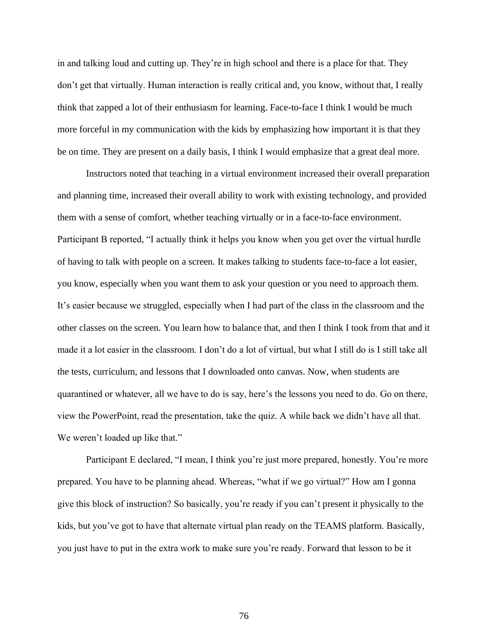in and talking loud and cutting up. They're in high school and there is a place for that. They don't get that virtually. Human interaction is really critical and, you know, without that, I really think that zapped a lot of their enthusiasm for learning. Face-to-face I think I would be much more forceful in my communication with the kids by emphasizing how important it is that they be on time. They are present on a daily basis, I think I would emphasize that a great deal more.

Instructors noted that teaching in a virtual environment increased their overall preparation and planning time, increased their overall ability to work with existing technology, and provided them with a sense of comfort, whether teaching virtually or in a face-to-face environment. Participant B reported, "I actually think it helps you know when you get over the virtual hurdle of having to talk with people on a screen. It makes talking to students face-to-face a lot easier, you know, especially when you want them to ask your question or you need to approach them. It's easier because we struggled, especially when I had part of the class in the classroom and the other classes on the screen. You learn how to balance that, and then I think I took from that and it made it a lot easier in the classroom. I don't do a lot of virtual, but what I still do is I still take all the tests, curriculum, and lessons that I downloaded onto canvas. Now, when students are quarantined or whatever, all we have to do is say, here's the lessons you need to do. Go on there, view the PowerPoint, read the presentation, take the quiz. A while back we didn't have all that. We weren't loaded up like that."

Participant E declared, "I mean, I think you're just more prepared, honestly. You're more prepared. You have to be planning ahead. Whereas, "what if we go virtual?" How am I gonna give this block of instruction? So basically, you're ready if you can't present it physically to the kids, but you've got to have that alternate virtual plan ready on the TEAMS platform. Basically, you just have to put in the extra work to make sure you're ready. Forward that lesson to be it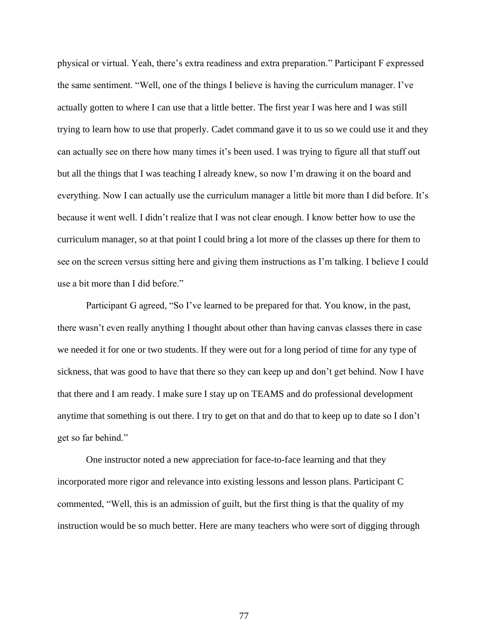physical or virtual. Yeah, there's extra readiness and extra preparation." Participant F expressed the same sentiment. "Well, one of the things I believe is having the curriculum manager. I've actually gotten to where I can use that a little better. The first year I was here and I was still trying to learn how to use that properly. Cadet command gave it to us so we could use it and they can actually see on there how many times it's been used. I was trying to figure all that stuff out but all the things that I was teaching I already knew, so now I'm drawing it on the board and everything. Now I can actually use the curriculum manager a little bit more than I did before. It's because it went well. I didn't realize that I was not clear enough. I know better how to use the curriculum manager, so at that point I could bring a lot more of the classes up there for them to see on the screen versus sitting here and giving them instructions as I'm talking. I believe I could use a bit more than I did before."

Participant G agreed, "So I've learned to be prepared for that. You know, in the past, there wasn't even really anything I thought about other than having canvas classes there in case we needed it for one or two students. If they were out for a long period of time for any type of sickness, that was good to have that there so they can keep up and don't get behind. Now I have that there and I am ready. I make sure I stay up on TEAMS and do professional development anytime that something is out there. I try to get on that and do that to keep up to date so I don't get so far behind."

One instructor noted a new appreciation for face-to-face learning and that they incorporated more rigor and relevance into existing lessons and lesson plans. Participant C commented, "Well, this is an admission of guilt, but the first thing is that the quality of my instruction would be so much better. Here are many teachers who were sort of digging through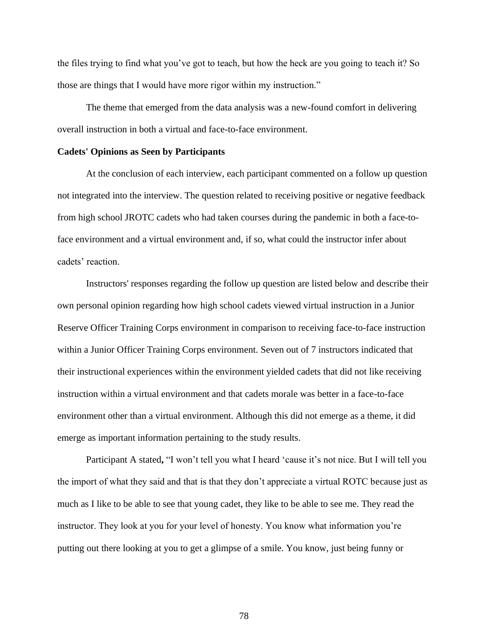the files trying to find what you've got to teach, but how the heck are you going to teach it? So those are things that I would have more rigor within my instruction."

The theme that emerged from the data analysis was a new-found comfort in delivering overall instruction in both a virtual and face-to-face environment.

#### **Cadets' Opinions as Seen by Participants**

At the conclusion of each interview, each participant commented on a follow up question not integrated into the interview. The question related to receiving positive or negative feedback from high school JROTC cadets who had taken courses during the pandemic in both a face-toface environment and a virtual environment and, if so, what could the instructor infer about cadets' reaction.

Instructors' responses regarding the follow up question are listed below and describe their own personal opinion regarding how high school cadets viewed virtual instruction in a Junior Reserve Officer Training Corps environment in comparison to receiving face-to-face instruction within a Junior Officer Training Corps environment. Seven out of 7 instructors indicated that their instructional experiences within the environment yielded cadets that did not like receiving instruction within a virtual environment and that cadets morale was better in a face-to-face environment other than a virtual environment. Although this did not emerge as a theme, it did emerge as important information pertaining to the study results.

Participant A stated**,** "I won't tell you what I heard 'cause it's not nice. But I will tell you the import of what they said and that is that they don't appreciate a virtual ROTC because just as much as I like to be able to see that young cadet, they like to be able to see me. They read the instructor. They look at you for your level of honesty. You know what information you're putting out there looking at you to get a glimpse of a smile. You know, just being funny or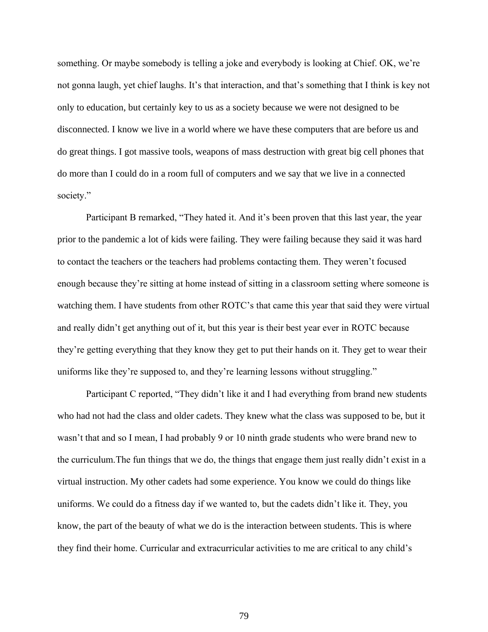something. Or maybe somebody is telling a joke and everybody is looking at Chief. OK, we're not gonna laugh, yet chief laughs. It's that interaction, and that's something that I think is key not only to education, but certainly key to us as a society because we were not designed to be disconnected. I know we live in a world where we have these computers that are before us and do great things. I got massive tools, weapons of mass destruction with great big cell phones that do more than I could do in a room full of computers and we say that we live in a connected society."

Participant B remarked, "They hated it. And it's been proven that this last year, the year prior to the pandemic a lot of kids were failing. They were failing because they said it was hard to contact the teachers or the teachers had problems contacting them. They weren't focused enough because they're sitting at home instead of sitting in a classroom setting where someone is watching them. I have students from other ROTC's that came this year that said they were virtual and really didn't get anything out of it, but this year is their best year ever in ROTC because they're getting everything that they know they get to put their hands on it. They get to wear their uniforms like they're supposed to, and they're learning lessons without struggling."

Participant C reported, "They didn't like it and I had everything from brand new students who had not had the class and older cadets. They knew what the class was supposed to be, but it wasn't that and so I mean, I had probably 9 or 10 ninth grade students who were brand new to the curriculum.The fun things that we do, the things that engage them just really didn't exist in a virtual instruction. My other cadets had some experience. You know we could do things like uniforms. We could do a fitness day if we wanted to, but the cadets didn't like it. They, you know, the part of the beauty of what we do is the interaction between students. This is where they find their home. Curricular and extracurricular activities to me are critical to any child's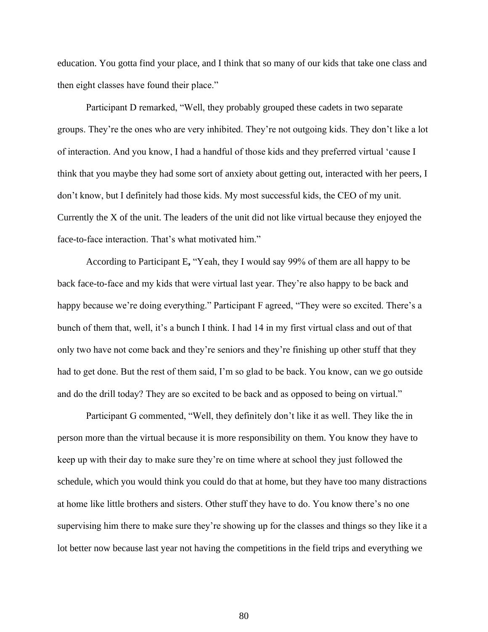education. You gotta find your place, and I think that so many of our kids that take one class and then eight classes have found their place."

Participant D remarked, "Well, they probably grouped these cadets in two separate groups. They're the ones who are very inhibited. They're not outgoing kids. They don't like a lot of interaction. And you know, I had a handful of those kids and they preferred virtual 'cause I think that you maybe they had some sort of anxiety about getting out, interacted with her peers, I don't know, but I definitely had those kids. My most successful kids, the CEO of my unit. Currently the X of the unit. The leaders of the unit did not like virtual because they enjoyed the face-to-face interaction. That's what motivated him."

According to Participant E**,** "Yeah, they I would say 99% of them are all happy to be back face-to-face and my kids that were virtual last year. They're also happy to be back and happy because we're doing everything." Participant F agreed, "They were so excited. There's a bunch of them that, well, it's a bunch I think. I had 14 in my first virtual class and out of that only two have not come back and they're seniors and they're finishing up other stuff that they had to get done. But the rest of them said, I'm so glad to be back. You know, can we go outside and do the drill today? They are so excited to be back and as opposed to being on virtual."

Participant G commented, "Well, they definitely don't like it as well. They like the in person more than the virtual because it is more responsibility on them. You know they have to keep up with their day to make sure they're on time where at school they just followed the schedule, which you would think you could do that at home, but they have too many distractions at home like little brothers and sisters. Other stuff they have to do. You know there's no one supervising him there to make sure they're showing up for the classes and things so they like it a lot better now because last year not having the competitions in the field trips and everything we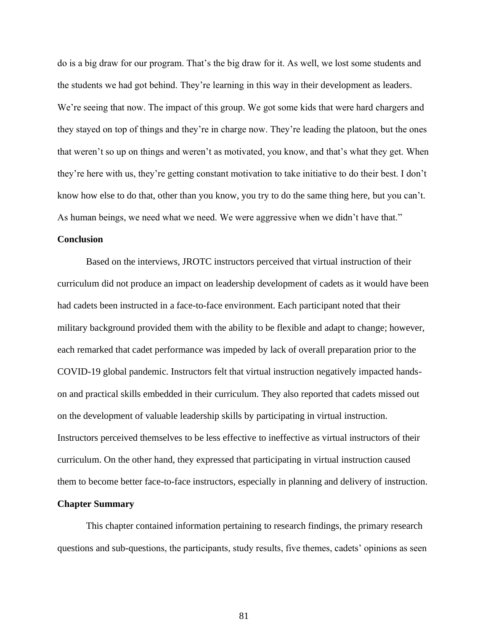do is a big draw for our program. That's the big draw for it. As well, we lost some students and the students we had got behind. They're learning in this way in their development as leaders. We're seeing that now. The impact of this group. We got some kids that were hard chargers and they stayed on top of things and they're in charge now. They're leading the platoon, but the ones that weren't so up on things and weren't as motivated, you know, and that's what they get. When they're here with us, they're getting constant motivation to take initiative to do their best. I don't know how else to do that, other than you know, you try to do the same thing here, but you can't. As human beings, we need what we need. We were aggressive when we didn't have that."

## **Conclusion**

Based on the interviews, JROTC instructors perceived that virtual instruction of their curriculum did not produce an impact on leadership development of cadets as it would have been had cadets been instructed in a face-to-face environment. Each participant noted that their military background provided them with the ability to be flexible and adapt to change; however, each remarked that cadet performance was impeded by lack of overall preparation prior to the COVID-19 global pandemic. Instructors felt that virtual instruction negatively impacted handson and practical skills embedded in their curriculum. They also reported that cadets missed out on the development of valuable leadership skills by participating in virtual instruction. Instructors perceived themselves to be less effective to ineffective as virtual instructors of their curriculum. On the other hand, they expressed that participating in virtual instruction caused them to become better face-to-face instructors, especially in planning and delivery of instruction.

#### **Chapter Summary**

This chapter contained information pertaining to research findings, the primary research questions and sub-questions, the participants, study results, five themes, cadets' opinions as seen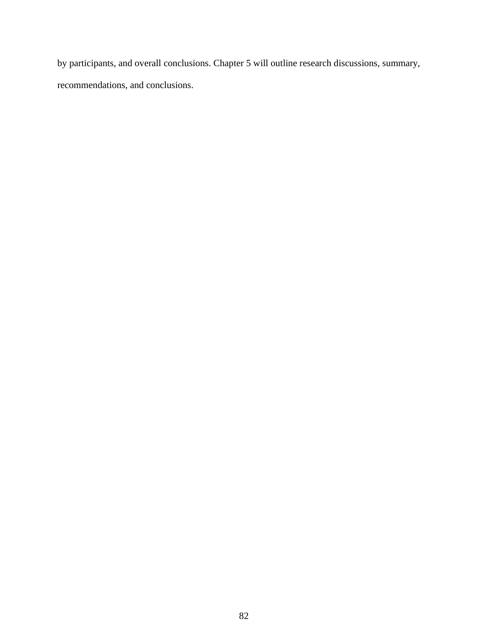by participants, and overall conclusions. Chapter 5 will outline research discussions, summary, recommendations, and conclusions.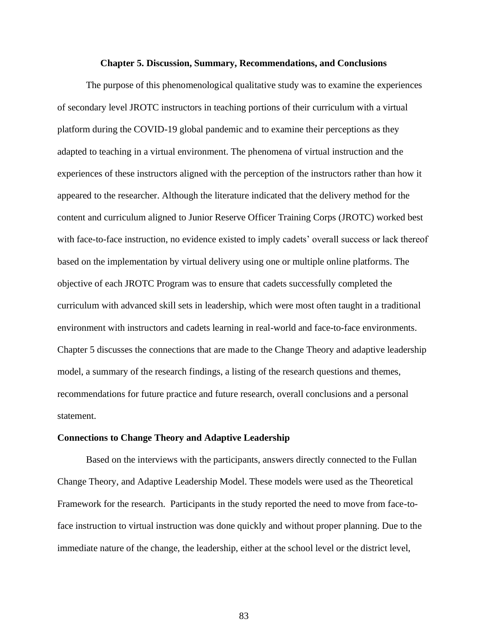#### **Chapter 5. Discussion, Summary, Recommendations, and Conclusions**

The purpose of this phenomenological qualitative study was to examine the experiences of secondary level JROTC instructors in teaching portions of their curriculum with a virtual platform during the COVID-19 global pandemic and to examine their perceptions as they adapted to teaching in a virtual environment. The phenomena of virtual instruction and the experiences of these instructors aligned with the perception of the instructors rather than how it appeared to the researcher. Although the literature indicated that the delivery method for the content and curriculum aligned to Junior Reserve Officer Training Corps (JROTC) worked best with face-to-face instruction, no evidence existed to imply cadets' overall success or lack thereof based on the implementation by virtual delivery using one or multiple online platforms. The objective of each JROTC Program was to ensure that cadets successfully completed the curriculum with advanced skill sets in leadership, which were most often taught in a traditional environment with instructors and cadets learning in real-world and face-to-face environments. Chapter 5 discusses the connections that are made to the Change Theory and adaptive leadership model, a summary of the research findings, a listing of the research questions and themes, recommendations for future practice and future research, overall conclusions and a personal statement.

#### **Connections to Change Theory and Adaptive Leadership**

Based on the interviews with the participants, answers directly connected to the Fullan Change Theory, and Adaptive Leadership Model. These models were used as the Theoretical Framework for the research. Participants in the study reported the need to move from face-toface instruction to virtual instruction was done quickly and without proper planning. Due to the immediate nature of the change, the leadership, either at the school level or the district level,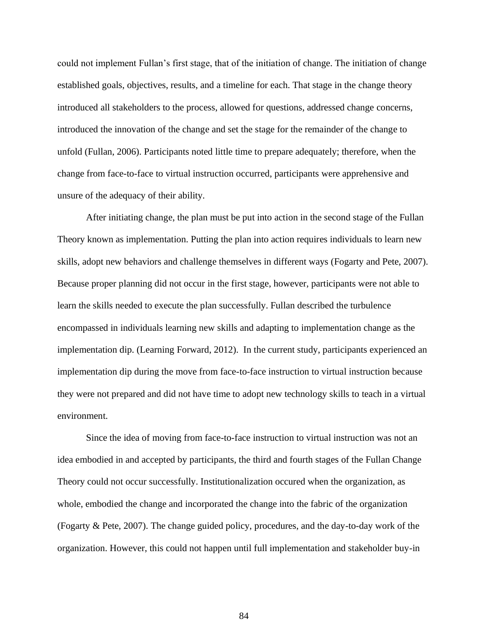could not implement Fullan's first stage, that of the initiation of change. The initiation of change established goals, objectives, results, and a timeline for each. That stage in the change theory introduced all stakeholders to the process, allowed for questions, addressed change concerns, introduced the innovation of the change and set the stage for the remainder of the change to unfold (Fullan, 2006). Participants noted little time to prepare adequately; therefore, when the change from face-to-face to virtual instruction occurred, participants were apprehensive and unsure of the adequacy of their ability.

After initiating change, the plan must be put into action in the second stage of the Fullan Theory known as implementation. Putting the plan into action requires individuals to learn new skills, adopt new behaviors and challenge themselves in different ways (Fogarty and Pete, 2007). Because proper planning did not occur in the first stage, however, participants were not able to learn the skills needed to execute the plan successfully. Fullan described the turbulence encompassed in individuals learning new skills and adapting to implementation change as the implementation dip. (Learning Forward, 2012). In the current study, participants experienced an implementation dip during the move from face-to-face instruction to virtual instruction because they were not prepared and did not have time to adopt new technology skills to teach in a virtual environment.

Since the idea of moving from face-to-face instruction to virtual instruction was not an idea embodied in and accepted by participants, the third and fourth stages of the Fullan Change Theory could not occur successfully. Institutionalization occured when the organization, as whole, embodied the change and incorporated the change into the fabric of the organization (Fogarty & Pete, 2007). The change guided policy, procedures, and the day-to-day work of the organization. However, this could not happen until full implementation and stakeholder buy-in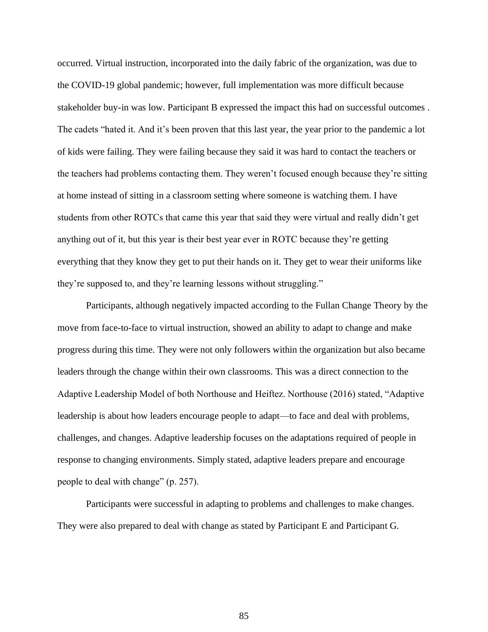occurred. Virtual instruction, incorporated into the daily fabric of the organization, was due to the COVID-19 global pandemic; however, full implementation was more difficult because stakeholder buy-in was low. Participant B expressed the impact this had on successful outcomes . The cadets "hated it. And it's been proven that this last year, the year prior to the pandemic a lot of kids were failing. They were failing because they said it was hard to contact the teachers or the teachers had problems contacting them. They weren't focused enough because they're sitting at home instead of sitting in a classroom setting where someone is watching them. I have students from other ROTCs that came this year that said they were virtual and really didn't get anything out of it, but this year is their best year ever in ROTC because they're getting everything that they know they get to put their hands on it. They get to wear their uniforms like they're supposed to, and they're learning lessons without struggling."

Participants, although negatively impacted according to the Fullan Change Theory by the move from face-to-face to virtual instruction, showed an ability to adapt to change and make progress during this time. They were not only followers within the organization but also became leaders through the change within their own classrooms. This was a direct connection to the Adaptive Leadership Model of both Northouse and Heiftez. Northouse (2016) stated, "Adaptive leadership is about how leaders encourage people to adapt—to face and deal with problems, challenges, and changes. Adaptive leadership focuses on the adaptations required of people in response to changing environments. Simply stated, adaptive leaders prepare and encourage people to deal with change" (p. 257).

Participants were successful in adapting to problems and challenges to make changes. They were also prepared to deal with change as stated by Participant E and Participant G.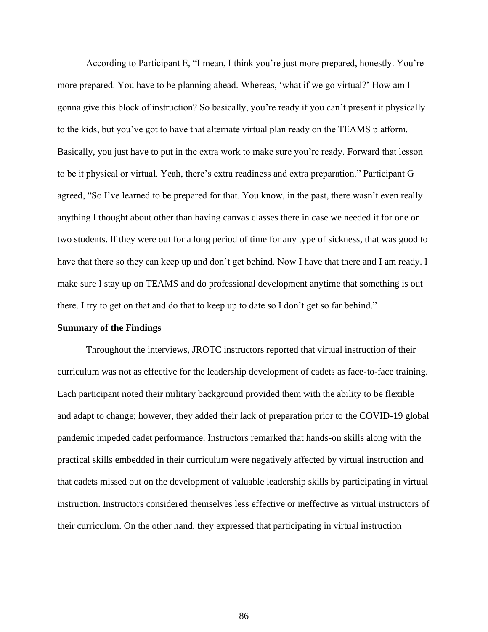According to Participant E, "I mean, I think you're just more prepared, honestly. You're more prepared. You have to be planning ahead. Whereas, 'what if we go virtual?' How am I gonna give this block of instruction? So basically, you're ready if you can't present it physically to the kids, but you've got to have that alternate virtual plan ready on the TEAMS platform. Basically, you just have to put in the extra work to make sure you're ready. Forward that lesson to be it physical or virtual. Yeah, there's extra readiness and extra preparation." Participant G agreed, "So I've learned to be prepared for that. You know, in the past, there wasn't even really anything I thought about other than having canvas classes there in case we needed it for one or two students. If they were out for a long period of time for any type of sickness, that was good to have that there so they can keep up and don't get behind. Now I have that there and I am ready. I make sure I stay up on TEAMS and do professional development anytime that something is out there. I try to get on that and do that to keep up to date so I don't get so far behind."

#### **Summary of the Findings**

Throughout the interviews, JROTC instructors reported that virtual instruction of their curriculum was not as effective for the leadership development of cadets as face-to-face training. Each participant noted their military background provided them with the ability to be flexible and adapt to change; however, they added their lack of preparation prior to the COVID-19 global pandemic impeded cadet performance. Instructors remarked that hands-on skills along with the practical skills embedded in their curriculum were negatively affected by virtual instruction and that cadets missed out on the development of valuable leadership skills by participating in virtual instruction. Instructors considered themselves less effective or ineffective as virtual instructors of their curriculum. On the other hand, they expressed that participating in virtual instruction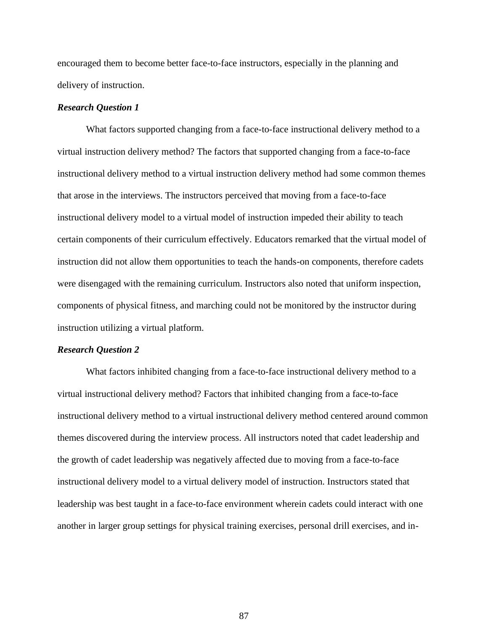encouraged them to become better face-to-face instructors, especially in the planning and delivery of instruction.

## *Research Question 1*

What factors supported changing from a face-to-face instructional delivery method to a virtual instruction delivery method? The factors that supported changing from a face-to-face instructional delivery method to a virtual instruction delivery method had some common themes that arose in the interviews. The instructors perceived that moving from a face-to-face instructional delivery model to a virtual model of instruction impeded their ability to teach certain components of their curriculum effectively. Educators remarked that the virtual model of instruction did not allow them opportunities to teach the hands-on components, therefore cadets were disengaged with the remaining curriculum. Instructors also noted that uniform inspection, components of physical fitness, and marching could not be monitored by the instructor during instruction utilizing a virtual platform.

#### *Research Question 2*

What factors inhibited changing from a face-to-face instructional delivery method to a virtual instructional delivery method? Factors that inhibited changing from a face-to-face instructional delivery method to a virtual instructional delivery method centered around common themes discovered during the interview process. All instructors noted that cadet leadership and the growth of cadet leadership was negatively affected due to moving from a face-to-face instructional delivery model to a virtual delivery model of instruction. Instructors stated that leadership was best taught in a face-to-face environment wherein cadets could interact with one another in larger group settings for physical training exercises, personal drill exercises, and in-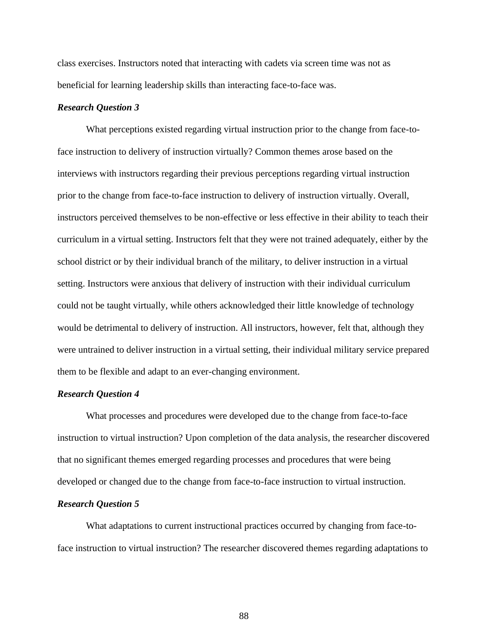class exercises. Instructors noted that interacting with cadets via screen time was not as beneficial for learning leadership skills than interacting face-to-face was.

## *Research Question 3*

What perceptions existed regarding virtual instruction prior to the change from face-toface instruction to delivery of instruction virtually? Common themes arose based on the interviews with instructors regarding their previous perceptions regarding virtual instruction prior to the change from face-to-face instruction to delivery of instruction virtually. Overall, instructors perceived themselves to be non-effective or less effective in their ability to teach their curriculum in a virtual setting. Instructors felt that they were not trained adequately, either by the school district or by their individual branch of the military, to deliver instruction in a virtual setting. Instructors were anxious that delivery of instruction with their individual curriculum could not be taught virtually, while others acknowledged their little knowledge of technology would be detrimental to delivery of instruction. All instructors, however, felt that, although they were untrained to deliver instruction in a virtual setting, their individual military service prepared them to be flexible and adapt to an ever-changing environment.

## *Research Question 4*

What processes and procedures were developed due to the change from face-to-face instruction to virtual instruction? Upon completion of the data analysis, the researcher discovered that no significant themes emerged regarding processes and procedures that were being developed or changed due to the change from face-to-face instruction to virtual instruction.

#### *Research Question 5*

What adaptations to current instructional practices occurred by changing from face-toface instruction to virtual instruction? The researcher discovered themes regarding adaptations to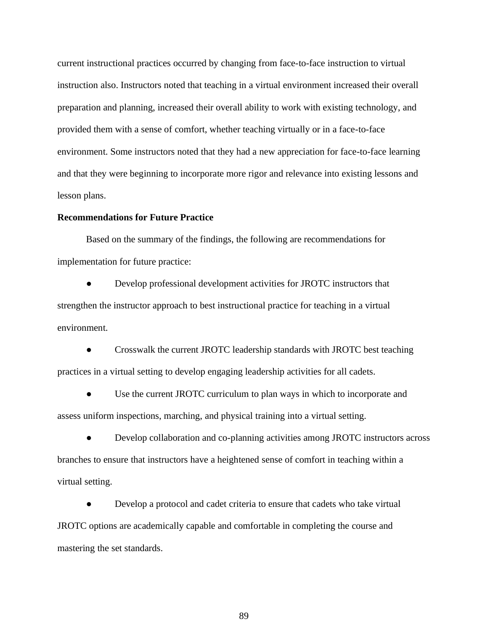current instructional practices occurred by changing from face-to-face instruction to virtual instruction also. Instructors noted that teaching in a virtual environment increased their overall preparation and planning, increased their overall ability to work with existing technology, and provided them with a sense of comfort, whether teaching virtually or in a face-to-face environment. Some instructors noted that they had a new appreciation for face-to-face learning and that they were beginning to incorporate more rigor and relevance into existing lessons and lesson plans.

#### **Recommendations for Future Practice**

Based on the summary of the findings, the following are recommendations for implementation for future practice:

Develop professional development activities for JROTC instructors that strengthen the instructor approach to best instructional practice for teaching in a virtual environment.

Crosswalk the current JROTC leadership standards with JROTC best teaching practices in a virtual setting to develop engaging leadership activities for all cadets.

• Use the current JROTC curriculum to plan ways in which to incorporate and assess uniform inspections, marching, and physical training into a virtual setting.

Develop collaboration and co-planning activities among JROTC instructors across branches to ensure that instructors have a heightened sense of comfort in teaching within a virtual setting.

Develop a protocol and cadet criteria to ensure that cadets who take virtual JROTC options are academically capable and comfortable in completing the course and mastering the set standards.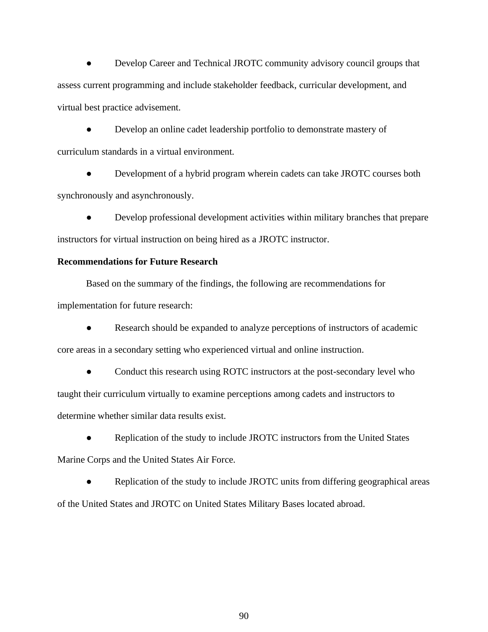Develop Career and Technical JROTC community advisory council groups that assess current programming and include stakeholder feedback, curricular development, and virtual best practice advisement.

Develop an online cadet leadership portfolio to demonstrate mastery of curriculum standards in a virtual environment.

• Development of a hybrid program wherein cadets can take JROTC courses both synchronously and asynchronously.

Develop professional development activities within military branches that prepare instructors for virtual instruction on being hired as a JROTC instructor.

# **Recommendations for Future Research**

Based on the summary of the findings, the following are recommendations for implementation for future research:

● Research should be expanded to analyze perceptions of instructors of academic core areas in a secondary setting who experienced virtual and online instruction.

Conduct this research using ROTC instructors at the post-secondary level who taught their curriculum virtually to examine perceptions among cadets and instructors to determine whether similar data results exist.

Replication of the study to include JROTC instructors from the United States Marine Corps and the United States Air Force.

Replication of the study to include JROTC units from differing geographical areas of the United States and JROTC on United States Military Bases located abroad.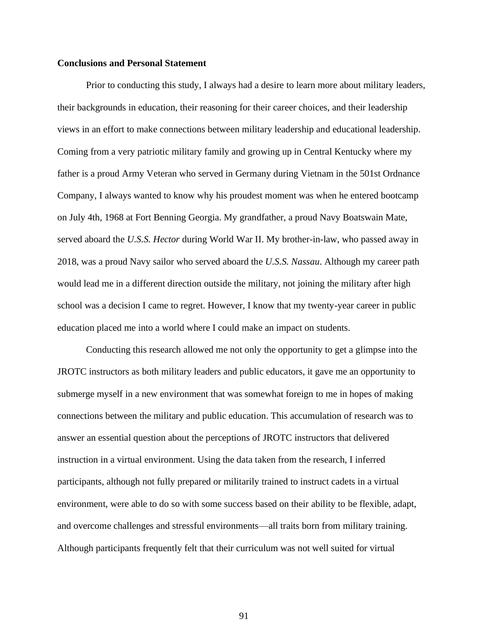## **Conclusions and Personal Statement**

Prior to conducting this study, I always had a desire to learn more about military leaders, their backgrounds in education, their reasoning for their career choices, and their leadership views in an effort to make connections between military leadership and educational leadership. Coming from a very patriotic military family and growing up in Central Kentucky where my father is a proud Army Veteran who served in Germany during Vietnam in the 501st Ordnance Company, I always wanted to know why his proudest moment was when he entered bootcamp on July 4th, 1968 at Fort Benning Georgia. My grandfather, a proud Navy Boatswain Mate, served aboard the *U.S.S. Hector* during World War II. My brother-in-law, who passed away in 2018, was a proud Navy sailor who served aboard the *U.S.S. Nassau*. Although my career path would lead me in a different direction outside the military, not joining the military after high school was a decision I came to regret. However, I know that my twenty-year career in public education placed me into a world where I could make an impact on students.

Conducting this research allowed me not only the opportunity to get a glimpse into the JROTC instructors as both military leaders and public educators, it gave me an opportunity to submerge myself in a new environment that was somewhat foreign to me in hopes of making connections between the military and public education. This accumulation of research was to answer an essential question about the perceptions of JROTC instructors that delivered instruction in a virtual environment. Using the data taken from the research, I inferred participants, although not fully prepared or militarily trained to instruct cadets in a virtual environment, were able to do so with some success based on their ability to be flexible, adapt, and overcome challenges and stressful environments—all traits born from military training. Although participants frequently felt that their curriculum was not well suited for virtual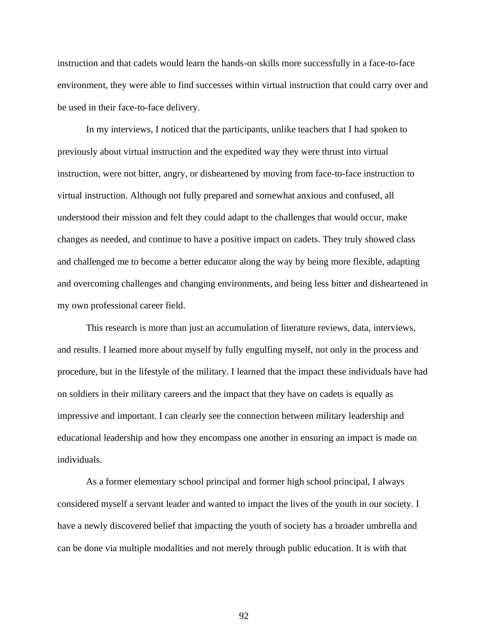instruction and that cadets would learn the hands-on skills more successfully in a face-to-face environment, they were able to find successes within virtual instruction that could carry over and be used in their face-to-face delivery.

In my interviews, I noticed that the participants, unlike teachers that I had spoken to previously about virtual instruction and the expedited way they were thrust into virtual instruction, were not bitter, angry, or disheartened by moving from face-to-face instruction to virtual instruction. Although not fully prepared and somewhat anxious and confused, all understood their mission and felt they could adapt to the challenges that would occur, make changes as needed, and continue to have a positive impact on cadets. They truly showed class and challenged me to become a better educator along the way by being more flexible, adapting and overcoming challenges and changing environments, and being less bitter and disheartened in my own professional career field.

This research is more than just an accumulation of literature reviews, data, interviews, and results. I learned more about myself by fully engulfing myself, not only in the process and procedure, but in the lifestyle of the military. I learned that the impact these individuals have had on soldiers in their military careers and the impact that they have on cadets is equally as impressive and important. I can clearly see the connection between military leadership and educational leadership and how they encompass one another in ensuring an impact is made on individuals.

As a former elementary school principal and former high school principal, I always considered myself a servant leader and wanted to impact the lives of the youth in our society. I have a newly discovered belief that impacting the youth of society has a broader umbrella and can be done via multiple modalities and not merely through public education. It is with that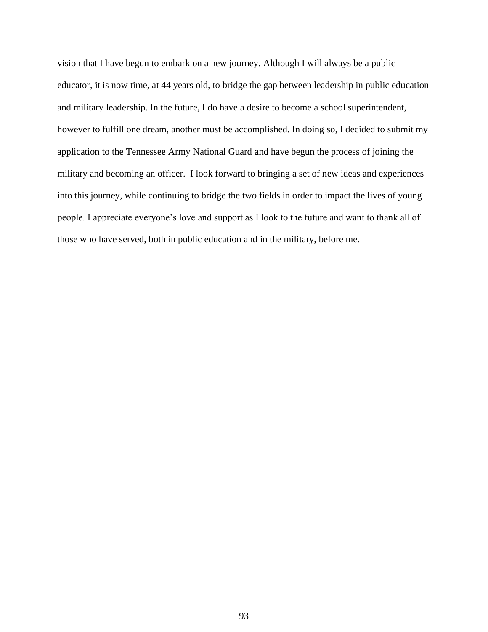vision that I have begun to embark on a new journey. Although I will always be a public educator, it is now time, at 44 years old, to bridge the gap between leadership in public education and military leadership. In the future, I do have a desire to become a school superintendent, however to fulfill one dream, another must be accomplished. In doing so, I decided to submit my application to the Tennessee Army National Guard and have begun the process of joining the military and becoming an officer. I look forward to bringing a set of new ideas and experiences into this journey, while continuing to bridge the two fields in order to impact the lives of young people. I appreciate everyone's love and support as I look to the future and want to thank all of those who have served, both in public education and in the military, before me.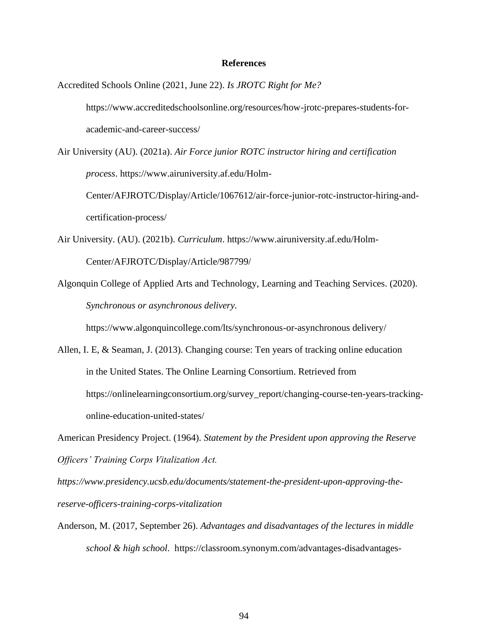#### **References**

Accredited Schools Online (2021, June 22). *Is JROTC Right for Me?* 

https://www.accreditedschoolsonline.org/resources/how-jrotc-prepares-students-foracademic-and-career-success/

Air University (AU). (2021a). *Air Force junior ROTC instructor hiring and certification process*. https://www.airuniversity.af.edu/Holm-

Center/AFJROTC/Display/Article/1067612/air-force-junior-rotc-instructor-hiring-andcertification-process/

Air University. (AU). (2021b). *Curriculum*. https://www.airuniversity.af.edu/Holm-Center/AFJROTC/Display/Article/987799/

Algonquin College of Applied Arts and Technology, Learning and Teaching Services. (2020). *Synchronous or asynchronous delivery.* 

https://www.algonquincollege.com/lts/synchronous-or-asynchronous delivery/

Allen, I. E, & Seaman, J. (2013). Changing course: Ten years of tracking online education in the United States. The Online Learning Consortium. Retrieved from https://onlinelearningconsortium.org/survey\_report/changing-course-ten-years-trackingonline-education-united-states/

American Presidency Project. (1964). *Statement by the President upon approving the Reserve Officers' Training Corps Vitalization Act.* 

*https://www.presidency.ucsb.edu/documents/statement-the-president-upon-approving-thereserve-officers-training-corps-vitalization*

Anderson, M. (2017, September 26). *Advantages and disadvantages of the lectures in middle school & high school*. https://classroom.synonym.com/advantages-disadvantages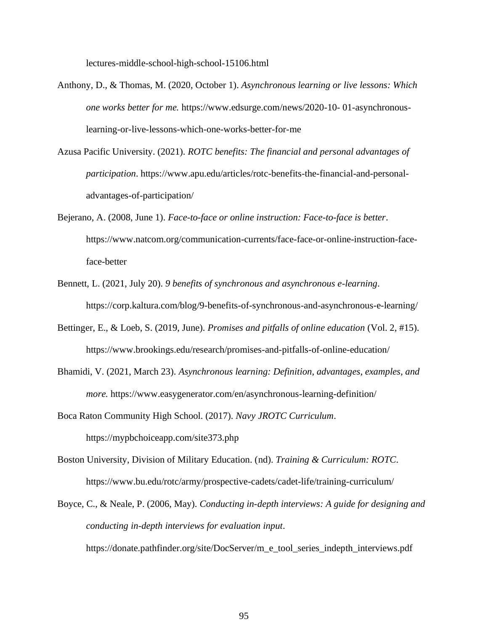lectures-middle-school-high-school-15106.html

- Anthony, D., & Thomas, M. (2020, October 1). *Asynchronous learning or live lessons: Which one works better for me.* https://www.edsurge.com/news/2020-10- 01-asynchronouslearning-or-live-lessons-which-one-works-better-for-me
- Azusa Pacific University. (2021). *ROTC benefits: The financial and personal advantages of participation*. https://www.apu.edu/articles/rotc-benefits-the-financial-and-personaladvantages-of-participation/
- Bejerano, A. (2008, June 1). *Face-to-face or online instruction: Face-to-face is better*. https://www.natcom.org/communication-currents/face-face-or-online-instruction-faceface-better
- Bennett, L. (2021, July 20). *9 benefits of synchronous and asynchronous e-learning*. https://corp.kaltura.com/blog/9-benefits-of-synchronous-and-asynchronous-e-learning/
- Bettinger, E., & Loeb, S. (2019, June). *Promises and pitfalls of online education* (Vol. 2, #15). https://www.brookings.edu/research/promises-and-pitfalls-of-online-education/
- Bhamidi, V. (2021, March 23). *Asynchronous learning: Definition, advantages, examples, and more.* https://www.easygenerator.com/en/asynchronous-learning-definition/
- Boca Raton Community High School. (2017). *Navy JROTC Curriculum*. https://mypbchoiceapp.com/site373.php
- Boston University, Division of Military Education. (nd). *Training & Curriculum: ROTC*. https://www.bu.edu/rotc/army/prospective-cadets/cadet-life/training-curriculum/
- Boyce, C., & Neale, P. (2006, May). *Conducting in-depth interviews: A guide for designing and conducting in-depth interviews for evaluation input*.

https://donate.pathfinder.org/site/DocServer/m\_e\_tool\_series\_indepth\_interviews.pdf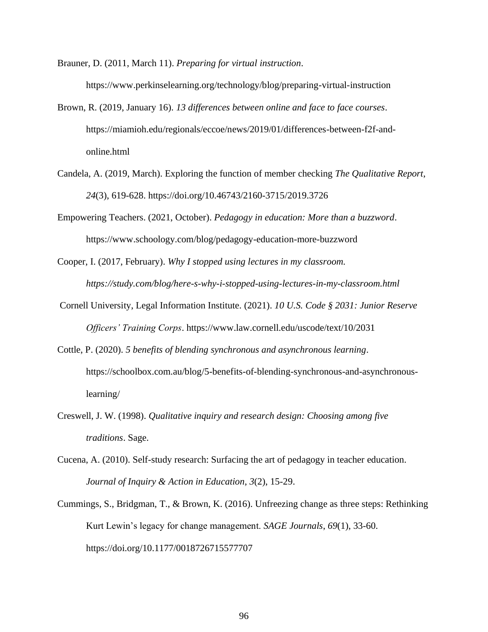Brauner, D. (2011, March 11). *Preparing for virtual instruction*. https://www.perkinselearning.org/technology/blog/preparing-virtual-instructio[n](https://www.perkinselearning.org/technology/blog/preparing-virtual-instruction)

- Brown, R. (2019, January 16). *13 differences between online and face to face courses*. https://miamioh.edu/regionals/eccoe/news/2019/01/differences-between-f2f-andonline.html
- Candela, A. (2019, March). Exploring the function of member checking *The Qualitative Report*, *24*(3), 619-628. https://doi.org/10.46743/2160-3715/2019.3726
- Empowering Teachers. (2021, October). *Pedagogy in education: More than a buzzword*. https://www.schoology.com/blog/pedagogy-education-more-buzzword

Cooper, I. (2017, February). *Why I stopped using lectures in my classroom. https://study.com/blog/here-s-why-i-stopped-using-lectures-in-my-classroom.html*

- Cornell University, Legal Information Institute. (2021). *10 U.S. Code § 2031: Junior Reserve Officers' Training Corps*. https://www.law.cornell.edu/uscode/text/10/2031
- Cottle, P. (2020). *5 benefits of blending synchronous and asynchronous learning*. https://schoolbox.com.au/blog/5-benefits-of-blending-synchronous-and-asynchronouslearning/
- Creswell, J. W. (1998). *Qualitative inquiry and research design: Choosing among five traditions*. Sage.
- Cucena, A. (2010). Self-study research: Surfacing the art of pedagogy in teacher education. *Journal of Inquiry & Action in Education*, *3*(2), 15-29.
- Cummings, S., Bridgman, T., & Brown, K. (2016). Unfreezing change as three steps: Rethinking Kurt Lewin's legacy for change management. *SAGE Journals*, *69*(1), 33-60. https://doi.org/10.1177/0018726715577707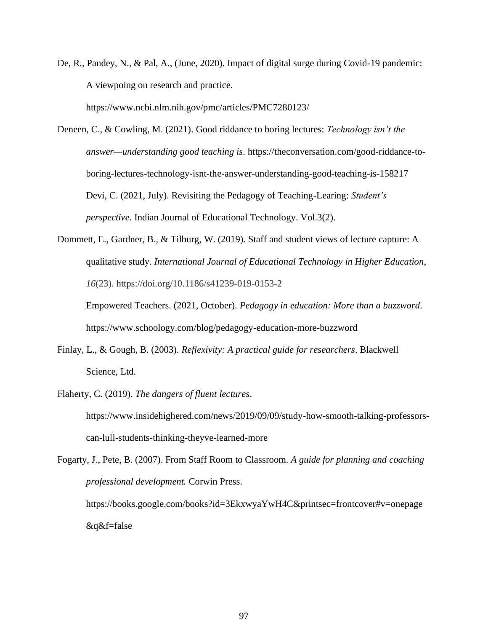De, R., Pandey, N., & Pal, A., (June, 2020). Impact of digital surge during Covid-19 pandemic: A viewpoing on research and practice.

https://www.ncbi.nlm.nih.gov/pmc/articles/PMC7280123/

- Deneen, C., & Cowling, M. (2021). Good riddance to boring lectures: *Technology isn't the answer—understanding good teaching is*. https://theconversation.com/good-riddance-toboring-lectures-technology-isnt-the-answer-understanding-good-teaching-is-158217 Devi, C. (2021, July). Revisiting the Pedagogy of Teaching-Learing: *Student's perspective.* Indian Journal of Educational Technology. Vol.3(2).
- Dommett, E., Gardner, B., & Tilburg, W. (2019). Staff and student views of lecture capture: A qualitative study. *International Journal of Educational Technology in Higher Education*, *16*(23). https://doi.org/10.1186/s41239-019-0153-2

Empowered Teachers. (2021, October). *Pedagogy in education: More than a buzzword*. https://www.schoology.com/blog/pedagogy-education-more-buzzword

- Finlay, L., & Gough, B. (2003). *Reflexivity: A practical guide for researchers*. Blackwell Science, Ltd.
- Flaherty, C. (2019). *The dangers of fluent lectures*. https://www.insidehighered.com/news/2019/09/09/study-how-smooth-talking-professorscan-lull-students-thinking-theyve-learned-more

Fogarty, J., Pete, B. (2007). From Staff Room to Classroom. *A guide for planning and coaching professional development.* Corwin Press. https://books.google.com/books?id=3EkxwyaYwH4C&printsec=frontcover#v=onepage &q&f=false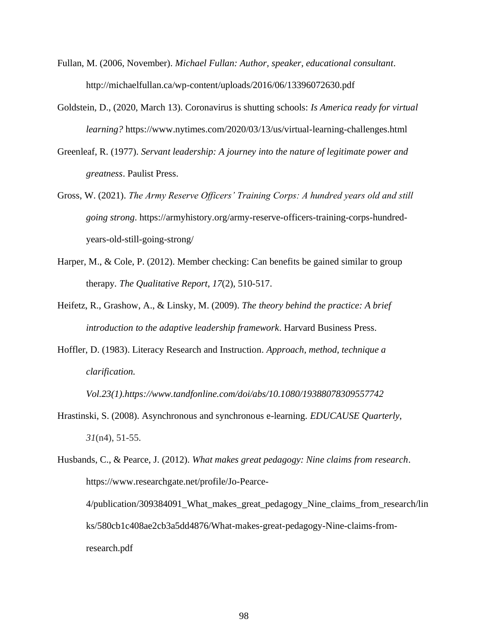- Fullan, M. (2006, November). *Michael Fullan: Author, speaker, educational consultant*. http://michaelfullan.ca/wp-content/uploads/2016/06/13396072630.pdf
- Goldstein, D., (2020, March 13). Coronavirus is shutting schools: *Is America ready for virtual learning?* https://www.nytimes.com/2020/03/13/us/virtual-learning-challenges.html
- Greenleaf, R. (1977). *Servant leadership: A journey into the nature of legitimate power and greatness*. Paulist Press.
- Gross, W. (2021). *The Army Reserve Officers' Training Corps: A hundred years old and still going strong*. https://armyhistory.org/army-reserve-officers-training-corps-hundredyears-old-still-going-strong/
- Harper, M., & Cole, P. (2012). Member checking: Can benefits be gained similar to group therapy*. The Qualitative Report*, *17*(2), 510-517.
- Heifetz, R., Grashow, A., & Linsky, M. (2009). *The theory behind the practice: A brief introduction to the adaptive leadership framework*. Harvard Business Press.
- Hoffler, D. (1983). Literacy Research and Instruction. *Approach, method, technique a clarification.*

*Vol.23(1).https://www.tandfonline.com/doi/abs/10.1080/19388078309557742*

Hrastinski, S. (2008). Asynchronous and synchronous e-learning. *EDUCAUSE Quarterly*, *31*(n4), 51-55.

Husbands, C., & Pearce, J. (2012). *What makes great pedagogy: Nine claims from research*. https://www.researchgate.net/profile/Jo-Pearce-4/publication/309384091\_What\_makes\_great\_pedagogy\_Nine\_claims\_from\_research/lin ks/580cb1c408ae2cb3a5dd4876/What-makes-great-pedagogy-Nine-claims-fromresearch.pdf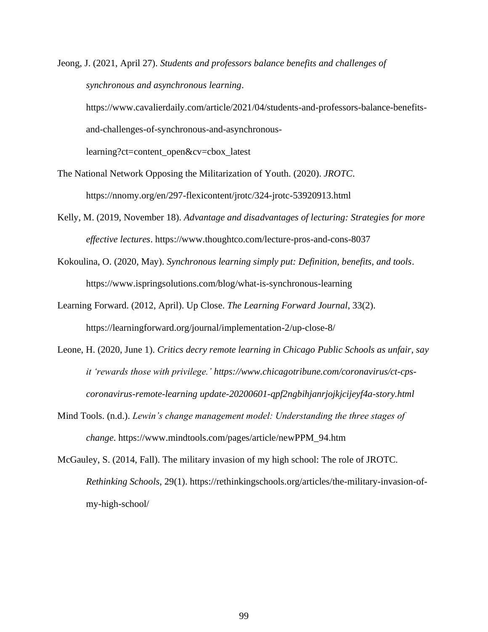Jeong, J. (2021, April 27). *Students and professors balance benefits and challenges of synchronous and asynchronous learning*. https://www.cavalierdaily.com/article/2021/04/students-and-professors-balance-benefitsand-challenges-of-synchronous-and-asynchronouslearning?ct=content\_open&cv=cbox\_latest

- The National Network Opposing the Militarization of Youth. (2020). *JROTC*. https://nnomy.org/en/297-flexicontent/jrotc/324-jrotc-53920913.html
- Kelly, M. (2019, November 18). *Advantage and disadvantages of lecturing: Strategies for more effective lectures*. https://www.thoughtco.com/lecture-pros-and-cons-8037
- Kokoulina, O. (2020, May). *Synchronous learning simply put: Definition, benefits, and tools*. https://www.ispringsolutions.com/blog/what-is-synchronous-learning
- Learning Forward. (2012, April). Up Close. *The Learning Forward Journal*, 33(2). https://learningforward.org/journal/implementation-2/up-close-8/
- Leone, H. (2020, June 1). *Critics decry remote learning in Chicago Public Schools as unfair, say it 'rewards those with privilege.' https://www.chicagotribune.com/coronavirus/ct-cpscoronavirus-remote-learning update-20200601-qpf2ngbihjanrjojkjcijeyf4a-story.html*
- Mind Tools. (n.d.). *Lewin's change management model: Understanding the three stages of change*. https://www.mindtools.com/pages/article/newPPM\_94.htm

McGauley, S. (2014, Fall). The military invasion of my high school: The role of JROTC. *Rethinking Schools*, 29(1). https://rethinkingschools.org/articles/the-military-invasion-ofmy-high-school/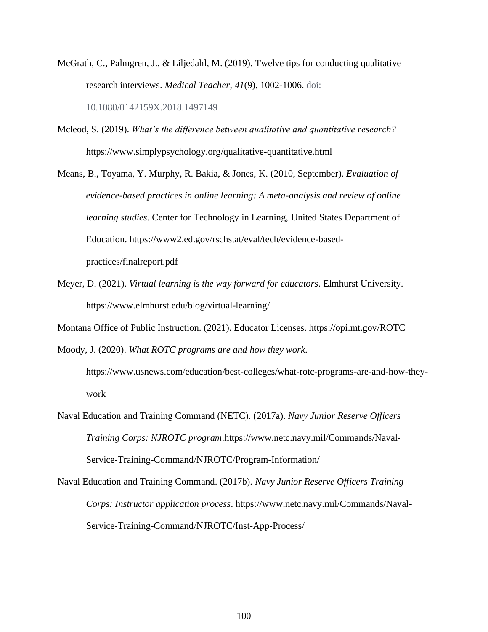- McGrath, C., Palmgren, J., & Liljedahl, M. (2019). Twelve tips for conducting qualitative research interviews. *Medical Teacher*, *41*(9), 1002-1006. doi: 10.1080/0142159X.2018.1497149
- Mcleod, S. (2019). *What's the difference between qualitative and quantitative research?* https://www.simplypsychology.org/qualitative-quantitative.html

Means, B., Toyama, Y. Murphy, R. Bakia, & Jones, K. (2010, September). *Evaluation of evidence-based practices in online learning: A meta-analysis and review of online learning studies*. Center for Technology in Learning, United States Department of Education. https://www2.ed.gov/rschstat/eval/tech/evidence-basedpractices/finalreport.pdf

Meyer, D. (2021). *Virtual learning is the way forward for educators*. Elmhurst University. https://www.elmhurst.edu/blog/virtual-learning/

Montana Office of Public Instruction. (2021). Educator Licenses. https://opi.mt.gov/ROTC

Moody, J. (2020). *What ROTC programs are and how they work*.

https://www.usnews.com/education/best-colleges/what-rotc-programs-are-and-how-theywork

- Naval Education and Training Command (NETC). (2017a). *Navy Junior Reserve Officers Training Corps: NJROTC program*.https://www.netc.navy.mil/Commands/Naval-Service-Training-Command/NJROTC/Program-Information/
- Naval Education and Training Command. (2017b). *Navy Junior Reserve Officers Training Corps: Instructor application process*. https://www.netc.navy.mil/Commands/Naval-Service-Training-Command/NJROTC/Inst-App-Process/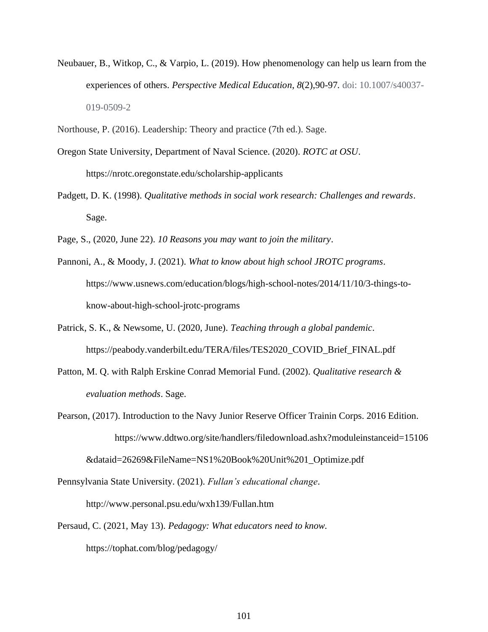- Neubauer, B., Witkop, C., & Varpio, L. (2019). How phenomenology can help us learn from the experiences of others. *Perspective Medical Education*, *8*(2),90-97*.* doi: 10.1007/s40037- 019-0509-2
- Northouse, P. (2016). Leadership: Theory and practice (7th ed.). Sage.
- Oregon State University, Department of Naval Science. (2020). *ROTC at OSU*. https://nrotc.oregonstate.edu/scholarship-applicants
- Padgett, D. K. (1998). *Qualitative methods in social work research: Challenges and rewards*. Sage.
- Page, S., (2020, June 22). *10 Reasons you may want to join the military*.
- Pannoni, A., & Moody, J. (2021). *What to know about high school JROTC programs*. https://www.usnews.com/education/blogs/high-school-notes/2014/11/10/3-things-toknow-about-high-school-jrotc-programs
- Patrick, S. K., & Newsome, U. (2020, June). *Teaching through a global pandemic*. https://peabody.vanderbilt.edu/TERA/files/TES2020\_COVID\_Brief\_FINAL.pdf
- Patton, M. Q. with Ralph Erskine Conrad Memorial Fund. (2002). *Qualitative research & evaluation methods*. Sage.
- Pearson, (2017). Introduction to the Navy Junior Reserve Officer Trainin Corps. 2016 Edition. https://www.ddtwo.org/site/handlers/filedownload.ashx?moduleinstanceid=15106

&dataid=26269&FileName=NS1%20Book%20Unit%201\_Optimize.pdf

Pennsylvania State University. (2021). *Fullan's educational change*.

http://www.personal.psu.edu/wxh139/Fullan.htm

Persaud, C. (2021, May 13). *Pedagogy: What educators need to know.* https://tophat.com/blog/pedagogy/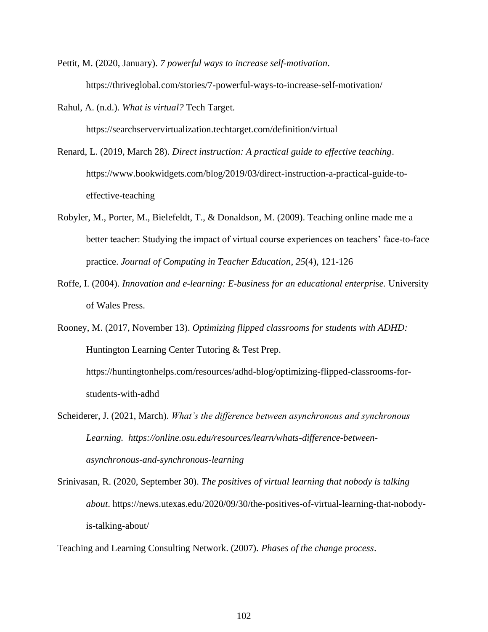Pettit, M. (2020, January). *7 powerful ways to increase self-motivation*. https://thriveglobal.com/stories/7-powerful-ways-to-increase-self-motivation/

Rahul, A. (n.d.). *What is virtual?* Tech Target. https://searchservervirtualization.techtarget.com/definition/virtual

Renard, L. (2019, March 28). *Direct instruction: A practical guide to effective teaching*. https://www.bookwidgets.com/blog/2019/03/direct-instruction-a-practical-guide-toeffective-teaching

- Robyler, M., Porter, M., Bielefeldt, T., & Donaldson, M. (2009). Teaching online made me a better teacher: Studying the impact of virtual course experiences on teachers' face-to-face practice. *Journal of Computing in Teacher Education*, *25*(4), 121-126
- Roffe, I. (2004). *Innovation and e-learning: E-business for an educational enterprise.* University of Wales Press.

Rooney, M. (2017, November 13). *Optimizing flipped classrooms for students with ADHD:*  Huntington Learning Center Tutoring & Test Prep. https://huntingtonhelps.com/resources/adhd-blog/optimizing-flipped-classrooms-forstudents-with-adhd

Scheiderer, J. (2021, March). *What's the difference between asynchronous and synchronous Learning. https://online.osu.edu/resources/learn/whats-difference-betweenasynchronous-and-synchronous-learning*

Srinivasan, R. (2020, September 30). *The positives of virtual learning that nobody is talking about*. https://news.utexas.edu/2020/09/30/the-positives-of-virtual-learning-that-nobodyis-talking-about/

Teaching and Learning Consulting Network. (2007). *Phases of the change process*.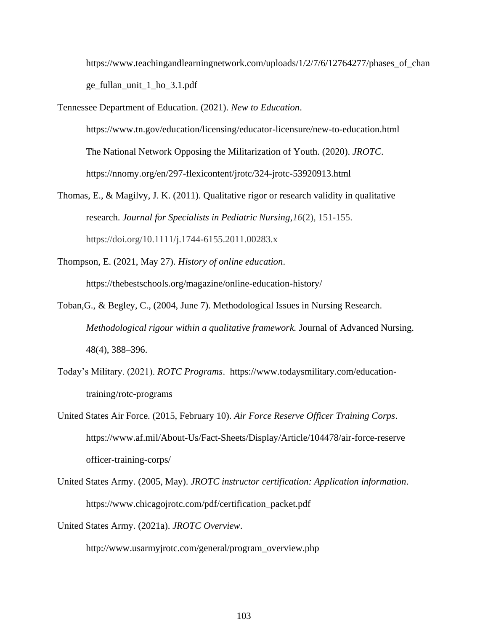https://www.teachingandlearningnetwork.com/uploads/1/2/7/6/12764277/phases of chan ge\_fullan\_unit\_1\_ho\_3.1.pdf

- Tennessee Department of Education. (2021). *New to Education*. https://www.tn.gov/education/licensing/educator-licensure/new-to-education.html The National Network Opposing the Militarization of Youth. (2020). *JROTC*. https://nnomy.org/en/297-flexicontent/jrotc/324-jrotc-53920913.html
- Thomas, E., & Magilvy, J. K. (2011). Qualitative rigor or research validity in qualitative research. *Journal for Specialists in Pediatric Nursing,16*(2), 151-155. https://doi.org/10.1111/j.1744-6155.2011.00283.x
- Thompson, E. (2021, May 27). *History of online education*. https://thebestschools.org/magazine/online-education-history/
- Toban,G., & Begley, C., (2004, June 7). Methodological Issues in Nursing Research. *Methodological rigour within a qualitative framework.* Journal of Advanced Nursing. 48(4), 388–396.
- Today's Military. (2021). *ROTC Programs*. https://www.todaysmilitary.com/educationtraining/rotc-programs
- United States Air Force. (2015, February 10). *Air Force Reserve Officer Training Corps*. https://www.af.mil/About-Us/Fact-Sheets/Display/Article/104478/air-force-reserve officer-training-corps/
- United States Army. (2005, May). *JROTC instructor certification: Application information*. https://www.chicagojrotc.com/pdf/certification\_packet.pdf

United States Army. (2021a). *JROTC Overview*.

http://www.usarmyjrotc.com/general/program\_overview.php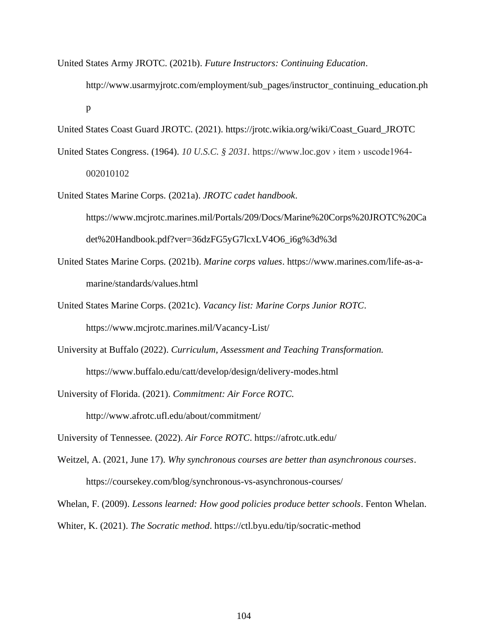- United States Army JROTC. (2021b). *Future Instructors: Continuing Education*. http://www.usarmyjrotc.com/employment/sub\_pages/instructor\_continuing\_education.ph p
- United States Coast Guard JROTC. (2021). https://jrotc.wikia.org/wiki/Coast\_Guard\_JROTC

United States Congress. (1964). *10 U.S.C.* § 2031. https://www.loc.gov > item > uscode1964-002010102

- United States Marine Corps*.* (2021a). *JROTC cadet handbook*. https://www.mcjrotc.marines.mil/Portals/209/Docs/Marine%20Corps%20JROTC%20Ca det%20Handbook.pdf?ver=36dzFG5yG7lcxLV4O6\_i6g%3d%3d
- United States Marine Corps*.* (2021b). *Marine corps values*. https://www.marines.com/life-as-amarine/standards/values.html
- United States Marine Corps. (2021c). *Vacancy list: Marine Corps Junior ROTC*. https://www.mcjrotc.marines.mil/Vacancy-List/
- University at Buffalo (2022). *Curriculum, Assessment and Teaching Transformation.*  https://www.buffalo.edu/catt/develop/design/delivery-modes.html

University of Florida. (2021). *Commitment: Air Force ROTC.*  http://www.afrotc.ufl.edu/about/commitment/

University of Tennessee*.* (2022). *Air Force ROTC*. https://afrotc.utk.edu/

Weitzel, A. (2021, June 17). *Why synchronous courses are better than asynchronous courses*. https://coursekey.com/blog/synchronous-vs-asynchronous-courses/

Whelan, F. (2009). *Lessons learned: How good policies produce better schools*. Fenton Whelan.

Whiter, K. (2021). *The Socratic method*. https://ctl.byu.edu/tip/socratic-method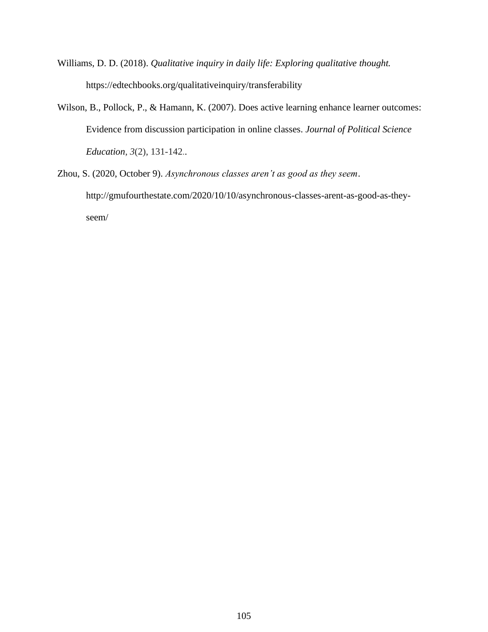- Williams, D. D. (2018). *Qualitative inquiry in daily life: Exploring qualitative thought.*  https://edtechbooks.org/qualitativeinquiry/transferability
- Wilson, B., Pollock, P., & Hamann, K. (2007). Does active learning enhance learner outcomes: Evidence from discussion participation in online classes. *Journal of Political Science Education*, *3*(2), 131-142..
- Zhou, S. (2020, October 9). *Asynchronous classes aren't as good as they seem*. http://gmufourthestate.com/2020/10/10/asynchronous-classes-arent-as-good-as-theyseem/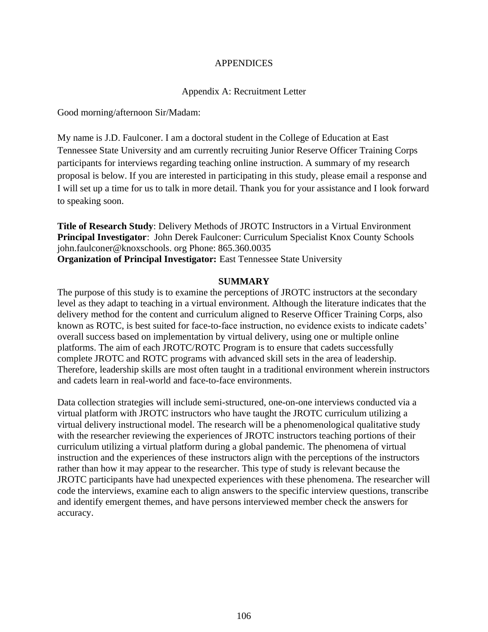# APPENDICES

# Appendix A: Recruitment Letter

Good morning/afternoon Sir/Madam:

My name is J.D. Faulconer. I am a doctoral student in the College of Education at East Tennessee State University and am currently recruiting Junior Reserve Officer Training Corps participants for interviews regarding teaching online instruction. A summary of my research proposal is below. If you are interested in participating in this study, please email a response and I will set up a time for us to talk in more detail. Thank you for your assistance and I look forward to speaking soon.

**Title of Research Study**: Delivery Methods of JROTC Instructors in a Virtual Environment **Principal Investigator**: John Derek Faulconer: Curriculum Specialist Knox County Schools john.faulconer@knoxschools. org Phone: 865.360.0035 **Organization of Principal Investigator:** East Tennessee State University

## **SUMMARY**

The purpose of this study is to examine the perceptions of JROTC instructors at the secondary level as they adapt to teaching in a virtual environment. Although the literature indicates that the delivery method for the content and curriculum aligned to Reserve Officer Training Corps, also known as ROTC, is best suited for face-to-face instruction, no evidence exists to indicate cadets' overall success based on implementation by virtual delivery, using one or multiple online platforms. The aim of each JROTC/ROTC Program is to ensure that cadets successfully complete JROTC and ROTC programs with advanced skill sets in the area of leadership. Therefore, leadership skills are most often taught in a traditional environment wherein instructors and cadets learn in real-world and face-to-face environments.

Data collection strategies will include semi-structured, one-on-one interviews conducted via a virtual platform with JROTC instructors who have taught the JROTC curriculum utilizing a virtual delivery instructional model. The research will be a phenomenological qualitative study with the researcher reviewing the experiences of JROTC instructors teaching portions of their curriculum utilizing a virtual platform during a global pandemic. The phenomena of virtual instruction and the experiences of these instructors align with the perceptions of the instructors rather than how it may appear to the researcher. This type of study is relevant because the JROTC participants have had unexpected experiences with these phenomena. The researcher will code the interviews, examine each to align answers to the specific interview questions, transcribe and identify emergent themes, and have persons interviewed member check the answers for accuracy.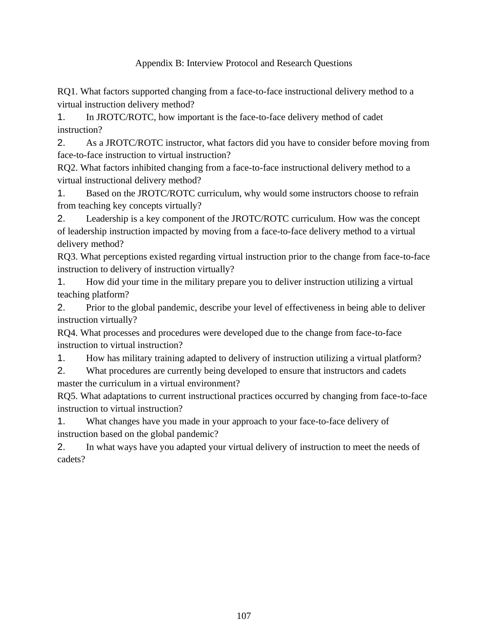# Appendix B: Interview Protocol and Research Questions

RQ1. What factors supported changing from a face-to-face instructional delivery method to a virtual instruction delivery method?

1. In JROTC/ROTC, how important is the face-to-face delivery method of cadet instruction?

2. As a JROTC/ROTC instructor, what factors did you have to consider before moving from face-to-face instruction to virtual instruction?

RQ2. What factors inhibited changing from a face-to-face instructional delivery method to a virtual instructional delivery method?

1. Based on the JROTC/ROTC curriculum, why would some instructors choose to refrain from teaching key concepts virtually?

2. Leadership is a key component of the JROTC/ROTC curriculum. How was the concept of leadership instruction impacted by moving from a face-to-face delivery method to a virtual delivery method?

RQ3. What perceptions existed regarding virtual instruction prior to the change from face-to-face instruction to delivery of instruction virtually?

1. How did your time in the military prepare you to deliver instruction utilizing a virtual teaching platform?

2. Prior to the global pandemic, describe your level of effectiveness in being able to deliver instruction virtually?

RQ4. What processes and procedures were developed due to the change from face-to-face instruction to virtual instruction?

1. How has military training adapted to delivery of instruction utilizing a virtual platform?

2. What procedures are currently being developed to ensure that instructors and cadets master the curriculum in a virtual environment?

RQ5. What adaptations to current instructional practices occurred by changing from face-to-face instruction to virtual instruction?

1. What changes have you made in your approach to your face-to-face delivery of instruction based on the global pandemic?

2. In what ways have you adapted your virtual delivery of instruction to meet the needs of cadets?